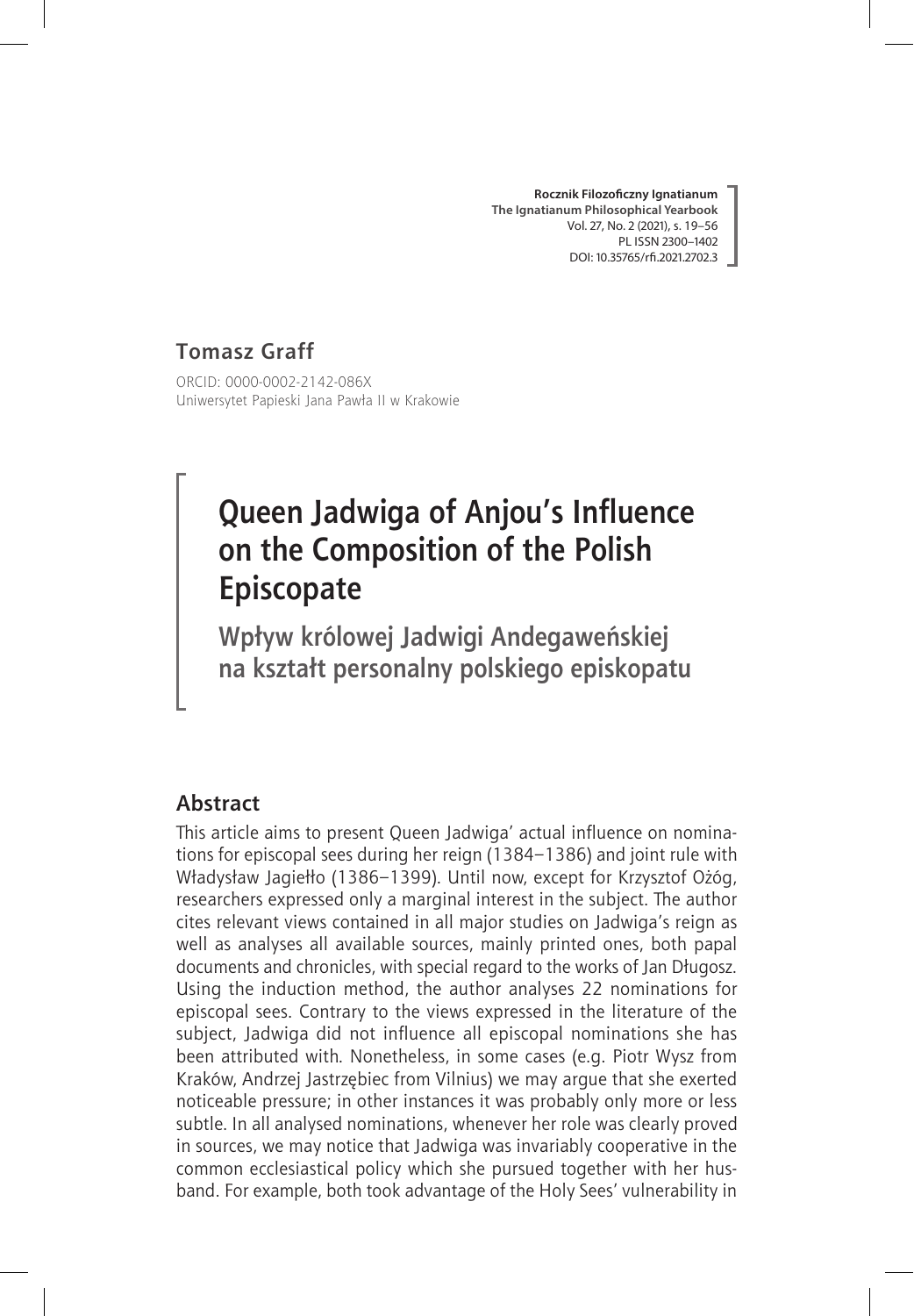**Rocznik Filozoficzny Ignatianum The Ignatianum Philosophical Yearbook** Vol. 27, No. 2 (2021), s. 19–56 PL ISSN 2300–1402 DOI: 10.35765/rfi.2021.2702.3

# **Tomasz Graff**

ORCID: 0000-0002-2142-086X Uniwersytet Papieski Jana Pawła II w Krakowie

# **Queen Jadwiga of Anjou's Influence on the Composition of the Polish Episcopate**

**Wpływ królowej Jadwigi Andegaweńskiej na kształt personalny polskiego episkopatu**

### **Abstract**

This article aims to present Queen Jadwiga' actual influence on nominations for episcopal sees during her reign (1384–1386) and joint rule with Władysław Jagiełło (1386–1399). Until now, except for Krzysztof Ożóg, researchers expressed only a marginal interest in the subject. The author cites relevant views contained in all major studies on Jadwiga's reign as well as analyses all available sources, mainly printed ones, both papal documents and chronicles, with special regard to the works of Jan Długosz. Using the induction method, the author analyses 22 nominations for episcopal sees. Contrary to the views expressed in the literature of the subject, Jadwiga did not influence all episcopal nominations she has been attributed with. Nonetheless, in some cases (e.g. Piotr Wysz from Kraków, Andrzej Jastrzębiec from Vilnius) we may argue that she exerted noticeable pressure; in other instances it was probably only more or less subtle. In all analysed nominations, whenever her role was clearly proved in sources, we may notice that Jadwiga was invariably cooperative in the common ecclesiastical policy which she pursued together with her husband. For example, both took advantage of the Holy Sees' vulnerability in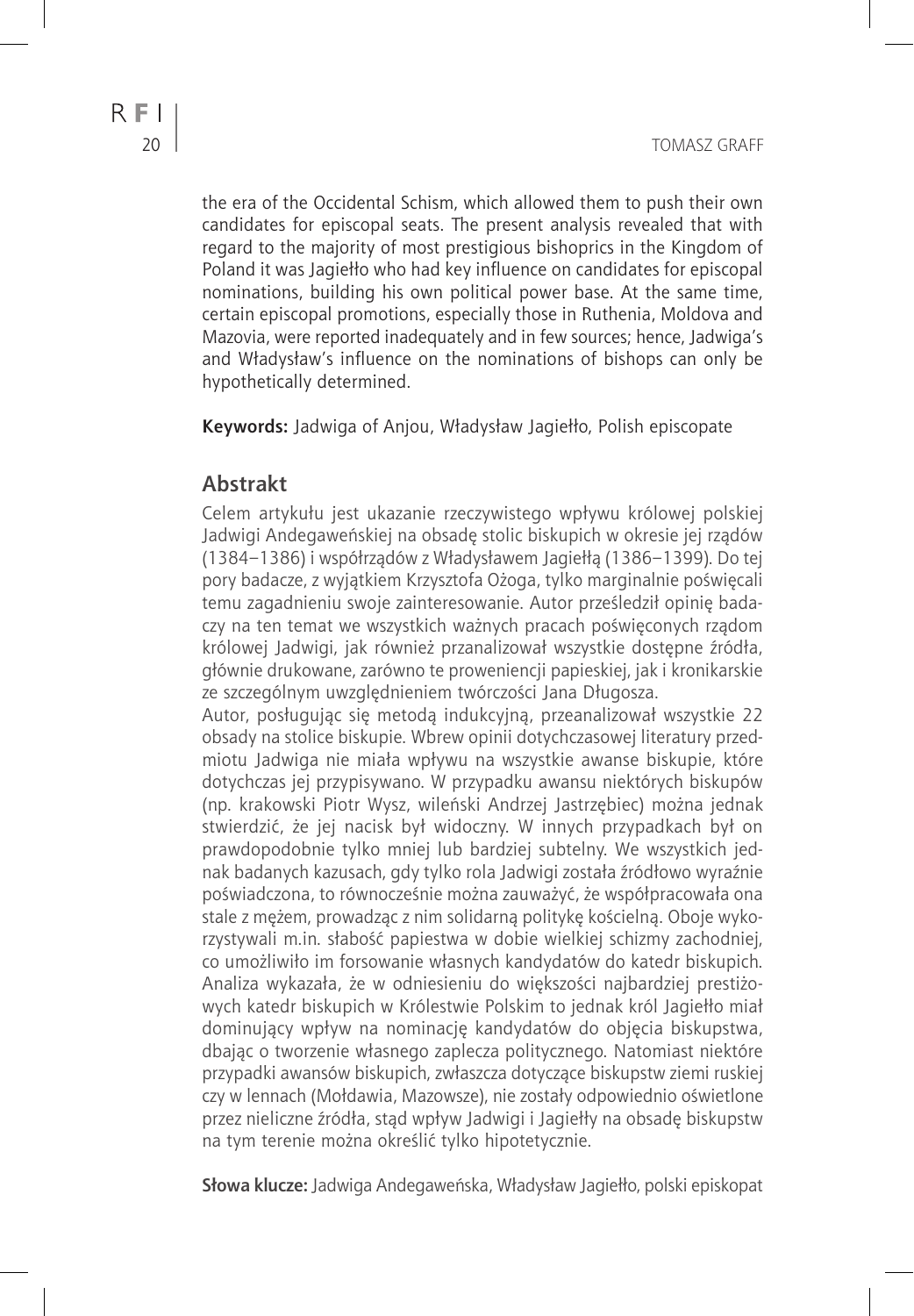the era of the Occidental Schism, which allowed them to push their own candidates for episcopal seats. The present analysis revealed that with regard to the majority of most prestigious bishoprics in the Kingdom of Poland it was Jagiełło who had key influence on candidates for episcopal nominations, building his own political power base. At the same time, certain episcopal promotions, especially those in Ruthenia, Moldova and Mazovia, were reported inadequately and in few sources; hence, Jadwiga's and Władysław's influence on the nominations of bishops can only be hypothetically determined.

**Keywords:** Jadwiga of Anjou, Władysław Jagiełło, Polish episcopate

## **Abstrakt**

Celem artykułu jest ukazanie rzeczywistego wpływu królowej polskiej Jadwigi Andegaweńskiej na obsadę stolic biskupich w okresie jej rządów (1384–1386) i współrządów z Władysławem Jagiełłą (1386–1399). Do tej pory badacze, z wyjątkiem Krzysztofa Ożoga, tylko marginalnie poświęcali temu zagadnieniu swoje zainteresowanie. Autor prześledził opinię badaczy na ten temat we wszystkich ważnych pracach poświęconych rządom królowej Jadwigi, jak również przanalizował wszystkie dostępne źródła, głównie drukowane, zarówno te proweniencji papieskiej, jak i kronikarskie ze szczególnym uwzględnieniem twórczości Jana Długosza.

Autor, posługując się metodą indukcyjną, przeanalizował wszystkie 22 obsady na stolice biskupie. Wbrew opinii dotychczasowej literatury przedmiotu Jadwiga nie miała wpływu na wszystkie awanse biskupie, które dotychczas jej przypisywano. W przypadku awansu niektórych biskupów (np. krakowski Piotr Wysz, wileński Andrzej Jastrzębiec) można jednak stwierdzić, że jej nacisk był widoczny. W innych przypadkach był on prawdopodobnie tylko mniej lub bardziej subtelny. We wszystkich jednak badanych kazusach, gdy tylko rola Jadwigi została źródłowo wyraźnie poświadczona, to równocześnie można zauważyć, że współpracowała ona stale z mężem, prowadząc z nim solidarną politykę kościelną. Oboje wykorzystywali m.in. słabość papiestwa w dobie wielkiej schizmy zachodniej, co umożliwiło im forsowanie własnych kandydatów do katedr biskupich. Analiza wykazała, że w odniesieniu do większości najbardziej prestiżowych katedr biskupich w Królestwie Polskim to jednak król Jagiełło miał dominujący wpływ na nominację kandydatów do objęcia biskupstwa, dbając o tworzenie własnego zaplecza politycznego. Natomiast niektóre przypadki awansów biskupich, zwłaszcza dotyczące biskupstw ziemi ruskiej czy w lennach (Mołdawia, Mazowsze), nie zostały odpowiednio oświetlone przez nieliczne źródła, stąd wpływ Jadwigi i Jagiełły na obsadę biskupstw na tym terenie można określić tylko hipotetycznie.

**Słowa klucze:** Jadwiga Andegaweńska, Władysław Jagiełło, polski episkopat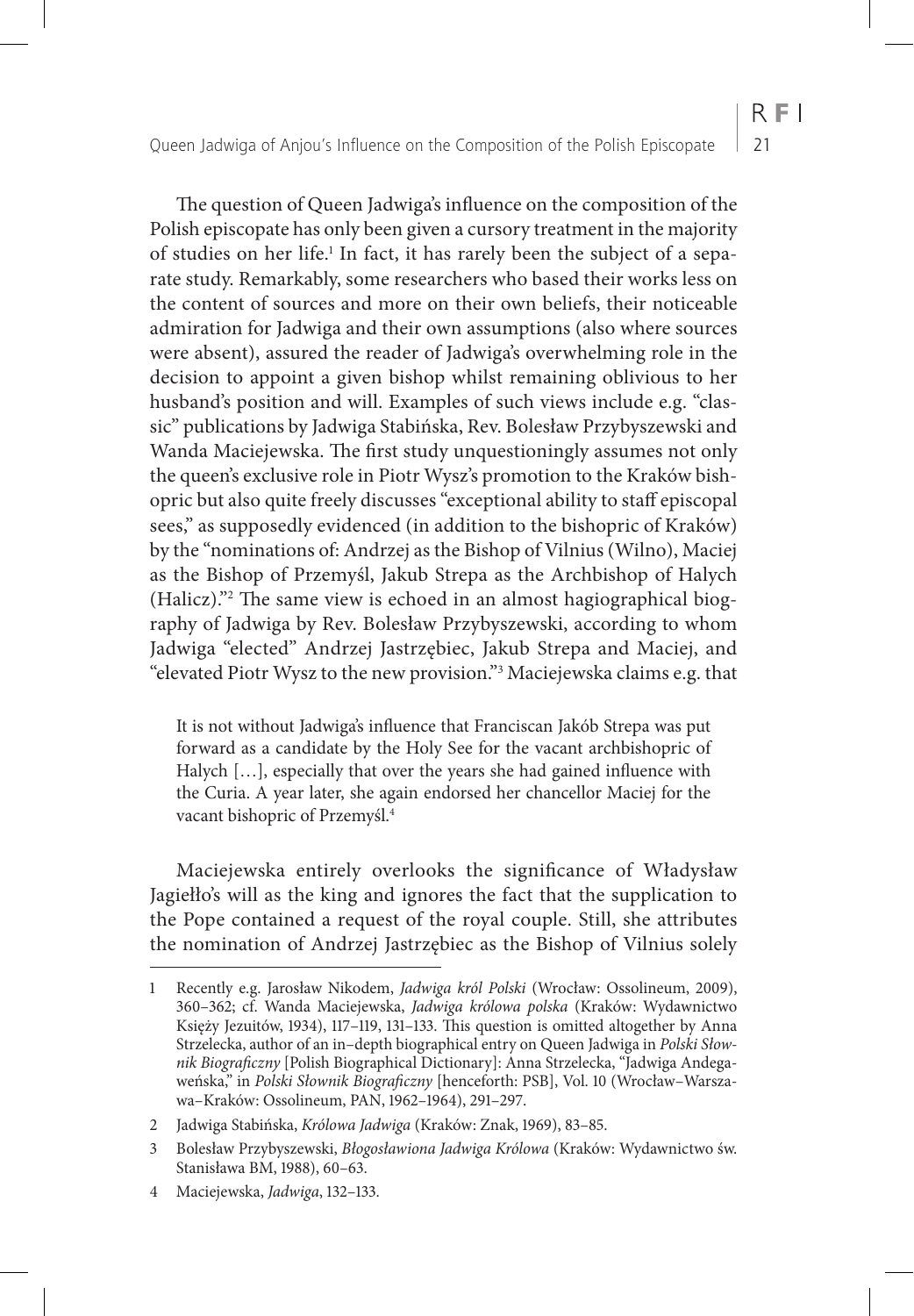The question of Queen Jadwiga's influence on the composition of the Polish episcopate has only been given a cursory treatment in the majority of studies on her life.<sup>1</sup> In fact, it has rarely been the subject of a separate study. Remarkably, some researchers who based their works less on the content of sources and more on their own beliefs, their noticeable admiration for Jadwiga and their own assumptions (also where sources were absent), assured the reader of Jadwiga's overwhelming role in the decision to appoint a given bishop whilst remaining oblivious to her husband's position and will. Examples of such views include e.g. "classic" publications by Jadwiga Stabińska, Rev. Bolesław Przybyszewski and Wanda Maciejewska. The first study unquestioningly assumes not only the queen's exclusive role in Piotr Wysz's promotion to the Kraków bishopric but also quite freely discusses "exceptional ability to staff episcopal sees," as supposedly evidenced (in addition to the bishopric of Kraków) by the "nominations of: Andrzej as the Bishop of Vilnius (Wilno), Maciej as the Bishop of Przemyśl, Jakub Strepa as the Archbishop of Halych (Halicz)."2 The same view is echoed in an almost hagiographical biography of Jadwiga by Rev. Bolesław Przybyszewski, according to whom Jadwiga "elected" Andrzej Jastrzębiec, Jakub Strepa and Maciej, and "elevated Piotr Wysz to the new provision."3 Maciejewska claims e.g. that

It is not without Jadwiga's influence that Franciscan Jakób Strepa was put forward as a candidate by the Holy See for the vacant archbishopric of Halych […], especially that over the years she had gained influence with the Curia. A year later, she again endorsed her chancellor Maciej for the vacant bishopric of Przemyśl.4

Maciejewska entirely overlooks the significance of Władysław Jagiełło's will as the king and ignores the fact that the supplication to the Pope contained a request of the royal couple. Still, she attributes the nomination of Andrzej Jastrzębiec as the Bishop of Vilnius solely

 $R F1$ 

<sup>1</sup> Recently e.g. Jarosław Nikodem, *Jadwiga król Polski* (Wrocław: Ossolineum, 2009), 360–362; cf. Wanda Maciejewska, *Jadwiga królowa polska* (Kraków: Wydawnictwo Księży Jezuitów, 1934), 117–119, 131–133. This question is omitted altogether by Anna Strzelecka, author of an in–depth biographical entry on Queen Jadwiga in *Polski Słownik Biograficzny* [Polish Biographical Dictionary]: Anna Strzelecka, "Jadwiga Andegaweńska," in *Polski Słownik Biograficzny* [henceforth: PSB], Vol. 10 (Wrocław–Warszawa–Kraków: Ossolineum, PAN, 1962–1964), 291–297.

<sup>2</sup> Jadwiga Stabińska, *Królowa Jadwiga* (Kraków: Znak, 1969), 83–85.

<sup>3</sup> Bolesław Przybyszewski, *Błogosławiona Jadwiga Królowa* (Kraków: Wydawnictwo św. Stanisława BM, 1988), 60–63.

<sup>4</sup> Maciejewska, *Jadwiga*, 132–133.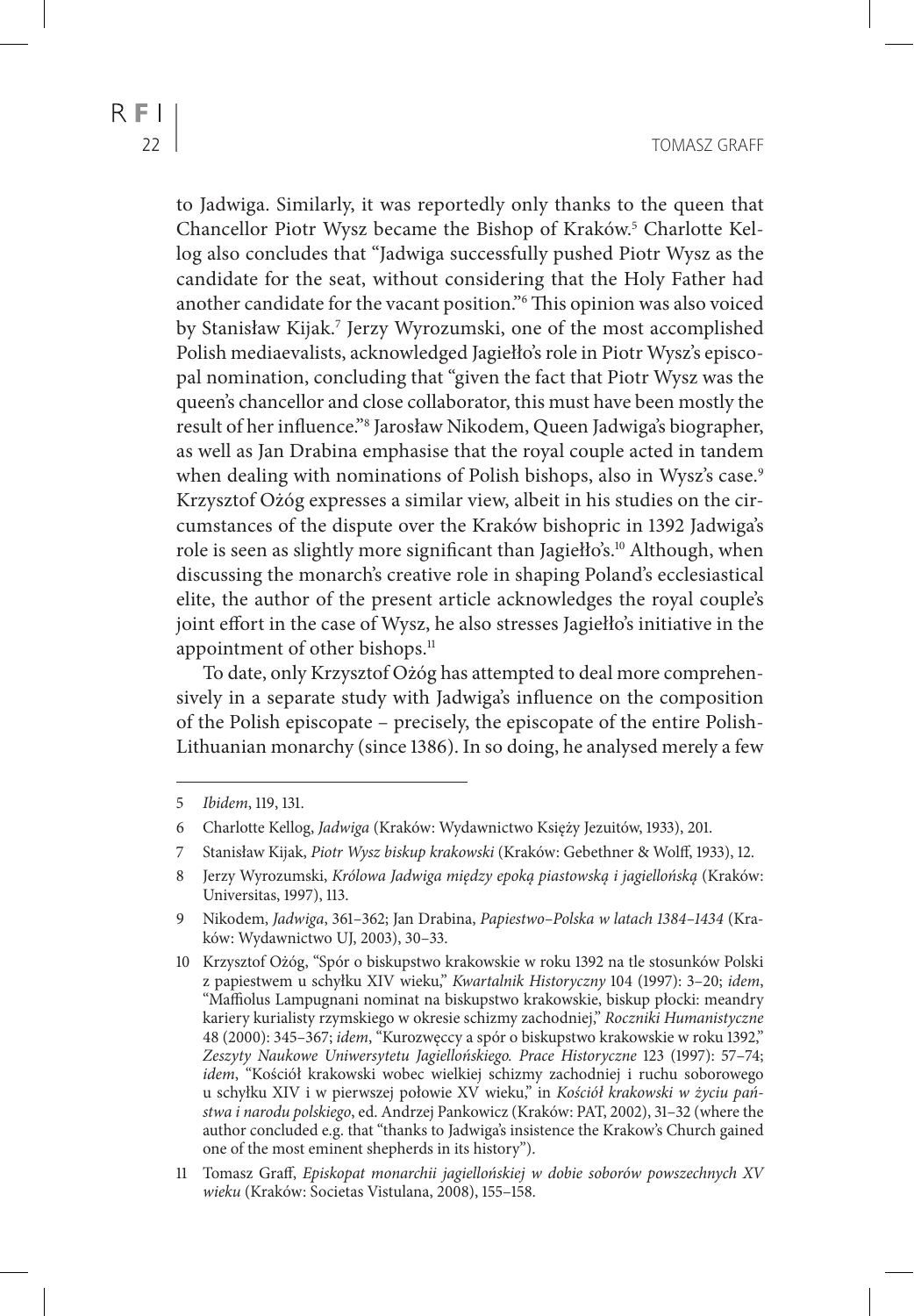to Jadwiga. Similarly, it was reportedly only thanks to the queen that Chancellor Piotr Wysz became the Bishop of Kraków.<sup>5</sup> Charlotte Kellog also concludes that "Jadwiga successfully pushed Piotr Wysz as the candidate for the seat, without considering that the Holy Father had another candidate for the vacant position."6 This opinion was also voiced by Stanisław Kijak.7 Jerzy Wyrozumski, one of the most accomplished Polish mediaevalists, acknowledged Jagiełło's role in Piotr Wysz's episcopal nomination, concluding that "given the fact that Piotr Wysz was the queen's chancellor and close collaborator, this must have been mostly the result of her influence."8 Jarosław Nikodem, Queen Jadwiga's biographer, as well as Jan Drabina emphasise that the royal couple acted in tandem when dealing with nominations of Polish bishops, also in Wysz's case.<sup>9</sup> Krzysztof Ożóg expresses a similar view, albeit in his studies on the circumstances of the dispute over the Kraków bishopric in 1392 Jadwiga's role is seen as slightly more significant than Jagiełło's.<sup>10</sup> Although, when discussing the monarch's creative role in shaping Poland's ecclesiastical elite, the author of the present article acknowledges the royal couple's joint effort in the case of Wysz, he also stresses Jagiełło's initiative in the appointment of other bishops.<sup>11</sup>

To date, only Krzysztof Ożóg has attempted to deal more comprehensively in a separate study with Jadwiga's influence on the composition of the Polish episcopate – precisely, the episcopate of the entire Polish-Lithuanian monarchy (since 1386). In so doing, he analysed merely a few

<sup>5</sup> *Ibidem*, 119, 131.

<sup>6</sup> Charlotte Kellog, *Jadwiga* (Kraków: Wydawnictwo Księży Jezuitów, 1933), 201.

<sup>7</sup> Stanisław Kijak, *Piotr Wysz biskup krakowski* (Kraków: Gebethner & Wolff, 1933), 12.

<sup>8</sup> Jerzy Wyrozumski, *Królowa Jadwiga między epoką piastowską i jagiellońską* (Kraków: Universitas, 1997), 113.

<sup>9</sup> Nikodem, *Jadwiga*, 361–362; Jan Drabina, *Papiestwo–Polska w latach 1384–1434* (Kraków: Wydawnictwo UJ, 2003), 30–33.

<sup>10</sup> Krzysztof Ożóg, "Spór o biskupstwo krakowskie w roku 1392 na tle stosunków Polski z papiestwem u schyłku XIV wieku," *Kwartalnik Historyczny* 104 (1997): 3–20; *idem*, "Maffiolus Lampugnani nominat na biskupstwo krakowskie, biskup płocki: meandry kariery kurialisty rzymskiego w okresie schizmy zachodniej," *Roczniki Humanistyczne* 48 (2000): 345–367; *idem*, "Kurozwęccy a spór o biskupstwo krakowskie w roku 1392," *Zeszyty Naukowe Uniwersytetu Jagiellońskiego. Prace Historyczne* 123 (1997): 57–74; *idem*, "Kościół krakowski wobec wielkiej schizmy zachodniej i ruchu soborowego u schyłku XIV i w pierwszej połowie XV wieku," in *Kościół krakowski w życiu państwa i narodu polskiego*, ed. Andrzej Pankowicz (Kraków: PAT, 2002), 31–32 (where the author concluded e.g. that "thanks to Jadwiga's insistence the Krakow's Church gained one of the most eminent shepherds in its history").

<sup>11</sup> Tomasz Graff, *Episkopat monarchii jagiellońskiej w dobie soborów powszechnych XV wieku* (Kraków: Societas Vistulana, 2008), 155–158.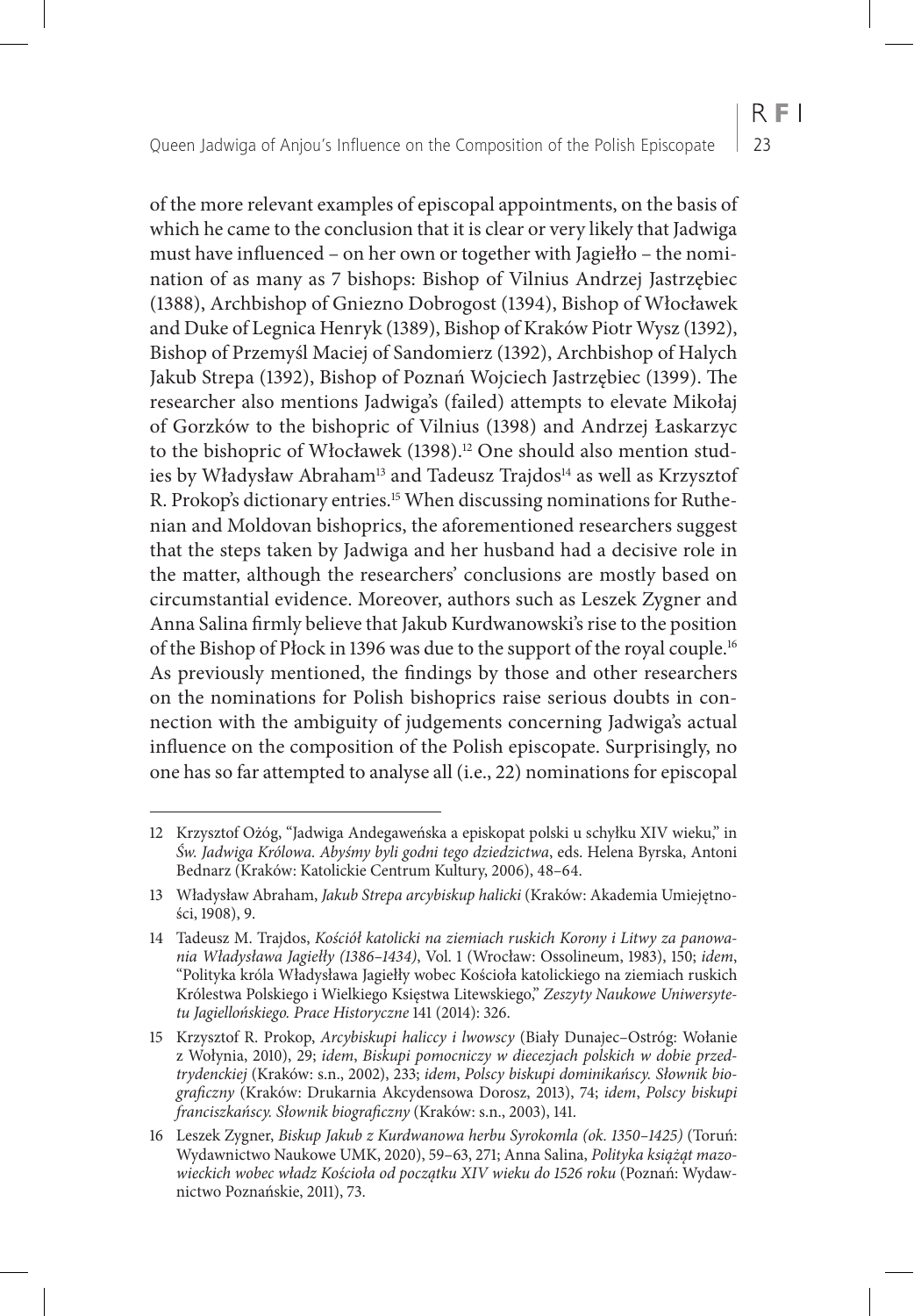$R F1$ 

of the more relevant examples of episcopal appointments, on the basis of which he came to the conclusion that it is clear or very likely that Jadwiga must have influenced – on her own or together with Jagiełło – the nomination of as many as 7 bishops: Bishop of Vilnius Andrzej Jastrzębiec (1388), Archbishop of Gniezno Dobrogost (1394), Bishop of Włocławek and Duke of Legnica Henryk (1389), Bishop of Kraków Piotr Wysz (1392), Bishop of Przemyśl Maciej of Sandomierz (1392), Archbishop of Halych Jakub Strepa (1392), Bishop of Poznań Wojciech Jastrzębiec (1399). The researcher also mentions Jadwiga's (failed) attempts to elevate Mikołaj of Gorzków to the bishopric of Vilnius (1398) and Andrzej Łaskarzyc to the bishopric of Włocławek (1398).<sup>12</sup> One should also mention studies by Władysław Abraham<sup>13</sup> and Tadeusz Trajdos<sup>14</sup> as well as Krzysztof R. Prokop's dictionary entries.<sup>15</sup> When discussing nominations for Ruthenian and Moldovan bishoprics, the aforementioned researchers suggest that the steps taken by Jadwiga and her husband had a decisive role in the matter, although the researchers' conclusions are mostly based on circumstantial evidence. Moreover, authors such as Leszek Zygner and Anna Salina firmly believe that Jakub Kurdwanowski's rise to the position of the Bishop of Płock in 1396 was due to the support of the royal couple.16 As previously mentioned, the findings by those and other researchers on the nominations for Polish bishoprics raise serious doubts in connection with the ambiguity of judgements concerning Jadwiga's actual influence on the composition of the Polish episcopate. Surprisingly, no one has so far attempted to analyse all (i.e., 22) nominations for episcopal

<sup>12</sup> Krzysztof Ożóg, "Jadwiga Andegaweńska a episkopat polski u schyłku XIV wieku," in *Św. Jadwiga Królowa. Abyśmy byli godni tego dziedzictwa*, eds. Helena Byrska, Antoni Bednarz (Kraków: Katolickie Centrum Kultury, 2006), 48–64.

<sup>13</sup> Władysław Abraham, *Jakub Strepa arcybiskup halicki* (Kraków: Akademia Umiejętności, 1908), 9.

<sup>14</sup> Tadeusz M. Trajdos, *Kościół katolicki na ziemiach ruskich Korony i Litwy za panowania Władysława Jagiełły (1386–1434)*, Vol. 1 (Wrocław: Ossolineum, 1983), 150; *idem*, "Polityka króla Władysława Jagiełły wobec Kościoła katolickiego na ziemiach ruskich Królestwa Polskiego i Wielkiego Księstwa Litewskiego," *Zeszyty Naukowe Uniwersytetu Jagiellońskiego. Prace Historyczne* 141 (2014): 326.

<sup>15</sup> Krzysztof R. Prokop, *Arcybiskupi haliccy i lwowscy* (Biały Dunajec–Ostróg: Wołanie z Wołynia, 2010), 29; *idem*, *Biskupi pomocniczy w diecezjach polskich w dobie przedtrydenckiej* (Kraków: s.n., 2002), 233; *idem*, *Polscy biskupi dominikańscy. Słownik biograficzny* (Kraków: Drukarnia Akcydensowa Dorosz, 2013), 74; *idem*, *Polscy biskupi franciszkańscy. Słownik biograficzny* (Kraków: s.n., 2003), 141.

<sup>16</sup> Leszek Zygner, *Biskup Jakub z Kurdwanowa herbu Syrokomla (ok. 1350–1425)* (Toruń: Wydawnictwo Naukowe UMK, 2020), 59–63, 271; Anna Salina, *Polityka książąt mazowieckich wobec władz Kościoła od początku XIV wieku do 1526 roku* (Poznań: Wydawnictwo Poznańskie, 2011), 73.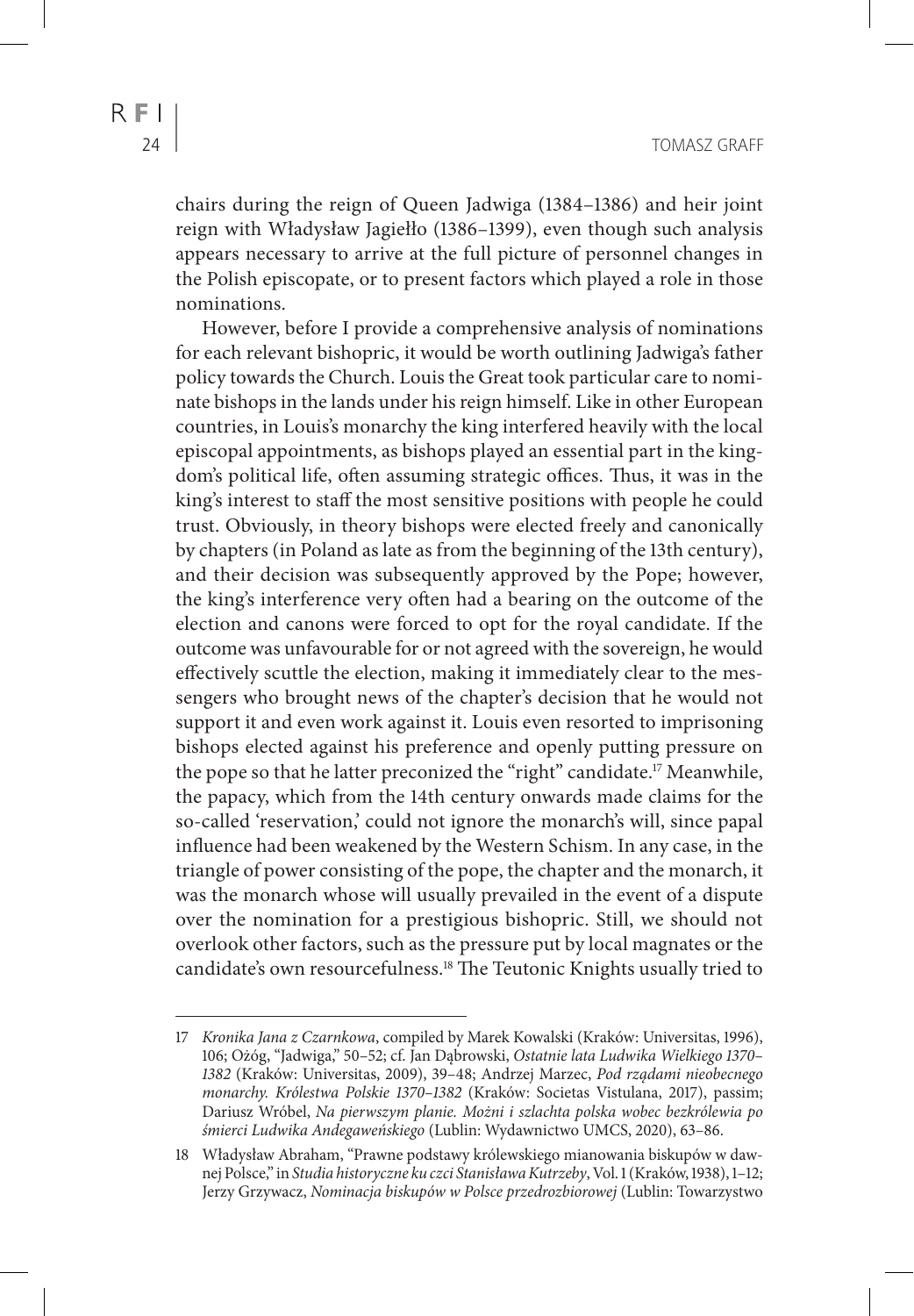R E L

chairs during the reign of Queen Jadwiga (1384–1386) and heir joint reign with Władysław Jagiełło (1386–1399), even though such analysis appears necessary to arrive at the full picture of personnel changes in the Polish episcopate, or to present factors which played a role in those nominations.

However, before I provide a comprehensive analysis of nominations for each relevant bishopric, it would be worth outlining Jadwiga's father policy towards the Church. Louis the Great took particular care to nominate bishops in the lands under his reign himself. Like in other European countries, in Louis's monarchy the king interfered heavily with the local episcopal appointments, as bishops played an essential part in the kingdom's political life, often assuming strategic offices. Thus, it was in the king's interest to staff the most sensitive positions with people he could trust. Obviously, in theory bishops were elected freely and canonically by chapters (in Poland as late as from the beginning of the 13th century), and their decision was subsequently approved by the Pope; however, the king's interference very often had a bearing on the outcome of the election and canons were forced to opt for the royal candidate. If the outcome was unfavourable for or not agreed with the sovereign, he would effectively scuttle the election, making it immediately clear to the messengers who brought news of the chapter's decision that he would not support it and even work against it. Louis even resorted to imprisoning bishops elected against his preference and openly putting pressure on the pope so that he latter preconized the "right" candidate.<sup>17</sup> Meanwhile, the papacy, which from the 14th century onwards made claims for the so-called 'reservation,' could not ignore the monarch's will, since papal influence had been weakened by the Western Schism. In any case, in the triangle of power consisting of the pope, the chapter and the monarch, it was the monarch whose will usually prevailed in the event of a dispute over the nomination for a prestigious bishopric. Still, we should not overlook other factors, such as the pressure put by local magnates or the candidate's own resourcefulness.18 The Teutonic Knights usually tried to

<sup>17</sup> *Kronika Jana z Czarnkowa*, compiled by Marek Kowalski (Kraków: Universitas, 1996), 106; Ożóg, "Jadwiga," 50–52; cf. Jan Dąbrowski, *Ostatnie lata Ludwika Wielkiego 1370– 1382* (Kraków: Universitas, 2009), 39–48; Andrzej Marzec, *Pod rządami nieobecnego monarchy. Królestwa Polskie 1370–1382* (Kraków: Societas Vistulana, 2017), passim; Dariusz Wróbel, *Na pierwszym planie. Możni i szlachta polska wobec bezkrólewia po śmierci Ludwika Andegaweńskiego* (Lublin: Wydawnictwo UMCS, 2020), 63–86.

<sup>18</sup> Władysław Abraham, "Prawne podstawy królewskiego mianowania biskupów w dawnej Polsce," in *Studia historyczne ku czci Stanisława Kutrzeby*, Vol. 1 (Kraków, 1938), 1–12; Jerzy Grzywacz, *Nominacja biskupów w Polsce przedrozbiorowej* (Lublin: Towarzystwo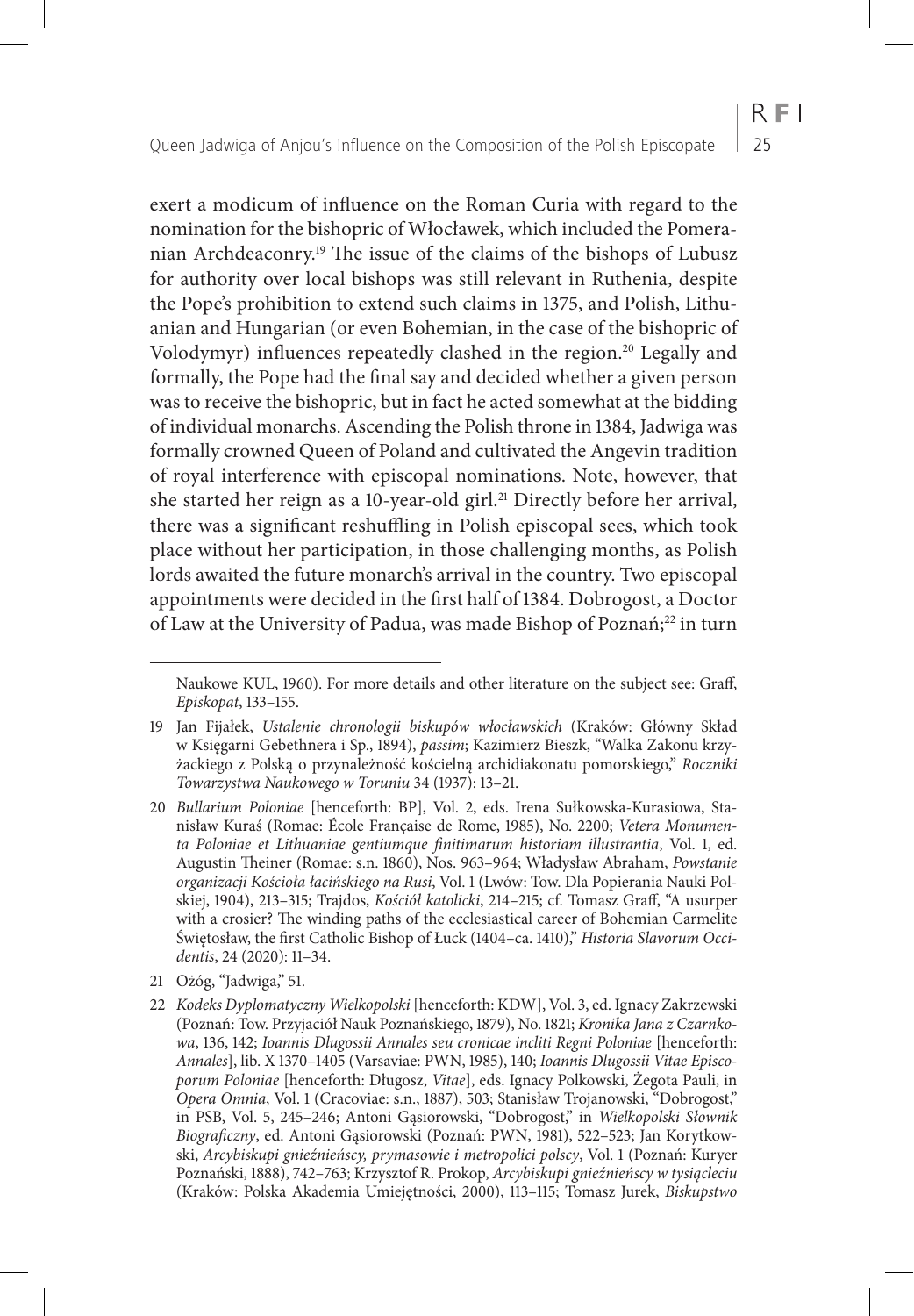exert a modicum of influence on the Roman Curia with regard to the nomination for the bishopric of Włocławek, which included the Pomeranian Archdeaconry.19 The issue of the claims of the bishops of Lubusz for authority over local bishops was still relevant in Ruthenia, despite the Pope's prohibition to extend such claims in 1375, and Polish, Lithuanian and Hungarian (or even Bohemian, in the case of the bishopric of Volodymyr) influences repeatedly clashed in the region.<sup>20</sup> Legally and formally, the Pope had the final say and decided whether a given person was to receive the bishopric, but in fact he acted somewhat at the bidding of individual monarchs. Ascending the Polish throne in 1384, Jadwiga was formally crowned Queen of Poland and cultivated the Angevin tradition of royal interference with episcopal nominations. Note, however, that she started her reign as a 10-year-old girl.<sup>21</sup> Directly before her arrival, there was a significant reshuffling in Polish episcopal sees, which took place without her participation, in those challenging months, as Polish lords awaited the future monarch's arrival in the country. Two episcopal appointments were decided in the first half of 1384. Dobrogost, a Doctor of Law at the University of Padua, was made Bishop of Poznań;<sup>22</sup> in turn

Naukowe KUL, 1960). For more details and other literature on the subject see: Graff, *Episkopat*, 133–155.

<sup>19</sup> Jan Fijałek, *Ustalenie chronologii biskupów włocławskich* (Kraków: Główny Skład w Księgarni Gebethnera i Sp., 1894), *passim*; Kazimierz Bieszk, "Walka Zakonu krzyżackiego z Polską o przynależność kościelną archidiakonatu pomorskiego," *Roczniki Towarzystwa Naukowego w Toruniu* 34 (1937): 13–21.

<sup>20</sup> *Bullarium Poloniae* [henceforth: BP], Vol. 2, eds. Irena Sułkowska-Kurasiowa, Stanisław Kuraś (Romae: École Française de Rome, 1985), No. 2200; *Vetera Monumenta Poloniae et Lithuaniae gentiumque finitimarum historiam illustrantia*, Vol. 1, ed. Augustin Theiner (Romae: s.n. 1860), Nos. 963–964; Władysław Abraham, *Powstanie organizacji Kościoła łacińskiego na Rusi*, Vol. 1 (Lwów: Tow. Dla Popierania Nauki Polskiej, 1904), 213–315; Trajdos, *Kościół katolicki*, 214–215; cf. Tomasz Graff, "A usurper with a crosier? The winding paths of the ecclesiastical career of Bohemian Carmelite Świętosław, the first Catholic Bishop of Łuck (1404–ca. 1410)," *Historia Slavorum Occidentis*, 24 (2020): 11–34.

<sup>21</sup> Ożóg, "Jadwiga," 51.

<sup>22</sup> *Kodeks Dyplomatyczny Wielkopolski* [henceforth: KDW], Vol. 3, ed. Ignacy Zakrzewski (Poznań: Tow. Przyjaciół Nauk Poznańskiego, 1879), No. 1821; *Kronika Jana z Czarnkowa*, 136, 142; *Ioannis Dlugossii Annales seu cronicae incliti Regni Poloniae* [henceforth: *Annales*], lib. X 1370–1405 (Varsaviae: PWN, 1985), 140; *Ioannis Dlugossii Vitae Episcoporum Poloniae* [henceforth: Długosz, *Vitae*], eds. Ignacy Polkowski, Żegota Pauli, in *Opera Omnia*, Vol. 1 (Cracoviae: s.n., 1887), 503; Stanisław Trojanowski, "Dobrogost," in PSB, Vol. 5, 245–246; Antoni Gąsiorowski, "Dobrogost," in *Wielkopolski Słownik Biograficzny*, ed. Antoni Gąsiorowski (Poznań: PWN, 1981), 522–523; Jan Korytkowski, *Arcybiskupi gnieźnieńscy, prymasowie i metropolici polscy*, Vol. 1 (Poznań: Kuryer Poznański, 1888), 742–763; Krzysztof R. Prokop, *Arcybiskupi gnieźnieńscy w tysiącleciu* (Kraków: Polska Akademia Umiejętności, 2000), 113–115; Tomasz Jurek, *Biskupstwo*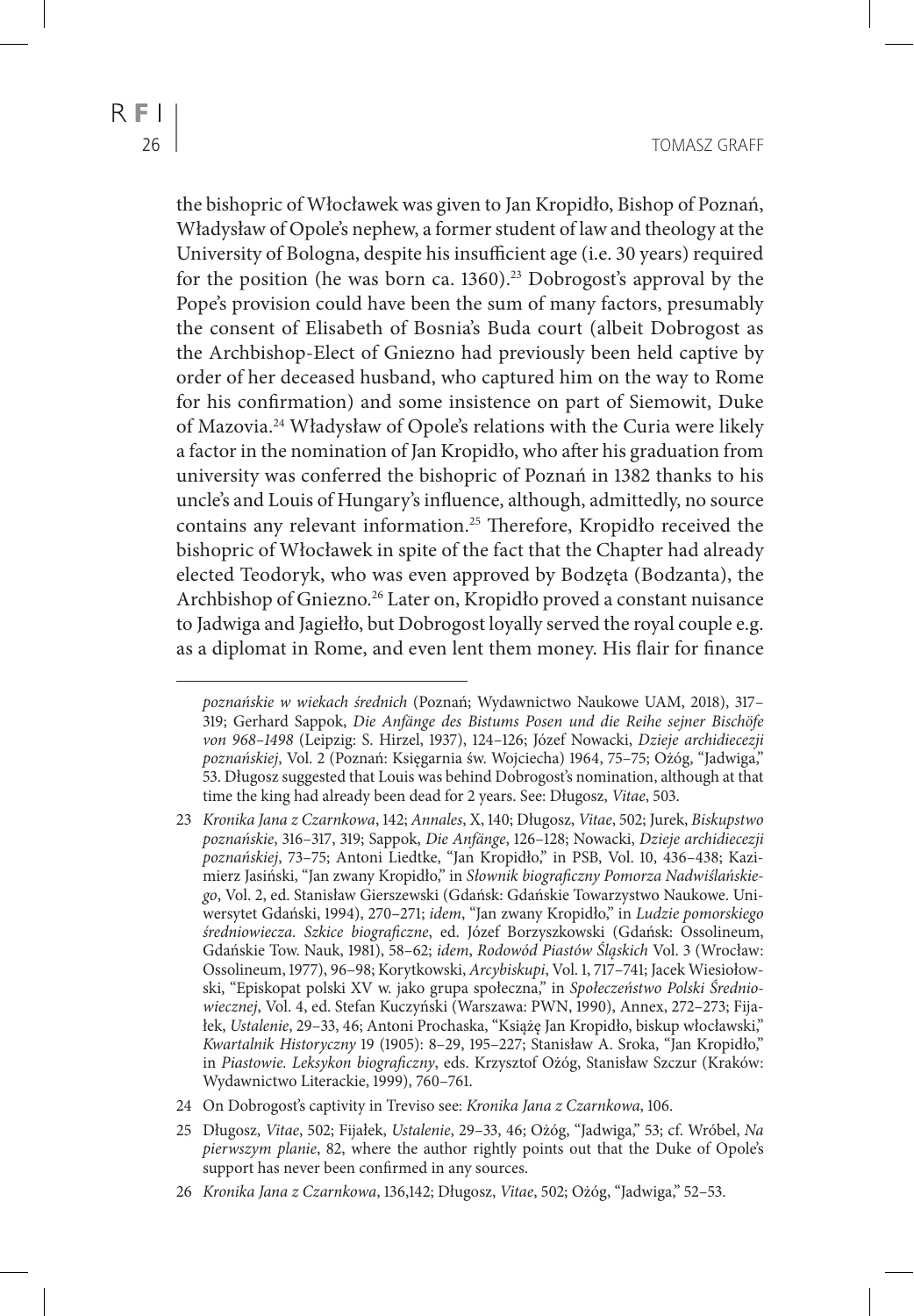the bishopric of Włocławek was given to Jan Kropidło, Bishop of Poznań, Władysław of Opole's nephew, a former student of law and theology at the University of Bologna, despite his insufficient age (i.e. 30 years) required for the position (he was born ca.  $1360$ ).<sup>23</sup> Dobrogost's approval by the Pope's provision could have been the sum of many factors, presumably the consent of Elisabeth of Bosnia's Buda court (albeit Dobrogost as the Archbishop-Elect of Gniezno had previously been held captive by order of her deceased husband, who captured him on the way to Rome for his confirmation) and some insistence on part of Siemowit, Duke of Mazovia.24 Władysław of Opole's relations with the Curia were likely a factor in the nomination of Jan Kropidło, who after his graduation from university was conferred the bishopric of Poznań in 1382 thanks to his uncle's and Louis of Hungary's influence, although, admittedly, no source contains any relevant information.25 Therefore, Kropidło received the bishopric of Włocławek in spite of the fact that the Chapter had already elected Teodoryk, who was even approved by Bodzęta (Bodzanta), the Archbishop of Gniezno.26 Later on, Kropidło proved a constant nuisance to Jadwiga and Jagiełło, but Dobrogost loyally served the royal couple e.g. as a diplomat in Rome, and even lent them money. His flair for finance

*poznańskie w wiekach średnich* (Poznań; Wydawnictwo Naukowe UAM, 2018), 317– 319; Gerhard Sappok, *Die Anfänge des Bistums Posen und die Reihe sejner Bischöfe von 968–1498* (Leipzig: S. Hirzel, 1937), 124–126; Józef Nowacki, *Dzieje archidiecezji poznańskiej*, Vol. 2 (Poznań: Księgarnia św. Wojciecha) 1964, 75–75; Ożóg, "Jadwiga," 53. Długosz suggested that Louis was behind Dobrogost's nomination, although at that time the king had already been dead for 2 years. See: Długosz, *Vitae*, 503.

<sup>23</sup> *Kronika Jana z Czarnkowa*, 142; *Annales*, X, 140; Długosz, *Vitae*, 502; Jurek, *Biskupstwo poznańskie*, 316–317, 319; Sappok, *Die Anfänge*, 126–128; Nowacki, *Dzieje archidiecezji poznańskiej*, 73–75; Antoni Liedtke, "Jan Kropidło," in PSB, Vol. 10, 436–438; Kazimierz Jasiński, "Jan zwany Kropidło," in *Słownik biograficzny Pomorza Nadwiślańskiego*, Vol. 2, ed. Stanisław Gierszewski (Gdańsk: Gdańskie Towarzystwo Naukowe. Uniwersytet Gdański, 1994), 270–271; *idem*, "Jan zwany Kropidło," in *Ludzie pomorskiego średniowiecza. Szkice biograficzne*, ed. Józef Borzyszkowski (Gdańsk: Ossolineum, Gdańskie Tow. Nauk, 1981), 58–62; *idem*, *Rodowód Piastów Śląskich* Vol. 3 (Wrocław: Ossolineum, 1977), 96–98; Korytkowski, *Arcybiskupi*, Vol. 1, 717–741; Jacek Wiesiołowski, "Episkopat polski XV w. jako grupa społeczna," in *Społeczeństwo Polski Średniowiecznej*, Vol. 4, ed. Stefan Kuczyński (Warszawa: PWN, 1990), Annex, 272–273; Fijałek, *Ustalenie*, 29–33, 46; Antoni Prochaska, "Książę Jan Kropidło, biskup włocławski," *Kwartalnik Historyczny* 19 (1905): 8–29, 195–227; Stanisław A. Sroka, "Jan Kropidło," in *Piastowie. Leksykon biograficzny*, eds. Krzysztof Ożóg, Stanisław Szczur (Kraków: Wydawnictwo Literackie, 1999), 760–761.

<sup>24</sup> On Dobrogost's captivity in Treviso see: *Kronika Jana z Czarnkowa*, 106.

<sup>25</sup> Długosz, *Vitae*, 502; Fijałek, *Ustalenie*, 29–33, 46; Ożóg, "Jadwiga," 53; cf. Wróbel, *Na pierwszym planie*, 82, where the author rightly points out that the Duke of Opole's support has never been confirmed in any sources.

<sup>26</sup> *Kronika Jana z Czarnkowa*, 136,142; Długosz, *Vitae*, 502; Ożóg, "Jadwiga," 52–53.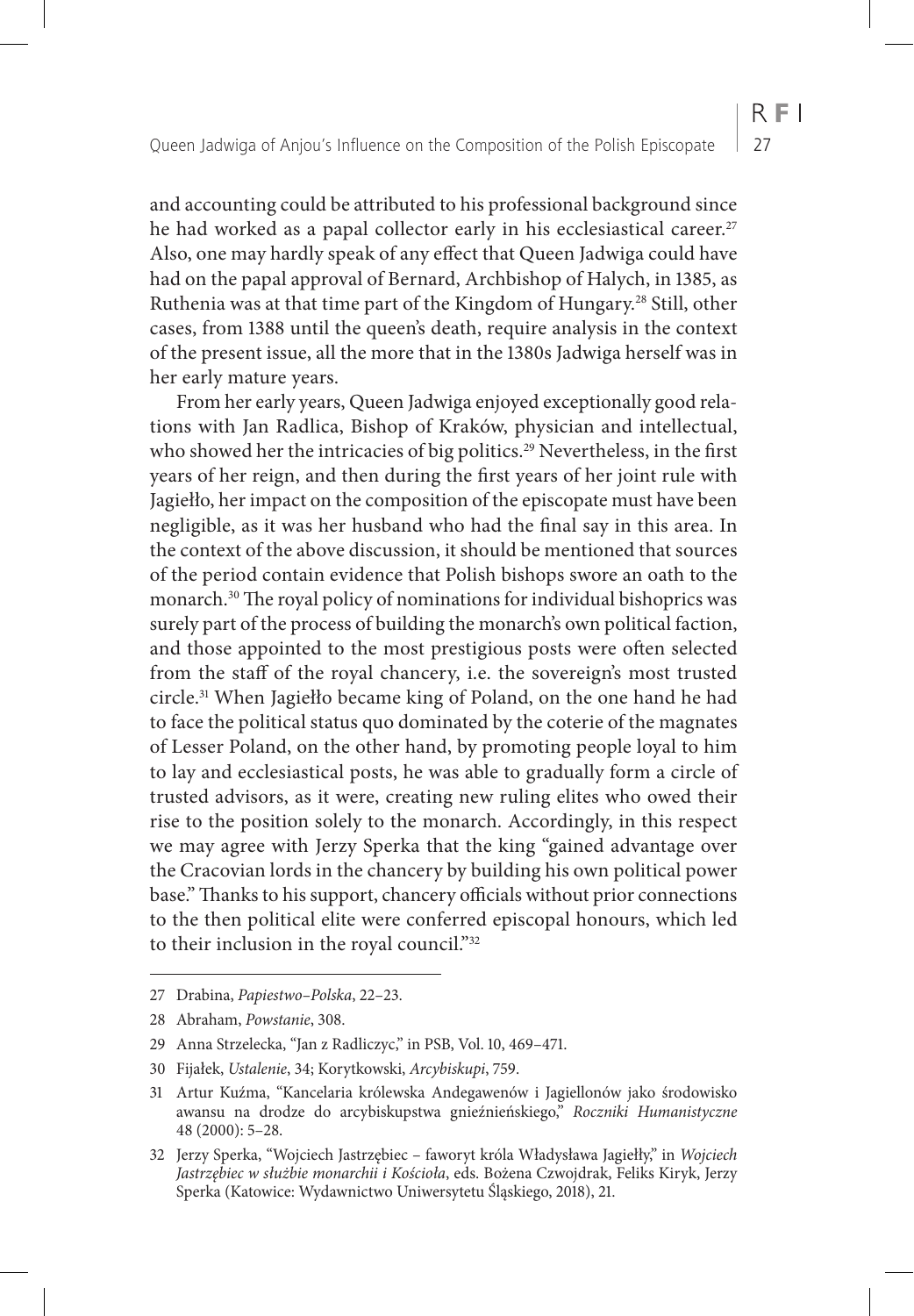and accounting could be attributed to his professional background since he had worked as a papal collector early in his ecclesiastical career.<sup>27</sup> Also, one may hardly speak of any effect that Queen Jadwiga could have had on the papal approval of Bernard, Archbishop of Halych, in 1385, as Ruthenia was at that time part of the Kingdom of Hungary.28 Still, other cases, from 1388 until the queen's death, require analysis in the context of the present issue, all the more that in the 1380s Jadwiga herself was in her early mature years.

From her early years, Queen Jadwiga enjoyed exceptionally good relations with Jan Radlica, Bishop of Kraków, physician and intellectual, who showed her the intricacies of big politics.<sup>29</sup> Nevertheless, in the first years of her reign, and then during the first years of her joint rule with Jagiełło, her impact on the composition of the episcopate must have been negligible, as it was her husband who had the final say in this area. In the context of the above discussion, it should be mentioned that sources of the period contain evidence that Polish bishops swore an oath to the monarch.30 The royal policy of nominations for individual bishoprics was surely part of the process of building the monarch's own political faction, and those appointed to the most prestigious posts were often selected from the staff of the royal chancery, i.e. the sovereign's most trusted circle.31 When Jagiełło became king of Poland, on the one hand he had to face the political status quo dominated by the coterie of the magnates of Lesser Poland, on the other hand, by promoting people loyal to him to lay and ecclesiastical posts, he was able to gradually form a circle of trusted advisors, as it were, creating new ruling elites who owed their rise to the position solely to the monarch. Accordingly, in this respect we may agree with Jerzy Sperka that the king "gained advantage over the Cracovian lords in the chancery by building his own political power base." Thanks to his support, chancery officials without prior connections to the then political elite were conferred episcopal honours, which led to their inclusion in the royal council."32

<sup>27</sup> Drabina, *Papiestwo–Polska*, 22–23.

<sup>28</sup> Abraham, *Powstanie*, 308.

<sup>29</sup> Anna Strzelecka, "Jan z Radliczyc," in PSB, Vol. 10, 469–471.

<sup>30</sup> Fijałek, *Ustalenie*, 34; Korytkowski, *Arcybiskupi*, 759.

<sup>31</sup> Artur Kuźma, "Kancelaria królewska Andegawenów i Jagiellonów jako środowisko awansu na drodze do arcybiskupstwa gnieźnieńskiego," *Roczniki Humanistyczne* 48 (2000): 5–28.

<sup>32</sup> Jerzy Sperka, "Wojciech Jastrzębiec – faworyt króla Władysława Jagiełły," in *Wojciech Jastrzębiec w służbie monarchii i Kościoła*, eds. Bożena Czwojdrak, Feliks Kiryk, Jerzy Sperka (Katowice: Wydawnictwo Uniwersytetu Śląskiego, 2018), 21.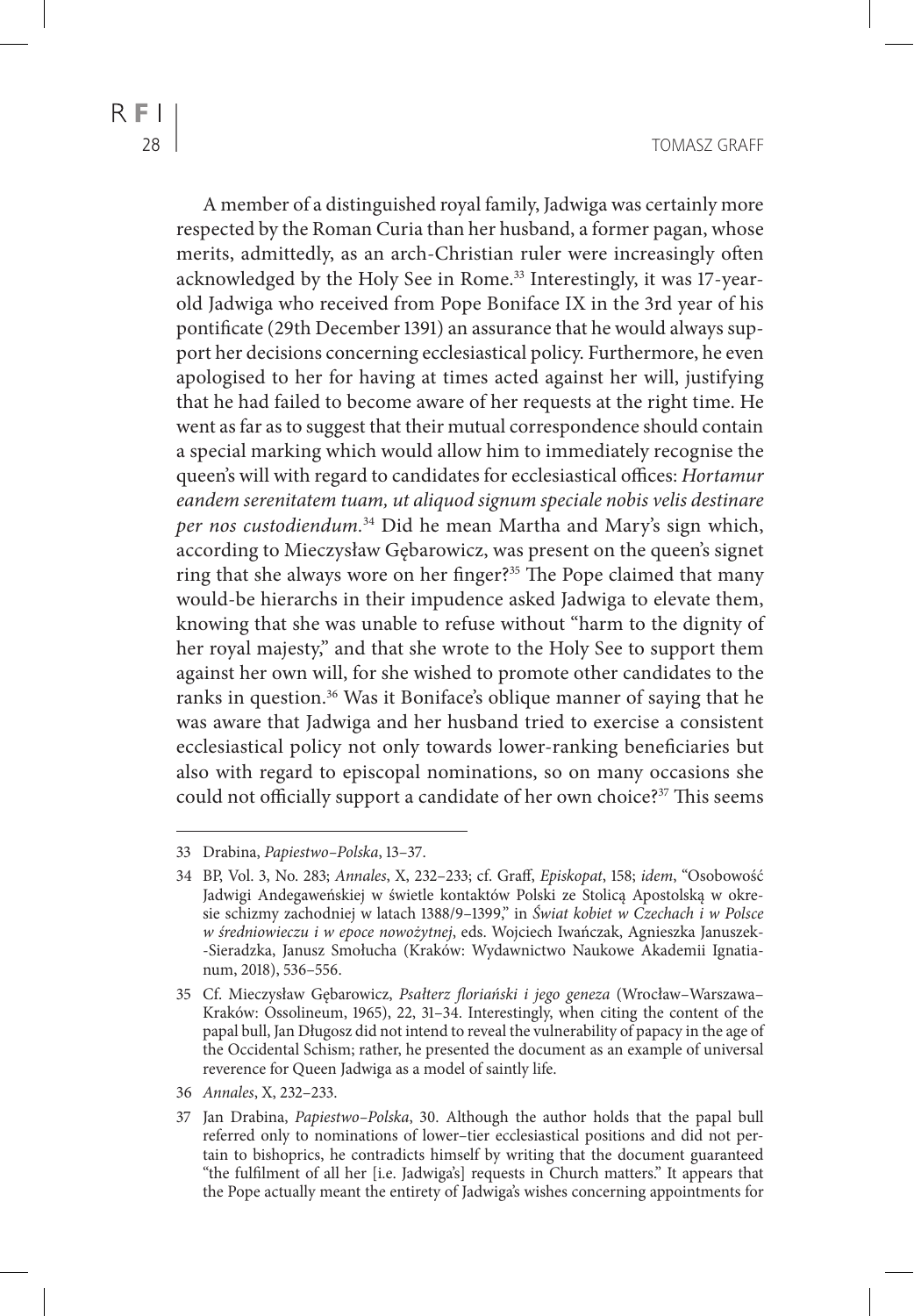A member of a distinguished royal family, Jadwiga was certainly more respected by the Roman Curia than her husband, a former pagan, whose merits, admittedly, as an arch-Christian ruler were increasingly often acknowledged by the Holy See in Rome.<sup>33</sup> Interestingly, it was 17-yearold Jadwiga who received from Pope Boniface IX in the 3rd year of his pontificate (29th December 1391) an assurance that he would always support her decisions concerning ecclesiastical policy. Furthermore, he even apologised to her for having at times acted against her will, justifying that he had failed to become aware of her requests at the right time. He went as far as to suggest that their mutual correspondence should contain a special marking which would allow him to immediately recognise the queen's will with regard to candidates for ecclesiastical offices: *Hortamur eandem serenitatem tuam, ut aliquod signum speciale nobis velis destinare per nos custodiendum.*34 Did he mean Martha and Mary's sign which, according to Mieczysław Gębarowicz, was present on the queen's signet ring that she always wore on her finger?<sup>35</sup> The Pope claimed that many would-be hierarchs in their impudence asked Jadwiga to elevate them, knowing that she was unable to refuse without "harm to the dignity of her royal majesty," and that she wrote to the Holy See to support them against her own will, for she wished to promote other candidates to the ranks in question.36 Was it Boniface's oblique manner of saying that he was aware that Jadwiga and her husband tried to exercise a consistent ecclesiastical policy not only towards lower-ranking beneficiaries but also with regard to episcopal nominations, so on many occasions she could not officially support a candidate of her own choice?<sup>37</sup> This seems

<sup>33</sup> Drabina, *Papiestwo–Polska*, 13–37.

<sup>34</sup> BP, Vol. 3, No. 283; *Annales*, X, 232–233; cf. Graff, *Episkopat*, 158; *idem*, "Osobowość Jadwigi Andegaweńskiej w świetle kontaktów Polski ze Stolicą Apostolską w okresie schizmy zachodniej w latach 1388/9–1399," in *Świat kobiet w Czechach i w Polsce w średniowieczu i w epoce nowożytnej*, eds. Wojciech Iwańczak, Agnieszka Januszek- -Sieradzka, Janusz Smołucha (Kraków: Wydawnictwo Naukowe Akademii Ignatianum, 2018), 536–556.

<sup>35</sup> Cf. Mieczysław Gębarowicz, *Psałterz floriański i jego geneza* (Wrocław–Warszawa– Kraków: Ossolineum, 1965), 22, 31–34. Interestingly, when citing the content of the papal bull, Jan Długosz did not intend to reveal the vulnerability of papacy in the age of the Occidental Schism; rather, he presented the document as an example of universal reverence for Queen Jadwiga as a model of saintly life.

<sup>36</sup> *Annales*, X, 232–233.

<sup>37</sup> Jan Drabina, *Papiestwo–Polska*, 30. Although the author holds that the papal bull referred only to nominations of lower–tier ecclesiastical positions and did not pertain to bishoprics, he contradicts himself by writing that the document guaranteed "the fulfilment of all her [i.e. Jadwiga's] requests in Church matters." It appears that the Pope actually meant the entirety of Jadwiga's wishes concerning appointments for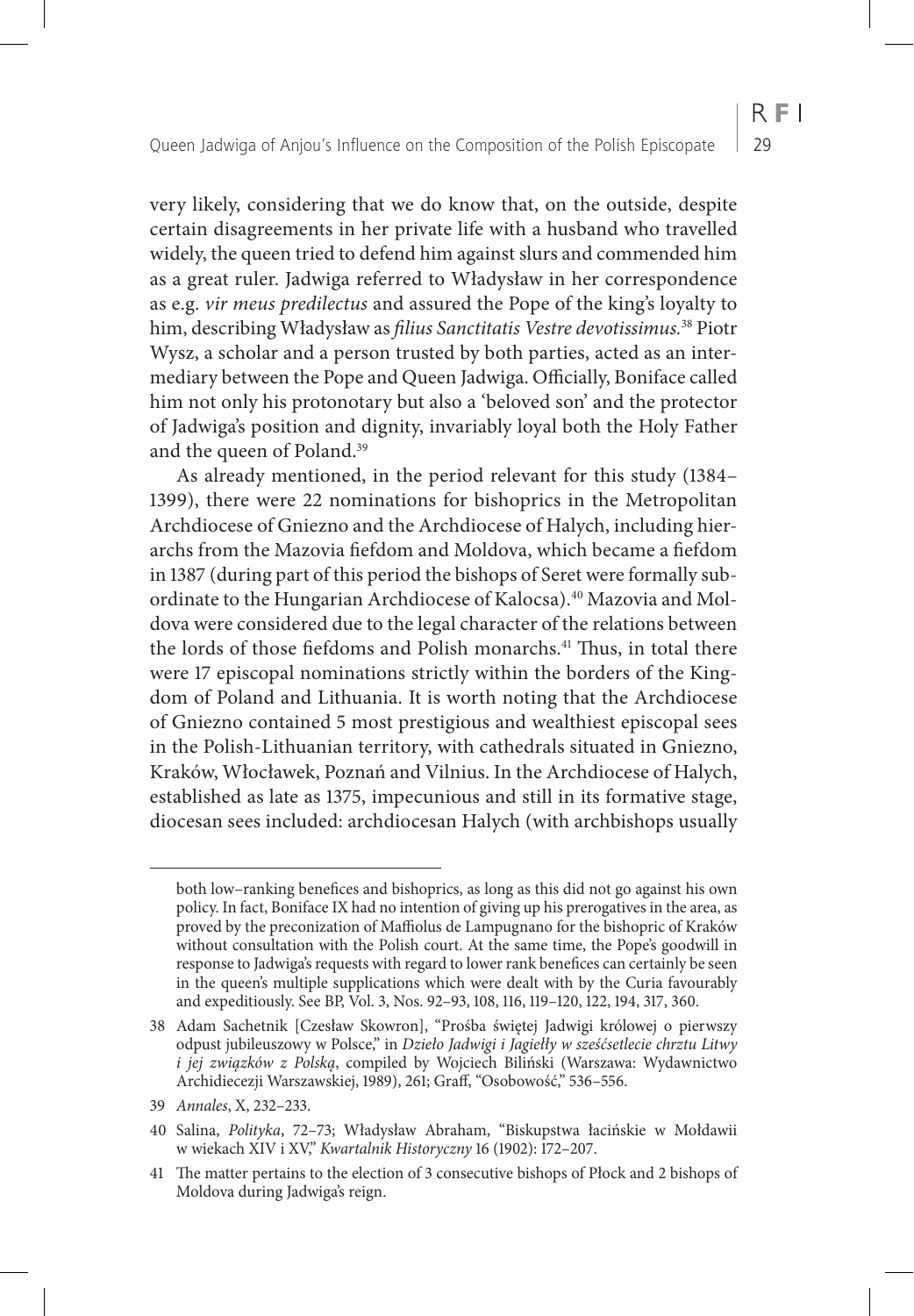very likely, considering that we do know that, on the outside, despite certain disagreements in her private life with a husband who travelled widely, the queen tried to defend him against slurs and commended him as a great ruler. Jadwiga referred to Władysław in her correspondence as e.g. *vir meus predilectus* and assured the Pope of the king's loyalty to him, describing Władysław as *filius Sanctitatis Vestre devotissimus.*38 Piotr Wysz, a scholar and a person trusted by both parties, acted as an intermediary between the Pope and Queen Jadwiga. Officially, Boniface called him not only his protonotary but also a 'beloved son' and the protector of Jadwiga's position and dignity, invariably loyal both the Holy Father and the queen of Poland.39

As already mentioned, in the period relevant for this study (1384– 1399), there were 22 nominations for bishoprics in the Metropolitan Archdiocese of Gniezno and the Archdiocese of Halych, including hierarchs from the Mazovia fiefdom and Moldova, which became a fiefdom in 1387 (during part of this period the bishops of Seret were formally subordinate to the Hungarian Archdiocese of Kalocsa).<sup>40</sup> Mazovia and Moldova were considered due to the legal character of the relations between the lords of those fiefdoms and Polish monarchs.<sup>41</sup> Thus, in total there were 17 episcopal nominations strictly within the borders of the Kingdom of Poland and Lithuania. It is worth noting that the Archdiocese of Gniezno contained 5 most prestigious and wealthiest episcopal sees in the Polish-Lithuanian territory, with cathedrals situated in Gniezno, Kraków, Włocławek, Poznań and Vilnius. In the Archdiocese of Halych, established as late as 1375, impecunious and still in its formative stage, diocesan sees included: archdiocesan Halych (with archbishops usually

both low–ranking benefices and bishoprics, as long as this did not go against his own policy. In fact, Boniface IX had no intention of giving up his prerogatives in the area, as proved by the preconization of Maffiolus de Lampugnano for the bishopric of Kraków without consultation with the Polish court. At the same time, the Pope's goodwill in response to Jadwiga's requests with regard to lower rank benefices can certainly be seen in the queen's multiple supplications which were dealt with by the Curia favourably and expeditiously. See BP, Vol. 3, Nos. 92–93, 108, 116, 119–120, 122, 194, 317, 360.

<sup>38</sup> Adam Sachetnik [Czesław Skowron], "Prośba świętej Jadwigi królowej o pierwszy odpust jubileuszowy w Polsce," in *Dzieło Jadwigi i Jagiełły w sześćsetlecie chrztu Litwy i jej związków z Polską*, compiled by Wojciech Biliński (Warszawa: Wydawnictwo Archidiecezji Warszawskiej, 1989), 261; Graff, "Osobowość," 536–556.

<sup>39</sup> *Annales*, X, 232–233.

<sup>40</sup> Salina, *Polityka*, 72–73; Władysław Abraham, "Biskupstwa łacińskie w Mołdawii w wiekach XIV i XV," *Kwartalnik Historyczny* 16 (1902): 172–207.

<sup>41</sup> The matter pertains to the election of 3 consecutive bishops of Płock and 2 bishops of Moldova during Jadwiga's reign.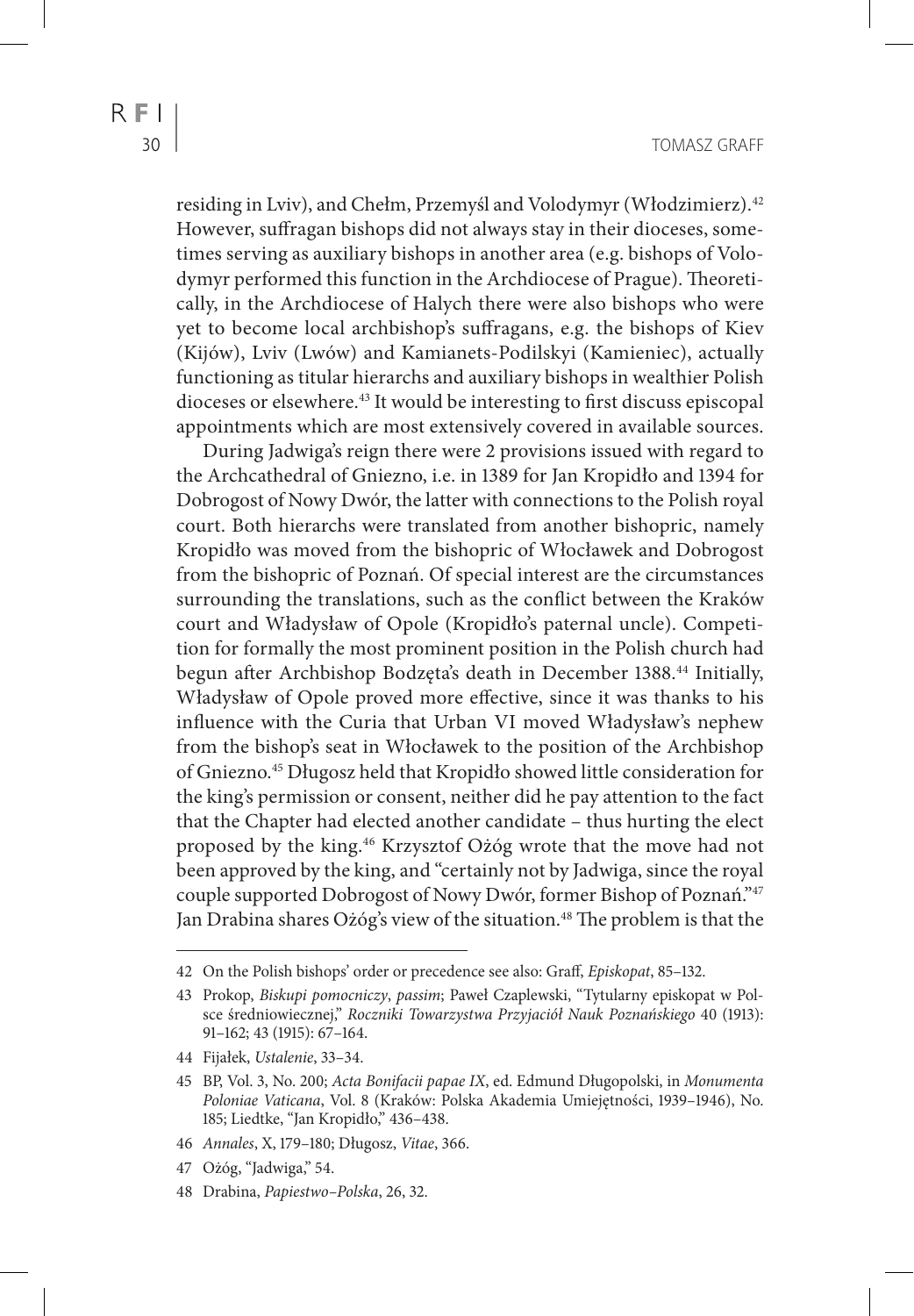residing in Lviv), and Chełm, Przemyśl and Volodymyr (Włodzimierz).42 However, suffragan bishops did not always stay in their dioceses, sometimes serving as auxiliary bishops in another area (e.g. bishops of Volodymyr performed this function in the Archdiocese of Prague). Theoretically, in the Archdiocese of Halych there were also bishops who were yet to become local archbishop's suffragans, e.g. the bishops of Kiev (Kijów), Lviv (Lwów) and Kamianets-Podilskyi (Kamieniec), actually functioning as titular hierarchs and auxiliary bishops in wealthier Polish dioceses or elsewhere.43 It would be interesting to first discuss episcopal appointments which are most extensively covered in available sources.

During Jadwiga's reign there were 2 provisions issued with regard to the Archcathedral of Gniezno, i.e. in 1389 for Jan Kropidło and 1394 for Dobrogost of Nowy Dwór, the latter with connections to the Polish royal court. Both hierarchs were translated from another bishopric, namely Kropidło was moved from the bishopric of Włocławek and Dobrogost from the bishopric of Poznań. Of special interest are the circumstances surrounding the translations, such as the conflict between the Kraków court and Władysław of Opole (Kropidło's paternal uncle). Competition for formally the most prominent position in the Polish church had begun after Archbishop Bodzęta's death in December 1388.44 Initially, Władysław of Opole proved more effective, since it was thanks to his influence with the Curia that Urban VI moved Władysław's nephew from the bishop's seat in Włocławek to the position of the Archbishop of Gniezno.45 Długosz held that Kropidło showed little consideration for the king's permission or consent, neither did he pay attention to the fact that the Chapter had elected another candidate – thus hurting the elect proposed by the king.46 Krzysztof Ożóg wrote that the move had not been approved by the king, and "certainly not by Jadwiga, since the royal couple supported Dobrogost of Nowy Dwór, former Bishop of Poznań."47 Jan Drabina shares Ożóg's view of the situation.<sup>48</sup> The problem is that the

- 46 *Annales*, X, 179–180; Długosz, *Vitae*, 366.
- 47 Ożóg, "Jadwiga," 54.
- 48 Drabina, *Papiestwo–Polska*, 26, 32.

<sup>42</sup> On the Polish bishops' order or precedence see also: Graff, *Episkopat*, 85–132.

<sup>43</sup> Prokop, *Biskupi pomocniczy*, *passim*; Paweł Czaplewski, "Tytularny episkopat w Polsce średniowiecznej," *Roczniki Towarzystwa Przyjaciół Nauk Poznańskiego* 40 (1913): 91–162; 43 (1915): 67–164.

<sup>44</sup> Fijałek, *Ustalenie*, 33–34.

<sup>45</sup> BP, Vol. 3, No. 200; *Acta Bonifacii papae IX*, ed. Edmund Długopolski, in *Monumenta Poloniae Vaticana*, Vol. 8 (Kraków: Polska Akademia Umiejętności, 1939–1946), No. 185; Liedtke, "Jan Kropidło," 436–438.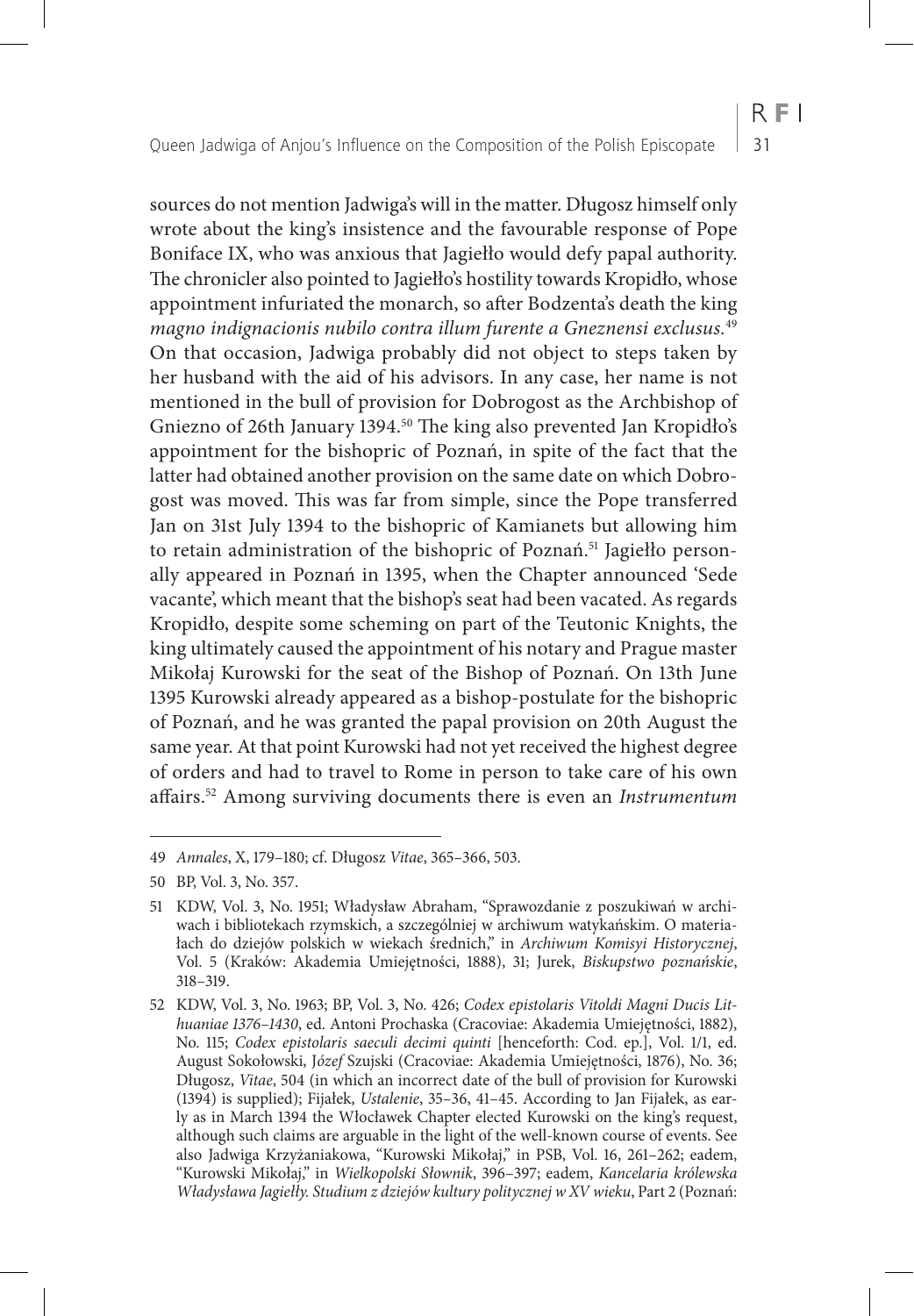sources do not mention Jadwiga's will in the matter. Długosz himself only wrote about the king's insistence and the favourable response of Pope Boniface IX, who was anxious that Jagiełło would defy papal authority. The chronicler also pointed to Jagiełło's hostility towards Kropidło, whose appointment infuriated the monarch, so after Bodzenta's death the king *magno indignacionis nubilo contra illum furente a Gneznensi exclusus.*<sup>49</sup> On that occasion, Jadwiga probably did not object to steps taken by her husband with the aid of his advisors. In any case, her name is not mentioned in the bull of provision for Dobrogost as the Archbishop of Gniezno of 26th January 1394.<sup>50</sup> The king also prevented Jan Kropidło's appointment for the bishopric of Poznań, in spite of the fact that the latter had obtained another provision on the same date on which Dobrogost was moved. This was far from simple, since the Pope transferred Jan on 31st July 1394 to the bishopric of Kamianets but allowing him to retain administration of the bishopric of Poznań.<sup>51</sup> Jagiełło personally appeared in Poznań in 1395, when the Chapter announced 'Sede vacante', which meant that the bishop's seat had been vacated. As regards Kropidło, despite some scheming on part of the Teutonic Knights, the king ultimately caused the appointment of his notary and Prague master Mikołaj Kurowski for the seat of the Bishop of Poznań. On 13th June 1395 Kurowski already appeared as a bishop-postulate for the bishopric of Poznań, and he was granted the papal provision on 20th August the same year. At that point Kurowski had not yet received the highest degree of orders and had to travel to Rome in person to take care of his own affairs.52 Among surviving documents there is even an *Instrumentum* 

<sup>49</sup> *Annales*, X, 179–180; cf. Długosz *Vitae*, 365–366, 503.

<sup>50</sup> BP, Vol. 3, No. 357.

<sup>51</sup> KDW, Vol. 3, No. 1951; Władysław Abraham, "Sprawozdanie z poszukiwań w archiwach i bibliotekach rzymskich, a szczególniej w archiwum watykańskim. O materiałach do dziejów polskich w wiekach średnich," in *Archiwum Komisyi Historycznej*, Vol. 5 (Kraków: Akademia Umiejętności, 1888), 31; Jurek, *Biskupstwo poznańskie*, 318–319.

<sup>52</sup> KDW, Vol. 3, No. 1963; BP, Vol. 3, No. 426; *Codex epistolaris Vitoldi Magni Ducis Lithuaniae 1376–1430*, ed. Antoni Prochaska (Cracoviae: Akademia Umiejętności, 1882), No. 115; *Codex epistolaris saeculi decimi quinti* [henceforth: Cod. ep.], Vol. 1/1, ed. August Sokołowski, J*ózef* Szujski (Cracoviae: Akademia Umiejętności, 1876), No. 36; Długosz, *Vitae*, 504 (in which an incorrect date of the bull of provision for Kurowski (1394) is supplied); Fijałek, *Ustalenie*, 35–36, 41–45. According to Jan Fijałek, as early as in March 1394 the Włocławek Chapter elected Kurowski on the king's request, although such claims are arguable in the light of the well-known course of events. See also Jadwiga Krzyżaniakowa, "Kurowski Mikołaj," in PSB, Vol. 16, 261–262; eadem, "Kurowski Mikołaj," in *Wielkopolski Słownik*, 396–397; eadem, *Kancelaria królewska Władysława Jagiełły. Studium z dziejów kultury politycznej w XV wieku*, Part 2 (Poznań: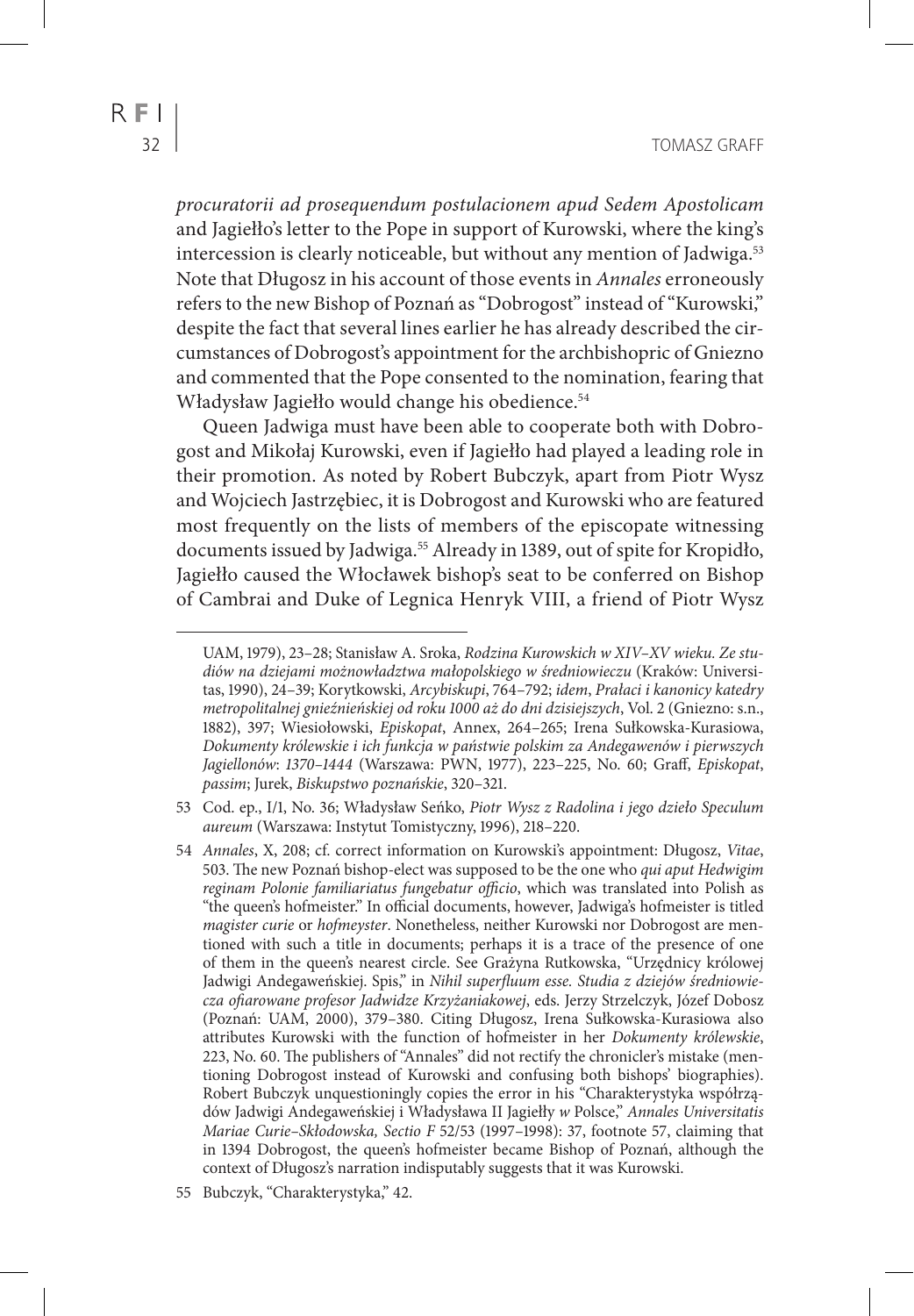*procuratorii ad prosequendum postulacionem apud Sedem Apostolicam* and Jagiełło's letter to the Pope in support of Kurowski, where the king's intercession is clearly noticeable, but without any mention of Jadwiga.<sup>53</sup> Note that Długosz in his account of those events in *Annales* erroneously refers to the new Bishop of Poznań as "Dobrogost" instead of "Kurowski," despite the fact that several lines earlier he has already described the circumstances of Dobrogost's appointment for the archbishopric of Gniezno and commented that the Pope consented to the nomination, fearing that Władysław Jagiełło would change his obedience.54

Queen Jadwiga must have been able to cooperate both with Dobrogost and Mikołaj Kurowski, even if Jagiełło had played a leading role in their promotion. As noted by Robert Bubczyk, apart from Piotr Wysz and Wojciech Jastrzębiec, it is Dobrogost and Kurowski who are featured most frequently on the lists of members of the episcopate witnessing documents issued by Jadwiga.<sup>55</sup> Already in 1389, out of spite for Kropidło, Jagiełło caused the Włocławek bishop's seat to be conferred on Bishop of Cambrai and Duke of Legnica Henryk VIII, a friend of Piotr Wysz

- 53 Cod. ep., I/1, No. 36; Władysław Seńko, *Piotr Wysz z Radolina i jego dzieło Speculum aureum* (Warszawa: Instytut Tomistyczny, 1996), 218–220.
- 54 *Annales*, X, 208; cf. correct information on Kurowski's appointment: Długosz, *Vitae*, 503. The new Poznań bishop-elect was supposed to be the one who *qui aput Hedwigim reginam Polonie familiariatus fungebatur officio*, which was translated into Polish as "the queen's hofmeister." In official documents, however, Jadwiga's hofmeister is titled *magister curie* or *hofmeyster*. Nonetheless, neither Kurowski nor Dobrogost are mentioned with such a title in documents; perhaps it is a trace of the presence of one of them in the queen's nearest circle. See Grażyna Rutkowska, "Urzędnicy królowej Jadwigi Andegaweńskiej. Spis," in *Nihil superfluum esse. Studia z dziejów średniowiecza ofiarowane profesor Jadwidze Krzyżaniakowej*, eds. Jerzy Strzelczyk, Józef Dobosz (Poznań: UAM, 2000), 379–380. Citing Długosz, Irena Sułkowska-Kurasiowa also attributes Kurowski with the function of hofmeister in her *Dokumenty królewskie*, 223, No. 60. The publishers of "Annales" did not rectify the chronicler's mistake (mentioning Dobrogost instead of Kurowski and confusing both bishops' biographies). Robert Bubczyk unquestioningly copies the error in his "Charakterystyka współrządów Jadwigi Andegaweńskiej i Władysława II Jagiełły *w* Polsce," *Annales Universitatis Mariae Curie–Skłodowska, Sectio F* 52/53 (1997–1998): 37, footnote 57, claiming that in 1394 Dobrogost, the queen's hofmeister became Bishop of Poznań, although the context of Długosz's narration indisputably suggests that it was Kurowski.

UAM, 1979), 23–28; Stanisław A. Sroka, *Rodzina Kurowskich w XIV–XV wieku. Ze studiów na dziejami możnowładztwa małopolskiego w średniowieczu* (Kraków: Universitas, 1990), 24–39; Korytkowski, *Arcybiskupi*, 764–792; *idem*, *Prałaci i kanonicy katedry metropolitalnej gnieźnieńskiej od roku 1000 aż do dni dzisiejszych*, Vol. 2 (Gniezno: s.n., 1882), 397; Wiesiołowski, *Episkopat*, Annex, 264–265; Irena Sułkowska-Kurasiowa, *Dokumenty królewskie i ich funkcja w państwie polskim za Andegawenów i pierwszych Jagiellonów*: *1370–1444* (Warszawa: PWN, 1977), 223–225, No. 60; Graff, *Episkopat*, *passim*; Jurek, *Biskupstwo poznańskie*, 320–321.

<sup>55</sup> Bubczyk, "Charakterystyka," 42.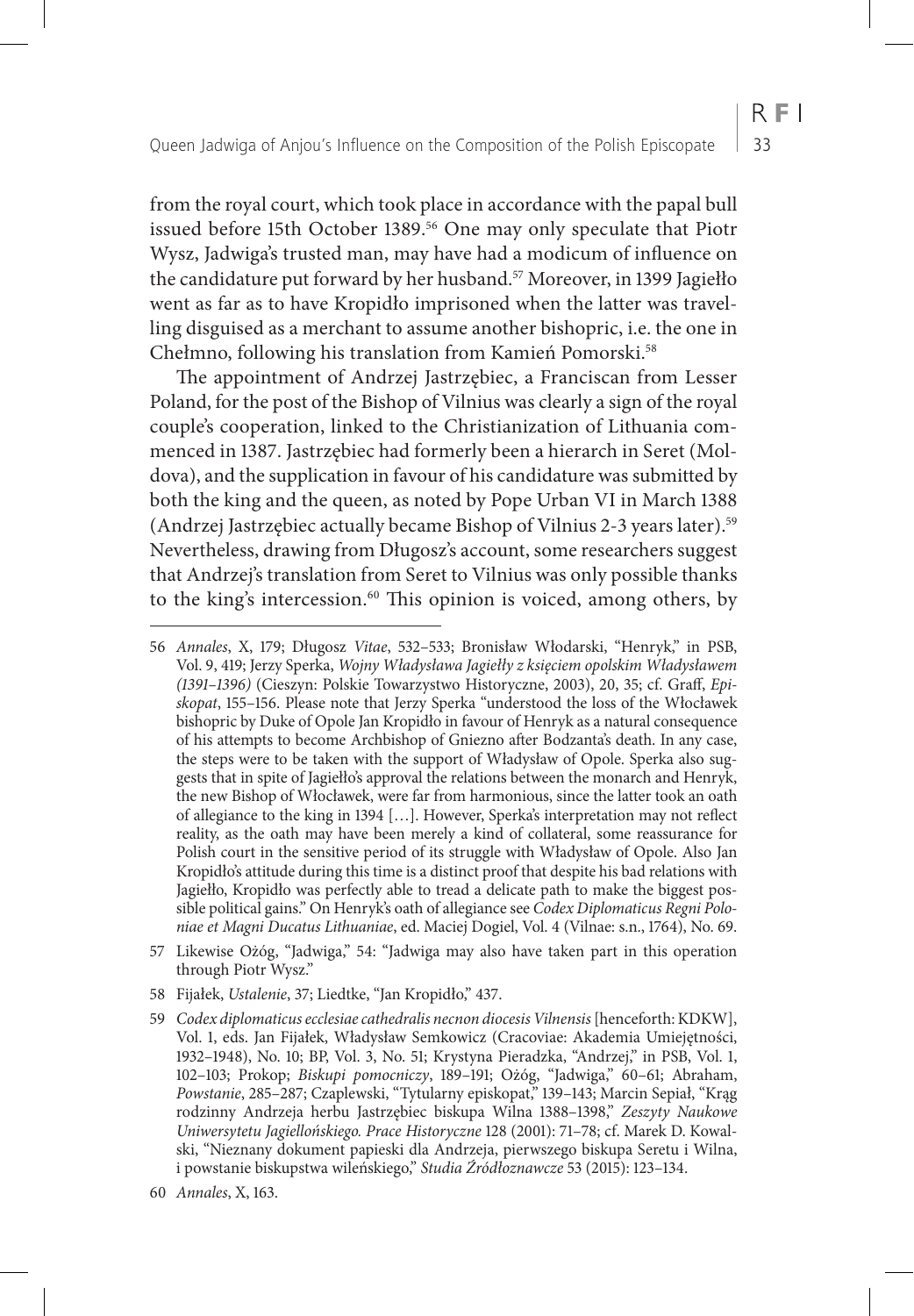from the royal court, which took place in accordance with the papal bull issued before 15th October 1389.56 One may only speculate that Piotr Wysz, Jadwiga's trusted man, may have had a modicum of influence on the candidature put forward by her husband.<sup>57</sup> Moreover, in 1399 Jagiełło went as far as to have Kropidło imprisoned when the latter was travelling disguised as a merchant to assume another bishopric, i.e. the one in Chełmno, following his translation from Kamień Pomorski.58

The appointment of Andrzej Jastrzębiec, a Franciscan from Lesser Poland, for the post of the Bishop of Vilnius was clearly a sign of the royal couple's cooperation, linked to the Christianization of Lithuania commenced in 1387. Jastrzębiec had formerly been a hierarch in Seret (Moldova), and the supplication in favour of his candidature was submitted by both the king and the queen, as noted by Pope Urban VI in March 1388 (Andrzej Jastrzębiec actually became Bishop of Vilnius 2-3 years later).59 Nevertheless, drawing from Długosz's account, some researchers suggest that Andrzej's translation from Seret to Vilnius was only possible thanks to the king's intercession.<sup>60</sup> This opinion is voiced, among others, by

<sup>56</sup> *Annales*, X, 179; Długosz *Vitae*, 532–533; Bronisław Włodarski, "Henryk," in PSB, Vol. 9, 419; Jerzy Sperka, *Wojny Władysława Jagiełły z księciem opolskim Władysławem (1391–1396)* (Cieszyn: Polskie Towarzystwo Historyczne, 2003), 20, 35; cf. Graff, *Episkopat*, 155–156. Please note that Jerzy Sperka "understood the loss of the Włocławek bishopric by Duke of Opole Jan Kropidło in favour of Henryk as a natural consequence of his attempts to become Archbishop of Gniezno after Bodzanta's death. In any case, the steps were to be taken with the support of Władysław of Opole. Sperka also suggests that in spite of Jagiełło's approval the relations between the monarch and Henryk, the new Bishop of Włocławek, were far from harmonious, since the latter took an oath of allegiance to the king in 1394 […]. However, Sperka's interpretation may not reflect reality, as the oath may have been merely a kind of collateral, some reassurance for Polish court in the sensitive period of its struggle with Władysław of Opole. Also Jan Kropidło's attitude during this time is a distinct proof that despite his bad relations with Jagiełło, Kropidło was perfectly able to tread a delicate path to make the biggest possible political gains." On Henryk's oath of allegiance see *Codex Diplomaticus Regni Poloniae et Magni Ducatus Lithuaniae*, ed. Maciej Dogiel, Vol. 4 (Vilnae: s.n., 1764), No. 69.

<sup>57</sup> Likewise Ożóg, "Jadwiga," 54: "Jadwiga may also have taken part in this operation through Piotr Wysz."

<sup>58</sup> Fijałek, *Ustalenie*, 37; Liedtke, "Jan Kropidło," 437.

<sup>59</sup> *Codex diplomaticus ecclesiae cathedralis necnon diocesis Vilnensis* [henceforth: KDKW], Vol. 1, eds. Jan Fijałek, Władysław Semkowicz (Cracoviae: Akademia Umiejętności, 1932–1948), No. 10; BP, Vol. 3, No. 51; Krystyna Pieradzka, "Andrzej," in PSB, Vol. 1, 102–103; Prokop; *Biskupi pomocniczy*, 189–191; Ożóg, "Jadwiga," 60–61; Abraham, *Powstanie*, 285–287; Czaplewski, "Tytularny episkopat," 139–143; Marcin Sepiał, "Krąg rodzinny Andrzeja herbu Jastrzębiec biskupa Wilna 1388–1398," *Zeszyty Naukowe Uniwersytetu Jagiellońskiego. Prace Historyczne* 128 (2001): 71–78; cf. Marek D. Kowalski, "Nieznany dokument papieski dla Andrzeja, pierwszego biskupa Seretu i Wilna, i powstanie biskupstwa wileńskiego," *Studia Źródłoznawcze* 53 (2015): 123–134.

<sup>60</sup> *Annales*, X, 163.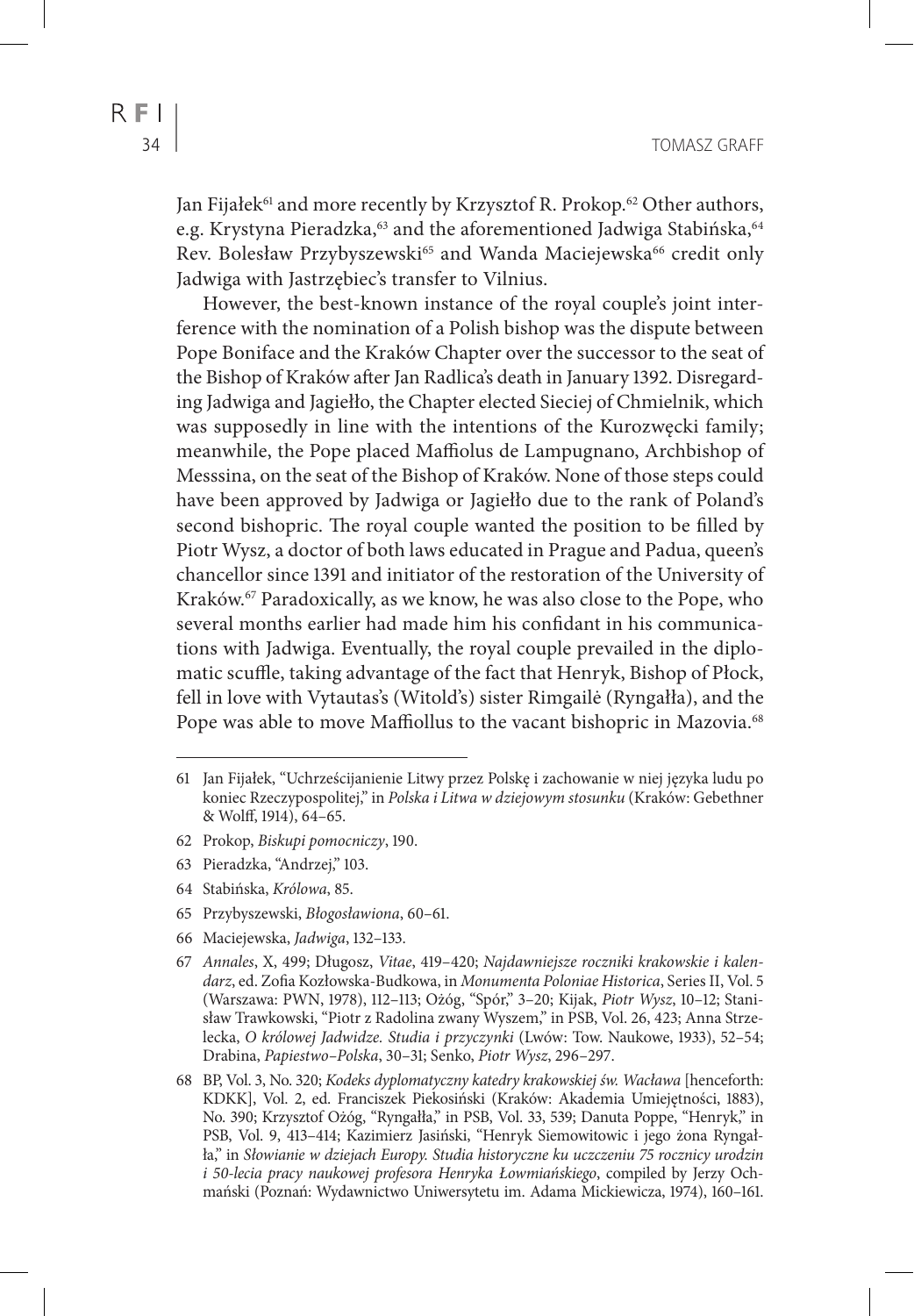Jan Fijałek<sup>61</sup> and more recently by Krzysztof R. Prokop.<sup>62</sup> Other authors, e.g. Krystyna Pieradzka,<sup>63</sup> and the aforementioned Jadwiga Stabińska,<sup>64</sup> Rev. Bolesław Przybyszewski<sup>65</sup> and Wanda Maciejewska<sup>66</sup> credit only Jadwiga with Jastrzębiec's transfer to Vilnius.

However, the best-known instance of the royal couple's joint interference with the nomination of a Polish bishop was the dispute between Pope Boniface and the Kraków Chapter over the successor to the seat of the Bishop of Kraków after Jan Radlica's death in January 1392. Disregarding Jadwiga and Jagiełło, the Chapter elected Sieciej of Chmielnik, which was supposedly in line with the intentions of the Kurozwęcki family; meanwhile, the Pope placed Maffiolus de Lampugnano, Archbishop of Messsina, on the seat of the Bishop of Kraków. None of those steps could have been approved by Jadwiga or Jagiełło due to the rank of Poland's second bishopric. The royal couple wanted the position to be filled by Piotr Wysz, a doctor of both laws educated in Prague and Padua, queen's chancellor since 1391 and initiator of the restoration of the University of Kraków.<sup>67</sup> Paradoxically, as we know, he was also close to the Pope, who several months earlier had made him his confidant in his communications with Jadwiga. Eventually, the royal couple prevailed in the diplomatic scuffle, taking advantage of the fact that Henryk, Bishop of Płock, fell in love with Vytautas's (Witold's) sister Rimgailė (Ryngałła), and the Pope was able to move Maffiollus to the vacant bishopric in Mazovia.<sup>68</sup>

- 62 Prokop, *Biskupi pomocniczy*, 190.
- 63 Pieradzka, "Andrzej," 103.
- 64 Stabińska, *Królowa*, 85.
- 65 Przybyszewski, *Błogosławiona*, 60–61.
- 66 Maciejewska, *Jadwiga*, 132–133.
- 67 *Annales*, X, 499; Długosz, *Vitae*, 419–420; *Najdawniejsze roczniki krakowskie i kalendarz*, ed. Zofia Kozłowska-Budkowa, in *Monumenta Poloniae Historica*, Series II, Vol. 5 (Warszawa: PWN, 1978), 112–113; Ożóg, "Spór," 3–20; Kijak, *Piotr Wysz*, 10–12; Stanisław Trawkowski, "Piotr z Radolina zwany Wyszem," in PSB, Vol. 26, 423; Anna Strzelecka, *O królowej Jadwidze. Studia i przyczynki* (Lwów: Tow. Naukowe, 1933), 52–54; Drabina, *Papiestwo–Polska*, 30–31; Senko, *Piotr Wysz*, 296–297.
- 68 BP, Vol. 3, No. 320; *Kodeks dyplomatyczny katedry krakowskiej św. Wacława* [henceforth: KDKK], Vol. 2, ed. Franciszek Piekosiński (Kraków: Akademia Umiejętności, 1883), No. 390; Krzysztof Ożóg, "Ryngałła," in PSB, Vol. 33, 539; Danuta Poppe, "Henryk," in PSB, Vol. 9, 413–414; Kazimierz Jasiński, "Henryk Siemowitowic i jego żona Ryngałła," in *Słowianie w dziejach Europy. Studia historyczne ku uczczeniu 75 rocznicy urodzin i 50-lecia pracy naukowej profesora Henryka Łowmiańskiego*, compiled by Jerzy Ochmański (Poznań: Wydawnictwo Uniwersytetu im. Adama Mickiewicza, 1974), 160–161.

<sup>61</sup> Jan Fijałek, "Uchrześcijanienie Litwy przez Polskę i zachowanie w niej języka ludu po koniec Rzeczypospolitej," in *Polska i Litwa w dziejowym stosunku* (Kraków: Gebethner & Wolff, 1914), 64–65.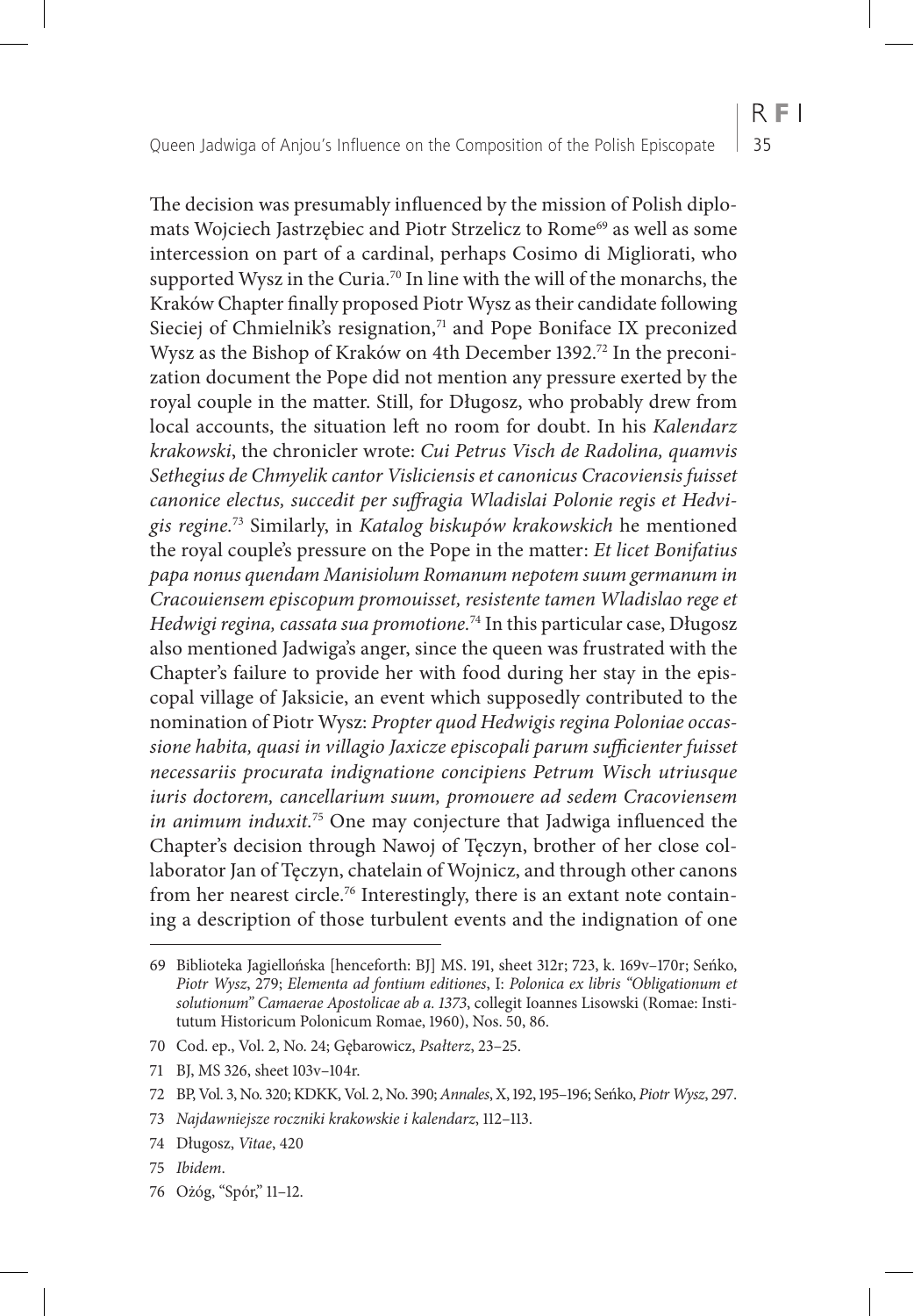The decision was presumably influenced by the mission of Polish diplomats Wojciech Jastrzębiec and Piotr Strzelicz to Rome<sup>69</sup> as well as some intercession on part of a cardinal, perhaps Cosimo di Migliorati, who supported Wysz in the Curia.<sup>70</sup> In line with the will of the monarchs, the Kraków Chapter finally proposed Piotr Wysz as their candidate following Sieciej of Chmielnik's resignation,<sup>71</sup> and Pope Boniface IX preconized Wysz as the Bishop of Kraków on 4th December 1392.<sup>72</sup> In the preconization document the Pope did not mention any pressure exerted by the royal couple in the matter. Still, for Długosz, who probably drew from local accounts, the situation left no room for doubt. In his *Kalendarz krakowski*, the chronicler wrote: *Cui Petrus Visch de Radolina, quamvis Sethegius de Chmyelik cantor Visliciensis et canonicus Cracoviensis fuisset canonice electus, succedit per suffragia Wladislai Polonie regis et Hedvigis regine.*73 Similarly, in *Katalog biskupów krakowskich* he mentioned the royal couple's pressure on the Pope in the matter: *Et licet Bonifatius papa nonus quendam Manisiolum Romanum nepotem suum germanum in Cracouiensem episcopum promouisset, resistente tamen Wladislao rege et Hedwigi regina, cassata sua promotione.*74 In this particular case, Długosz also mentioned Jadwiga's anger, since the queen was frustrated with the Chapter's failure to provide her with food during her stay in the episcopal village of Jaksicie, an event which supposedly contributed to the

nomination of Piotr Wysz: *Propter quod Hedwigis regina Poloniae occassione habita, quasi in villagio Jaxicze episcopali parum sufficienter fuisset necessariis procurata indignatione concipiens Petrum Wisch utriusque iuris doctorem, cancellarium suum, promouere ad sedem Cracoviensem in animum induxit.*75 One may conjecture that Jadwiga influenced the Chapter's decision through Nawoj of Tęczyn, brother of her close collaborator Jan of Tęczyn, chatelain of Wojnicz, and through other canons from her nearest circle.<sup>76</sup> Interestingly, there is an extant note containing a description of those turbulent events and the indignation of one

- 74 Długosz, *Vitae*, 420
- 75 *Ibidem*.
- 76 Ożóg, "Spór," 11–12.

<sup>69</sup> Biblioteka Jagiellońska [henceforth: BJ] MS. 191, sheet 312r; 723, k. 169v–170r; Seńko, *Piotr Wysz*, 279; *Elementa ad fontium editiones*, I: *Polonica ex libris "Obligationum et solutionum" Camaerae Apostolicae ab a. 1373*, collegit Ioannes Lisowski (Romae: Institutum Historicum Polonicum Romae, 1960), Nos. 50, 86.

<sup>70</sup> Cod. ep., Vol. 2, No. 24; Gębarowicz, *Psałterz*, 23–25.

<sup>71</sup> BJ, MS 326, sheet 103v–104r.

<sup>72</sup> BP, Vol. 3, No. 320; KDKK, Vol. 2, No. 390; *Annales*, X, 192, 195–196; Seńko, *Piotr Wysz*, 297.

<sup>73</sup> *Najdawniejsze roczniki krakowskie i kalendarz*, 112–113.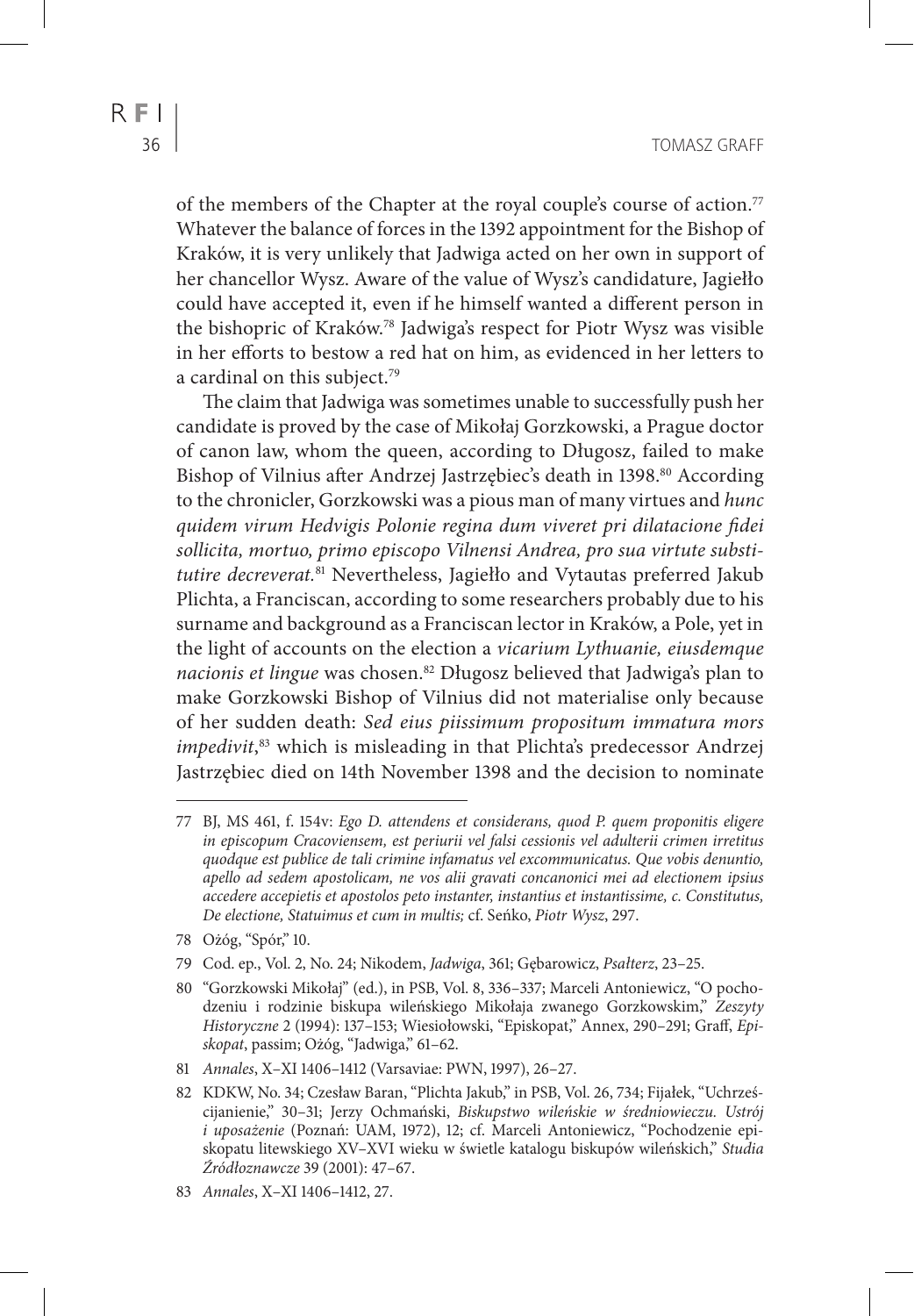of the members of the Chapter at the royal couple's course of action.<sup>77</sup> Whatever the balance of forces in the 1392 appointment for the Bishop of Kraków, it is very unlikely that Jadwiga acted on her own in support of her chancellor Wysz. Aware of the value of Wysz's candidature, Jagiełło could have accepted it, even if he himself wanted a different person in the bishopric of Kraków.78 Jadwiga's respect for Piotr Wysz was visible in her efforts to bestow a red hat on him, as evidenced in her letters to a cardinal on this subject.<sup>79</sup>

The claim that Jadwiga was sometimes unable to successfully push her candidate is proved by the case of Mikołaj Gorzkowski, a Prague doctor of canon law, whom the queen, according to Długosz, failed to make Bishop of Vilnius after Andrzej Jastrzębiec's death in 1398.<sup>80</sup> According to the chronicler, Gorzkowski was a pious man of many virtues and *hunc quidem virum Hedvigis Polonie regina dum viveret pri dilatacione fidei sollicita, mortuo, primo episcopo Vilnensi Andrea, pro sua virtute substitutire decreverat.*81 Nevertheless, Jagiełło and Vytautas preferred Jakub Plichta, a Franciscan, according to some researchers probably due to his surname and background as a Franciscan lector in Kraków, a Pole, yet in the light of accounts on the election a *vicarium Lythuanie, eiusdemque nacionis et lingue* was chosen.82 Długosz believed that Jadwiga's plan to make Gorzkowski Bishop of Vilnius did not materialise only because of her sudden death: *Sed eius piissimum propositum immatura mors impedivit*, 83 which is misleading in that Plichta's predecessor Andrzej Jastrzębiec died on 14th November 1398 and the decision to nominate

<sup>77</sup> BJ, MS 461, f. 154v: *Ego D. attendens et considerans, quod P. quem proponitis eligere in episcopum Cracoviensem, est periurii vel falsi cessionis vel adulterii crimen irretitus quodque est publice de tali crimine infamatus vel excommunicatus. Que vobis denuntio, apello ad sedem apostolicam, ne vos alii gravati concanonici mei ad electionem ipsius accedere accepietis et apostolos peto instanter, instantius et instantissime, c. Constitutus, De electione, Statuimus et cum in multis;* cf. Seńko, *Piotr Wysz*, 297.

<sup>78</sup> Ożóg, "Spór," 10.

<sup>79</sup> Cod. ep., Vol. 2, No. 24; Nikodem, *Jadwiga*, 361; Gębarowicz, *Psałterz*, 23–25.

<sup>80</sup> "Gorzkowski Mikołaj" (ed.), in PSB, Vol. 8, 336–337; Marceli Antoniewicz, "O pochodzeniu i rodzinie biskupa wileńskiego Mikołaja zwanego Gorzkowskim," *Zeszyty Historyczne* 2 (1994): 137–153; Wiesiołowski, "Episkopat," Annex, 290–291; Graff, *Episkopat*, passim; Ożóg, "Jadwiga," 61–62.

<sup>81</sup> *Annales*, X–XI 1406–1412 (Varsaviae: PWN, 1997), 26–27.

<sup>82</sup> KDKW, No. 34; Czesław Baran, "Plichta Jakub," in PSB, Vol. 26, 734; Fijałek, "Uchrześcijanienie," 30–31; Jerzy Ochmański, *Biskupstwo wileńskie w średniowieczu. Ustrój i uposażenie* (Poznań: UAM, 1972), 12; cf. Marceli Antoniewicz, "Pochodzenie episkopatu litewskiego XV–XVI wieku w świetle katalogu biskupów wileńskich," *Studia Źródłoznawcze* 39 (2001): 47–67.

<sup>83</sup> *Annales*, X–XI 1406–1412, 27.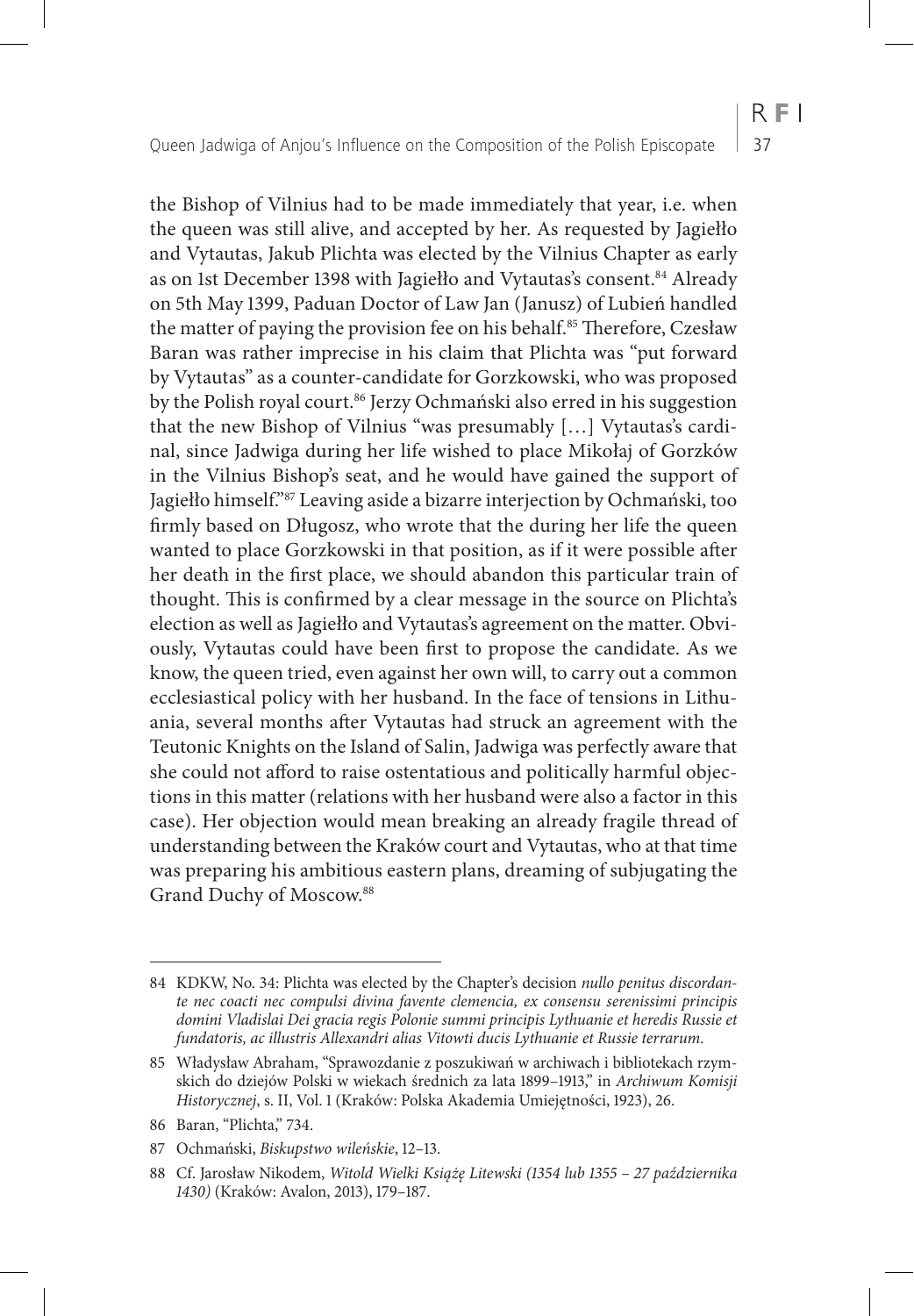the Bishop of Vilnius had to be made immediately that year, i.e. when the queen was still alive, and accepted by her. As requested by Jagiełło and Vytautas, Jakub Plichta was elected by the Vilnius Chapter as early as on 1st December 1398 with Jagiełło and Vytautas's consent.<sup>84</sup> Already on 5th May 1399, Paduan Doctor of Law Jan (Janusz) of Lubień handled the matter of paying the provision fee on his behalf.<sup>85</sup> Therefore, Czesław Baran was rather imprecise in his claim that Plichta was "put forward by Vytautas" as a counter-candidate for Gorzkowski, who was proposed by the Polish royal court.<sup>86</sup> Jerzy Ochmański also erred in his suggestion that the new Bishop of Vilnius "was presumably […] Vytautas's cardinal, since Jadwiga during her life wished to place Mikołaj of Gorzków in the Vilnius Bishop's seat, and he would have gained the support of Jagiełło himself."87 Leaving aside a bizarre interjection by Ochmański, too firmly based on Długosz, who wrote that the during her life the queen wanted to place Gorzkowski in that position, as if it were possible after her death in the first place, we should abandon this particular train of thought. This is confirmed by a clear message in the source on Plichta's election as well as Jagiełło and Vytautas's agreement on the matter. Obviously, Vytautas could have been first to propose the candidate. As we know, the queen tried, even against her own will, to carry out a common ecclesiastical policy with her husband. In the face of tensions in Lithuania, several months after Vytautas had struck an agreement with the Teutonic Knights on the Island of Salin, Jadwiga was perfectly aware that she could not afford to raise ostentatious and politically harmful objections in this matter (relations with her husband were also a factor in this case). Her objection would mean breaking an already fragile thread of understanding between the Kraków court and Vytautas, who at that time was preparing his ambitious eastern plans, dreaming of subjugating the Grand Duchy of Moscow.88

<sup>84</sup> KDKW, No. 34: Plichta was elected by the Chapter's decision *nullo penitus discordante nec coacti nec compulsi divina favente clemencia, ex consensu serenissimi principis*  domini Vladislai Dei gracia regis Polonie summi principis Lythuanie et heredis Russie et *fundatoris, ac illustris Allexandri alias Vitowti ducis Lythuanie et Russie terrarum.*

<sup>85</sup> Władysław Abraham, "Sprawozdanie z poszukiwań w archiwach i bibliotekach rzymskich do dziejów Polski w wiekach średnich za lata 1899–1913," in *Archiwum Komisji Historycznej*, s. II, Vol. 1 (Kraków: Polska Akademia Umiejętności, 1923), 26.

<sup>86</sup> Baran, "Plichta," 734.

<sup>87</sup> Ochmański, *Biskupstwo wileńskie*, 12–13.

<sup>88</sup> Cf. Jarosław Nikodem, *Witold Wielki Książę Litewski (1354 lub 1355 – 27 października 1430)* (Kraków: Avalon, 2013), 179–187.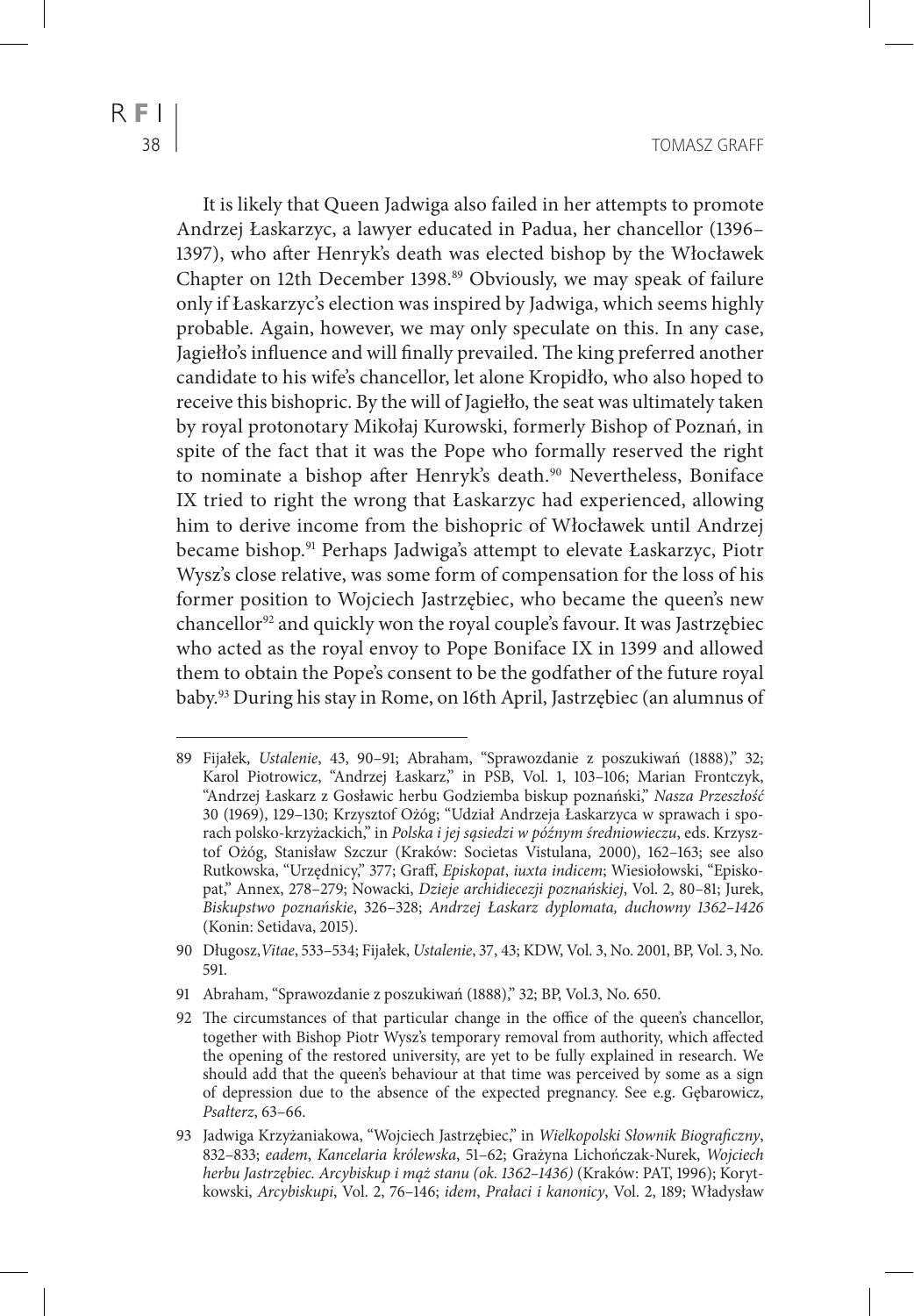It is likely that Queen Jadwiga also failed in her attempts to promote Andrzej Łaskarzyc, a lawyer educated in Padua, her chancellor (1396– 1397), who after Henryk's death was elected bishop by the Włocławek Chapter on 12th December 1398.<sup>89</sup> Obviously, we may speak of failure only if Łaskarzyc's election was inspired by Jadwiga, which seems highly probable. Again, however, we may only speculate on this. In any case, Jagiełło's influence and will finally prevailed. The king preferred another candidate to his wife's chancellor, let alone Kropidło, who also hoped to receive this bishopric. By the will of Jagiełło, the seat was ultimately taken by royal protonotary Mikołaj Kurowski, formerly Bishop of Poznań, in spite of the fact that it was the Pope who formally reserved the right to nominate a bishop after Henryk's death.<sup>90</sup> Nevertheless, Boniface IX tried to right the wrong that Łaskarzyc had experienced, allowing him to derive income from the bishopric of Włocławek until Andrzej became bishop.91 Perhaps Jadwiga's attempt to elevate Łaskarzyc, Piotr Wysz's close relative, was some form of compensation for the loss of his former position to Wojciech Jastrzębiec, who became the queen's new chancellor<sup>92</sup> and quickly won the royal couple's favour. It was Jastrzębiec who acted as the royal envoy to Pope Boniface IX in 1399 and allowed them to obtain the Pope's consent to be the godfather of the future royal baby.93 During his stay in Rome, on 16th April, Jastrzębiec (an alumnus of

91 Abraham, "Sprawozdanie z poszukiwań (1888)," 32; BP, Vol.3, No. 650.

<sup>89</sup> Fijałek, *Ustalenie*, 43, 90–91; Abraham, "Sprawozdanie z poszukiwań (1888)," 32; Karol Piotrowicz, "Andrzej Łaskarz," in PSB, Vol. 1, 103-106; Marian Frontczyk, "Andrzej Łaskarz z Gosławic herbu Godziemba biskup poznański," *Nasza Przeszłość* 30 (1969), 129–130; Krzysztof Ożóg; "Udział Andrzeja Łaskarzyca w sprawach i sporach polsko-krzyżackich," in *Polska i jej sąsiedzi w późnym średniowieczu*, eds. Krzysztof Ożóg, Stanisław Szczur (Kraków: Societas Vistulana, 2000), 162–163; see also Rutkowska, "Urzędnicy," 377; Graff, *Episkopat*, *iuxta indicem*; Wiesiołowski, "Episkopat," Annex, 278–279; Nowacki, *Dzieje archidiecezji poznańskiej*, Vol. 2, 80–81; Jurek, *Biskupstwo poznańskie*, 326–328; *Andrzej Łaskarz dyplomata, duchowny 1362–1426* (Konin: Setidava, 2015).

<sup>90</sup> Długosz,*Vitae*, 533–534; Fijałek, *Ustalenie*, 37, 43; KDW, Vol. 3, No. 2001, BP, Vol. 3, No. 591.

<sup>92</sup> The circumstances of that particular change in the office of the queen's chancellor, together with Bishop Piotr Wysz's temporary removal from authority, which affected the opening of the restored university, are yet to be fully explained in research. We should add that the queen's behaviour at that time was perceived by some as a sign of depression due to the absence of the expected pregnancy. See e.g. Gębarowicz, *Psałterz*, 63–66.

<sup>93</sup> Jadwiga Krzyżaniakowa, "Wojciech Jastrzębiec," in *Wielkopolski Słownik Biograficzny*, 832–833; *eadem*, *Kancelaria królewska*, 51–62; Grażyna Lichończak-Nurek, *Wojciech herbu Jastrzębiec. Arcybiskup i mąż stanu (ok. 1362–1436)* (Kraków: PAT, 1996); Korytkowski, *Arcybiskupi*, Vol. 2, 76–146; *idem*, *Prałaci i kanonicy*, Vol. 2, 189; Władysław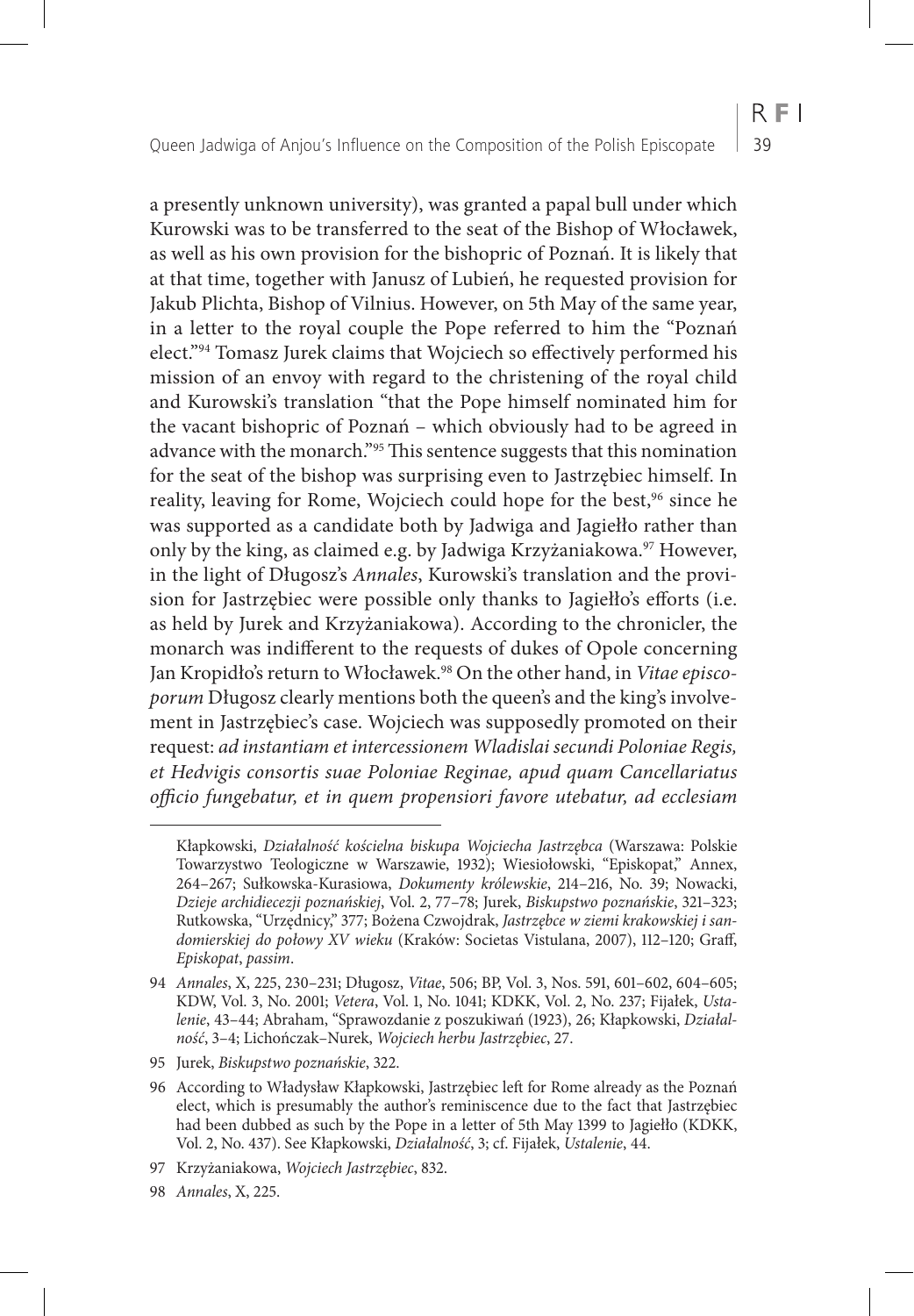a presently unknown university), was granted a papal bull under which Kurowski was to be transferred to the seat of the Bishop of Włocławek, as well as his own provision for the bishopric of Poznań. It is likely that at that time, together with Janusz of Lubień, he requested provision for Jakub Plichta, Bishop of Vilnius. However, on 5th May of the same year, in a letter to the royal couple the Pope referred to him the "Poznań elect."94 Tomasz Jurek claims that Wojciech so effectively performed his mission of an envoy with regard to the christening of the royal child and Kurowski's translation "that the Pope himself nominated him for the vacant bishopric of Poznań – which obviously had to be agreed in advance with the monarch."95 This sentence suggests that this nomination for the seat of the bishop was surprising even to Jastrzębiec himself. In reality, leaving for Rome, Wojciech could hope for the best,<sup>96</sup> since he was supported as a candidate both by Jadwiga and Jagiełło rather than only by the king, as claimed e.g. by Jadwiga Krzyżaniakowa.<sup>97</sup> However, in the light of Długosz's *Annales*, Kurowski's translation and the provision for Jastrzębiec were possible only thanks to Jagiełło's efforts (i.e. as held by Jurek and Krzyżaniakowa). According to the chronicler, the monarch was indifferent to the requests of dukes of Opole concerning Jan Kropidło's return to Włocławek.98 On the other hand, in *Vitae episcoporum* Długosz clearly mentions both the queen's and the king's involvement in Jastrzębiec's case. Wojciech was supposedly promoted on their request: *ad instantiam et intercessionem Wladislai secundi Poloniae Regis, et Hedvigis consortis suae Poloniae Reginae, apud quam Cancellariatus officio fungebatur, et in quem propensiori favore utebatur, ad ecclesiam* 

Kłapkowski, *Działalność kościelna biskupa Wojciecha Jastrzębca* (Warszawa: Polskie Towarzystwo Teologiczne w Warszawie, 1932); Wiesiołowski, "Episkopat," Annex, 264–267; Sułkowska-Kurasiowa, *Dokumenty królewskie*, 214–216, No. 39; Nowacki, *Dzieje archidiecezji poznańskiej*, Vol. 2, 77–78; Jurek, *Biskupstwo poznańskie*, 321–323; Rutkowska, "Urzędnicy," 377; Bożena Czwojdrak, *Jastrzębce w ziemi krakowskiej i sandomierskiej do połowy XV wieku* (Kraków: Societas Vistulana, 2007), 112–120; Graff, *Episkopat*, *passim*.

<sup>94</sup> *Annales*, X, 225, 230–231; Długosz, *Vitae*, 506; BP, Vol. 3, Nos. 591, 601–602, 604–605; KDW, Vol. 3, No. 2001; *Vetera*, Vol. 1, No. 1041; KDKK, Vol. 2, No. 237; Fijałek, *Ustalenie*, 43–44; Abraham, "Sprawozdanie z poszukiwań (1923), 26; Kłapkowski, *Działalność*, 3–4; Lichończak–Nurek, *Wojciech herbu Jastrzębiec*, 27.

<sup>95</sup> Jurek, *Biskupstwo poznańskie*, 322.

<sup>96</sup> According to Władysław Kłapkowski, Jastrzębiec left for Rome already as the Poznań elect, which is presumably the author's reminiscence due to the fact that Jastrzębiec had been dubbed as such by the Pope in a letter of 5th May 1399 to Jagiełło (KDKK, Vol. 2, No. 437). See Kłapkowski, *Działalność*, 3; cf. Fijałek, *Ustalenie*, 44.

<sup>97</sup> Krzyżaniakowa, *Wojciech Jastrzębiec*, 832.

<sup>98</sup> *Annales*, X, 225.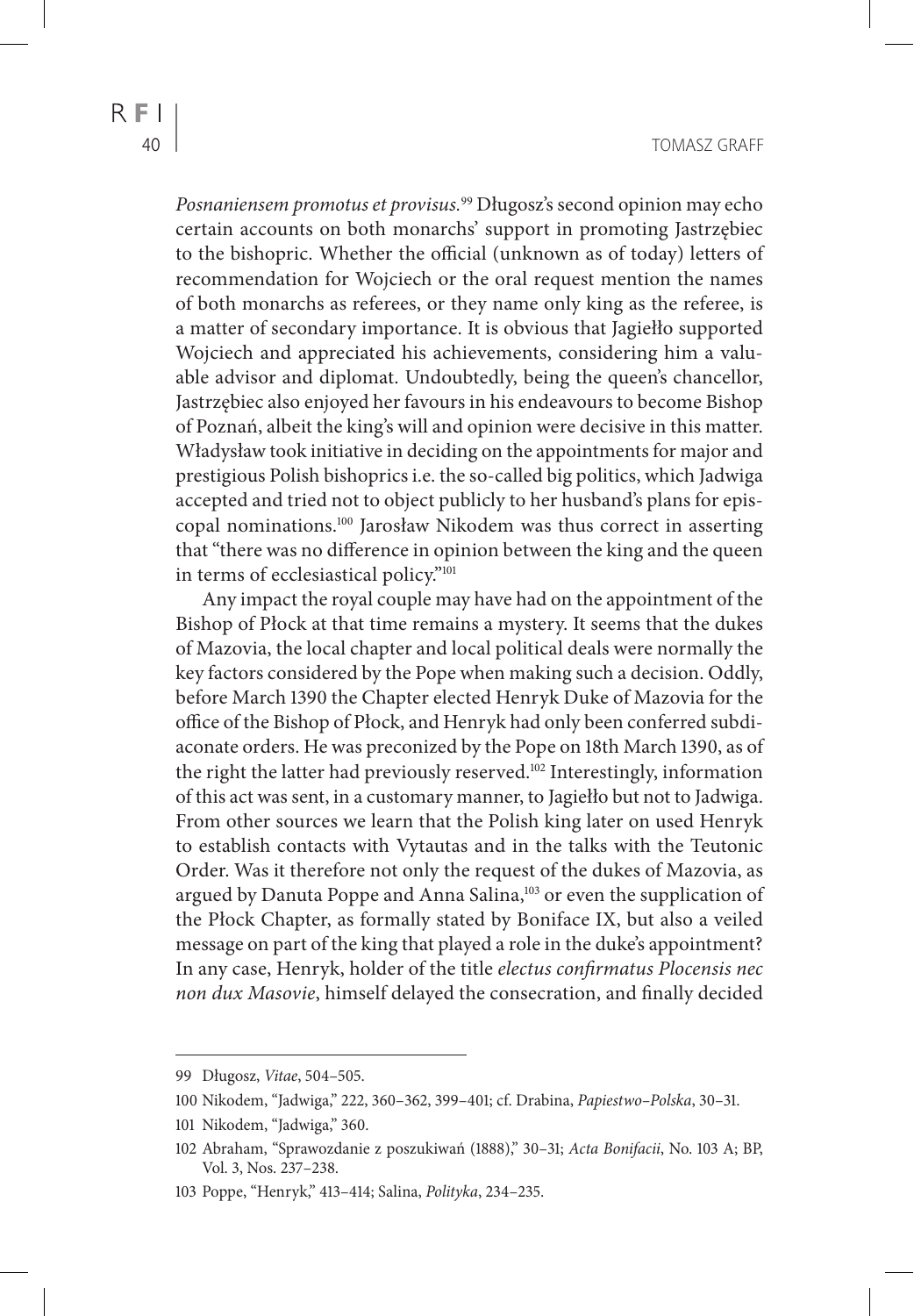*Posnaniensem promotus et provisus.*99 Długosz's second opinion may echo certain accounts on both monarchs' support in promoting Jastrzębiec to the bishopric. Whether the official (unknown as of today) letters of recommendation for Wojciech or the oral request mention the names of both monarchs as referees, or they name only king as the referee, is a matter of secondary importance. It is obvious that Jagiełło supported Wojciech and appreciated his achievements, considering him a valuable advisor and diplomat. Undoubtedly, being the queen's chancellor, Jastrzębiec also enjoyed her favours in his endeavours to become Bishop of Poznań, albeit the king's will and opinion were decisive in this matter. Władysław took initiative in deciding on the appointments for major and prestigious Polish bishoprics i.e. the so-called big politics, which Jadwiga accepted and tried not to object publicly to her husband's plans for episcopal nominations.100 Jarosław Nikodem was thus correct in asserting that "there was no difference in opinion between the king and the queen in terms of ecclesiastical policy."101

Any impact the royal couple may have had on the appointment of the Bishop of Płock at that time remains a mystery. It seems that the dukes of Mazovia, the local chapter and local political deals were normally the key factors considered by the Pope when making such a decision. Oddly, before March 1390 the Chapter elected Henryk Duke of Mazovia for the office of the Bishop of Płock, and Henryk had only been conferred subdiaconate orders. He was preconized by the Pope on 18th March 1390, as of the right the latter had previously reserved.<sup>102</sup> Interestingly, information of this act was sent, in a customary manner, to Jagiełło but not to Jadwiga. From other sources we learn that the Polish king later on used Henryk to establish contacts with Vytautas and in the talks with the Teutonic Order. Was it therefore not only the request of the dukes of Mazovia, as argued by Danuta Poppe and Anna Salina,<sup>103</sup> or even the supplication of the Płock Chapter, as formally stated by Boniface IX, but also a veiled message on part of the king that played a role in the duke's appointment? In any case, Henryk, holder of the title *electus confirmatus Plocensis nec non dux Masovie*, himself delayed the consecration, and finally decided

<sup>99</sup> Długosz, *Vitae*, 504–505.

<sup>100</sup> Nikodem, "Jadwiga," 222, 360–362, 399–401; cf. Drabina, *Papiestwo–Polska*, 30–31.

<sup>101</sup> Nikodem, "Jadwiga," 360.

<sup>102</sup> Abraham, "Sprawozdanie z poszukiwań (1888)," 30–31; *Acta Bonifacii*, No. 103 A; BP, Vol. 3, Nos. 237–238.

<sup>103</sup> Poppe, "Henryk," 413–414; Salina, *Polityka*, 234–235.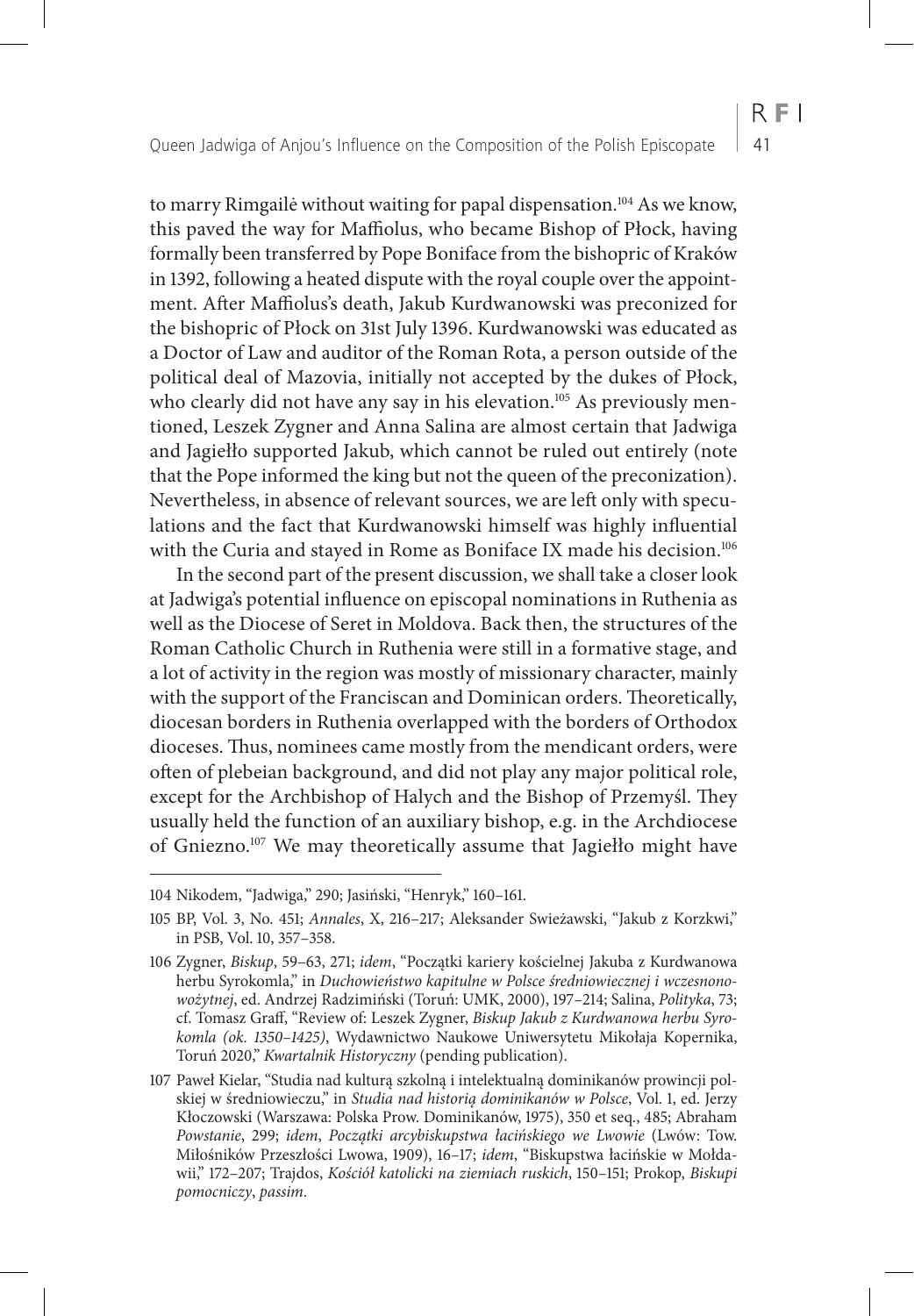to marry Rimgailė without waiting for papal dispensation.<sup>104</sup> As we know,

 $R F1$ 

this paved the way for Maffiolus, who became Bishop of Płock, having formally been transferred by Pope Boniface from the bishopric of Kraków in 1392, following a heated dispute with the royal couple over the appointment. After Maffiolus's death, Jakub Kurdwanowski was preconized for the bishopric of Płock on 31st July 1396. Kurdwanowski was educated as a Doctor of Law and auditor of the Roman Rota, a person outside of the political deal of Mazovia, initially not accepted by the dukes of Płock, who clearly did not have any say in his elevation.<sup>105</sup> As previously mentioned, Leszek Zygner and Anna Salina are almost certain that Jadwiga and Jagiełło supported Jakub, which cannot be ruled out entirely (note that the Pope informed the king but not the queen of the preconization). Nevertheless, in absence of relevant sources, we are left only with speculations and the fact that Kurdwanowski himself was highly influential with the Curia and stayed in Rome as Boniface IX made his decision.<sup>106</sup>

In the second part of the present discussion, we shall take a closer look at Jadwiga's potential influence on episcopal nominations in Ruthenia as well as the Diocese of Seret in Moldova. Back then, the structures of the Roman Catholic Church in Ruthenia were still in a formative stage, and a lot of activity in the region was mostly of missionary character, mainly with the support of the Franciscan and Dominican orders. Theoretically, diocesan borders in Ruthenia overlapped with the borders of Orthodox dioceses. Thus, nominees came mostly from the mendicant orders, were often of plebeian background, and did not play any major political role, except for the Archbishop of Halych and the Bishop of Przemyśl. They usually held the function of an auxiliary bishop, e.g. in the Archdiocese of Gniezno.107 We may theoretically assume that Jagiełło might have

<sup>104</sup> Nikodem, "Jadwiga," 290; Jasiński, "Henryk," 160–161.

<sup>105</sup> BP, Vol. 3, No. 451; *Annales*, X, 216–217; Aleksander Swieżawski, "Jakub z Korzkwi," in PSB, Vol. 10, 357–358.

<sup>106</sup> Zygner, *Biskup*, 59–63, 271; *idem*, "Początki kariery kościelnej Jakuba z Kurdwanowa herbu Syrokomla," in *Duchowieństwo kapitulne w Polsce średniowiecznej i wczesnonowożytnej*, ed. Andrzej Radzimiński (Toruń: UMK, 2000), 197–214; Salina, *Polityka*, 73; cf. Tomasz Graff, "Review of: Leszek Zygner, *Biskup Jakub z Kurdwanowa herbu Syrokomla (ok. 1350–1425)*, Wydawnictwo Naukowe Uniwersytetu Mikołaja Kopernika, Toruń 2020," *Kwartalnik Historyczny* (pending publication).

<sup>107</sup> Paweł Kielar, "Studia nad kulturą szkolną i intelektualną dominikanów prowincji polskiej w średniowieczu," in *Studia nad historią dominikanów w Polsce*, Vol. 1, ed. Jerzy Kłoczowski (Warszawa: Polska Prow. Dominikanów, 1975), 350 et seq., 485; Abraham *Powstanie*, 299; *idem*, *Początki arcybiskupstwa łacińskiego we Lwowie* (Lwów: Tow. Miłośników Przeszłości Lwowa, 1909), 16–17; *idem*, "Biskupstwa łacińskie w Mołdawii," 172–207; Trajdos, *Kościół katolicki na ziemiach ruskich*, 150–151; Prokop, *Biskupi pomocniczy*, *passim*.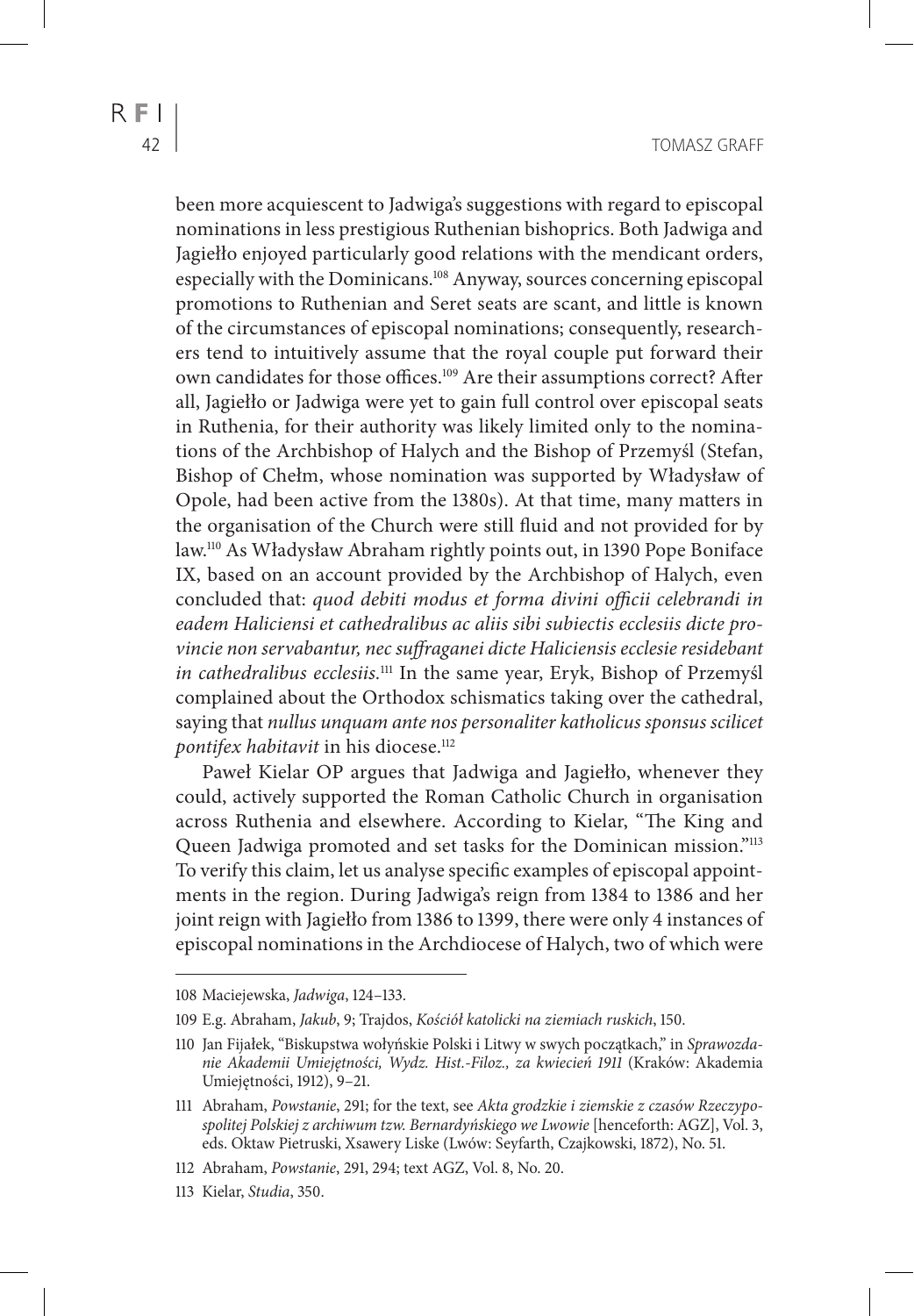been more acquiescent to Jadwiga's suggestions with regard to episcopal nominations in less prestigious Ruthenian bishoprics. Both Jadwiga and Jagiełło enjoyed particularly good relations with the mendicant orders, especially with the Dominicans.108 Anyway, sources concerning episcopal promotions to Ruthenian and Seret seats are scant, and little is known of the circumstances of episcopal nominations; consequently, researchers tend to intuitively assume that the royal couple put forward their own candidates for those offices.109 Are their assumptions correct? After all, Jagiełło or Jadwiga were yet to gain full control over episcopal seats in Ruthenia, for their authority was likely limited only to the nominations of the Archbishop of Halych and the Bishop of Przemyśl (Stefan, Bishop of Chełm, whose nomination was supported by Władysław of Opole, had been active from the 1380s). At that time, many matters in the organisation of the Church were still fluid and not provided for by law.110 As Władysław Abraham rightly points out, in 1390 Pope Boniface IX, based on an account provided by the Archbishop of Halych, even concluded that: *quod debiti modus et forma divini officii celebrandi in eadem Haliciensi et cathedralibus ac aliis sibi subiectis ecclesiis dicte provincie non servabantur, nec suffraganei dicte Haliciensis ecclesie residebant in cathedralibus ecclesiis.*111 In the same year, Eryk, Bishop of Przemyśl complained about the Orthodox schismatics taking over the cathedral, saying that *nullus unquam ante nos personaliter katholicus sponsus scilicet pontifex habitavit* in his diocese.<sup>112</sup>

Paweł Kielar OP argues that Jadwiga and Jagiełło, whenever they could, actively supported the Roman Catholic Church in organisation across Ruthenia and elsewhere. According to Kielar, "The King and Queen Jadwiga promoted and set tasks for the Dominican mission."<sup>113</sup> To verify this claim, let us analyse specific examples of episcopal appointments in the region. During Jadwiga's reign from 1384 to 1386 and her joint reign with Jagiełło from 1386 to 1399, there were only 4 instances of episcopal nominations in the Archdiocese of Halych, two of which were

<sup>108</sup> Maciejewska, *Jadwiga*, 124–133.

<sup>109</sup> E.g. Abraham, *Jakub*, 9; Trajdos, *Kościół katolicki na ziemiach ruskich*, 150.

<sup>110</sup> Jan Fijałek, "Biskupstwa wołyńskie Polski i Litwy w swych początkach," in *Sprawozdanie Akademii Umiejętności, Wydz. Hist.-Filoz., za kwiecień 1911* (Kraków: Akademia Umiejętności, 1912), 9–21.

<sup>111</sup> Abraham, *Powstanie*, 291; for the text, see *Akta grodzkie i ziemskie z czasów Rzeczypospolitej Polskiej z archiwum tzw. Bernardyńskiego we Lwowie* [henceforth: AGZ], Vol. 3, eds. Oktaw Pietruski, Xsawery Liske (Lwów: Seyfarth, Czajkowski, 1872), No. 51.

<sup>112</sup> Abraham, *Powstanie*, 291, 294; text AGZ, Vol. 8, No. 20.

<sup>113</sup> Kielar, *Studia*, 350.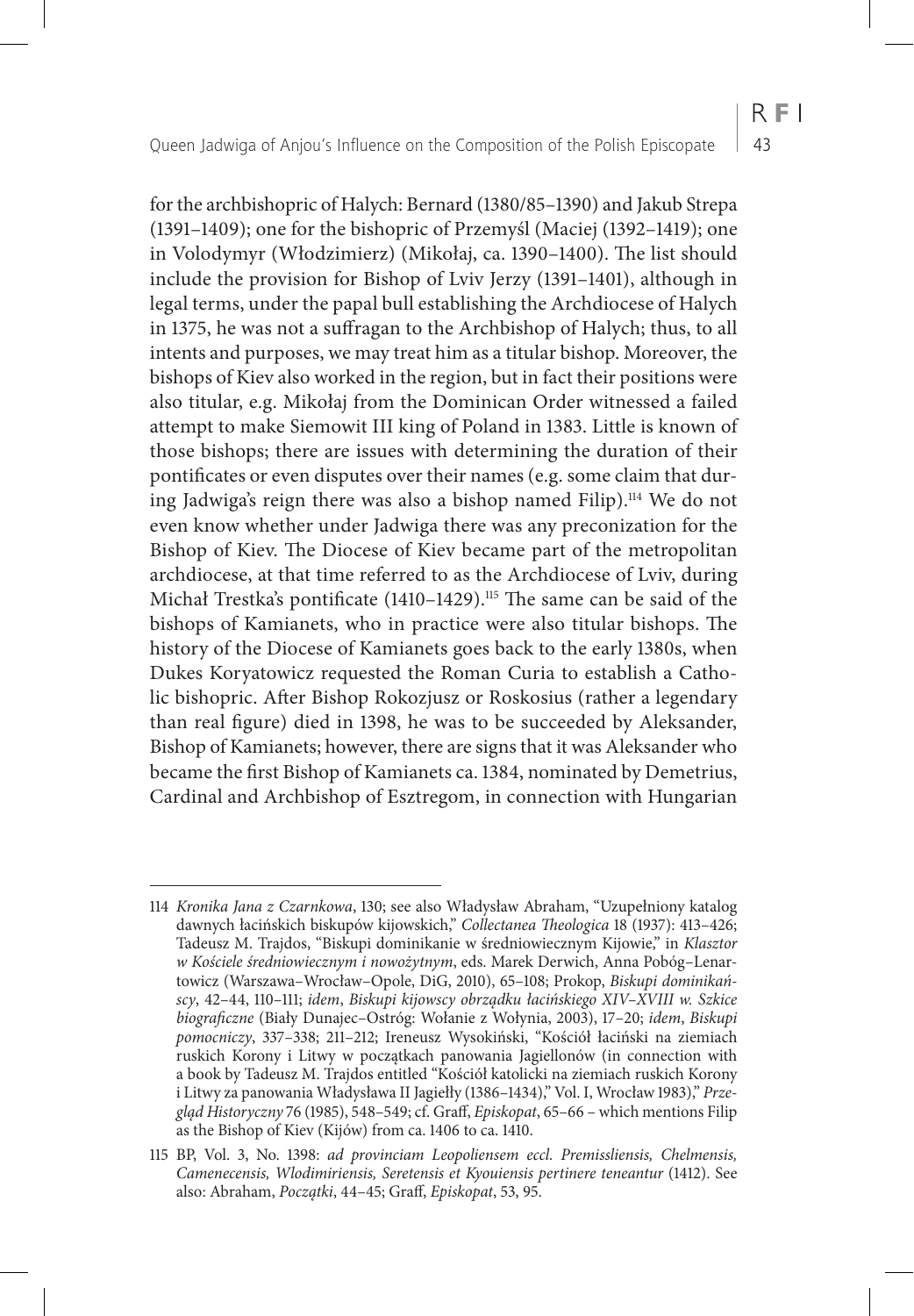for the archbishopric of Halych: Bernard (1380/85–1390) and Jakub Strepa (1391–1409); one for the bishopric of Przemyśl (Maciej (1392–1419); one in Volodymyr (Włodzimierz) (Mikołaj, ca. 1390–1400). The list should include the provision for Bishop of Lviv Jerzy (1391–1401), although in legal terms, under the papal bull establishing the Archdiocese of Halych in 1375, he was not a suffragan to the Archbishop of Halych; thus, to all intents and purposes, we may treat him as a titular bishop. Moreover, the bishops of Kiev also worked in the region, but in fact their positions were also titular, e.g. Mikołaj from the Dominican Order witnessed a failed attempt to make Siemowit III king of Poland in 1383. Little is known of those bishops; there are issues with determining the duration of their pontificates or even disputes over their names (e.g. some claim that during Jadwiga's reign there was also a bishop named Filip).<sup>114</sup> We do not even know whether under Jadwiga there was any preconization for the Bishop of Kiev. The Diocese of Kiev became part of the metropolitan archdiocese, at that time referred to as the Archdiocese of Lviv, during Michał Trestka's pontificate (1410-1429).<sup>115</sup> The same can be said of the bishops of Kamianets, who in practice were also titular bishops. The history of the Diocese of Kamianets goes back to the early 1380s, when Dukes Koryatowicz requested the Roman Curia to establish a Catholic bishopric. After Bishop Rokozjusz or Roskosius (rather a legendary than real figure) died in 1398, he was to be succeeded by Aleksander, Bishop of Kamianets; however, there are signs that it was Aleksander who became the first Bishop of Kamianets ca. 1384, nominated by Demetrius, Cardinal and Archbishop of Esztregom, in connection with Hungarian

 $R F1$ 

<sup>114</sup> *Kronika Jana z Czarnkowa*, 130; see also Władysław Abraham, "Uzupełniony katalog dawnych łacińskich biskupów kijowskich," *Collectanea Theologica* 18 (1937): 413–426; Tadeusz M. Trajdos, "Biskupi dominikanie w średniowiecznym Kijowie," in *Klasztor w Kościele średniowiecznym i nowożytnym*, eds. Marek Derwich, Anna Pobóg–Lenartowicz (Warszawa–Wrocław–Opole, DiG, 2010), 65–108; Prokop, *Biskupi dominikańscy*, 42–44, 110–111; *idem*, *Biskupi kijowscy obrządku łacińskiego XIV–XVIII w. Szkice biograficzne* (Biały Dunajec–Ostróg: Wołanie z Wołynia, 2003), 17–20; *idem*, *Biskupi pomocniczy*, 337–338; 211–212; Ireneusz Wysokiński, "Kościół łaciński na ziemiach ruskich Korony i Litwy w początkach panowania Jagiellonów (in connection with a book by Tadeusz M. Trajdos entitled "Kościół katolicki na ziemiach ruskich Korony i Litwy za panowania Władysława II Jagiełły (1386–1434)," Vol. I, Wrocław 1983)," *Przegląd Historyczny* 76 (1985), 548–549; cf. Graff, *Episkopat*, 65–66 – which mentions Filip as the Bishop of Kiev (Kijów) from ca. 1406 to ca. 1410.

<sup>115</sup> BP, Vol. 3, No. 1398: *ad provinciam Leopoliensem eccl. Premissliensis, Chelmensis, Camenecensis, Wlodimiriensis, Seretensis et Kyouiensis pertinere teneantur (1412). See* also: Abraham, *Początki*, 44–45; Graff, *Episkopat*, 53, 95.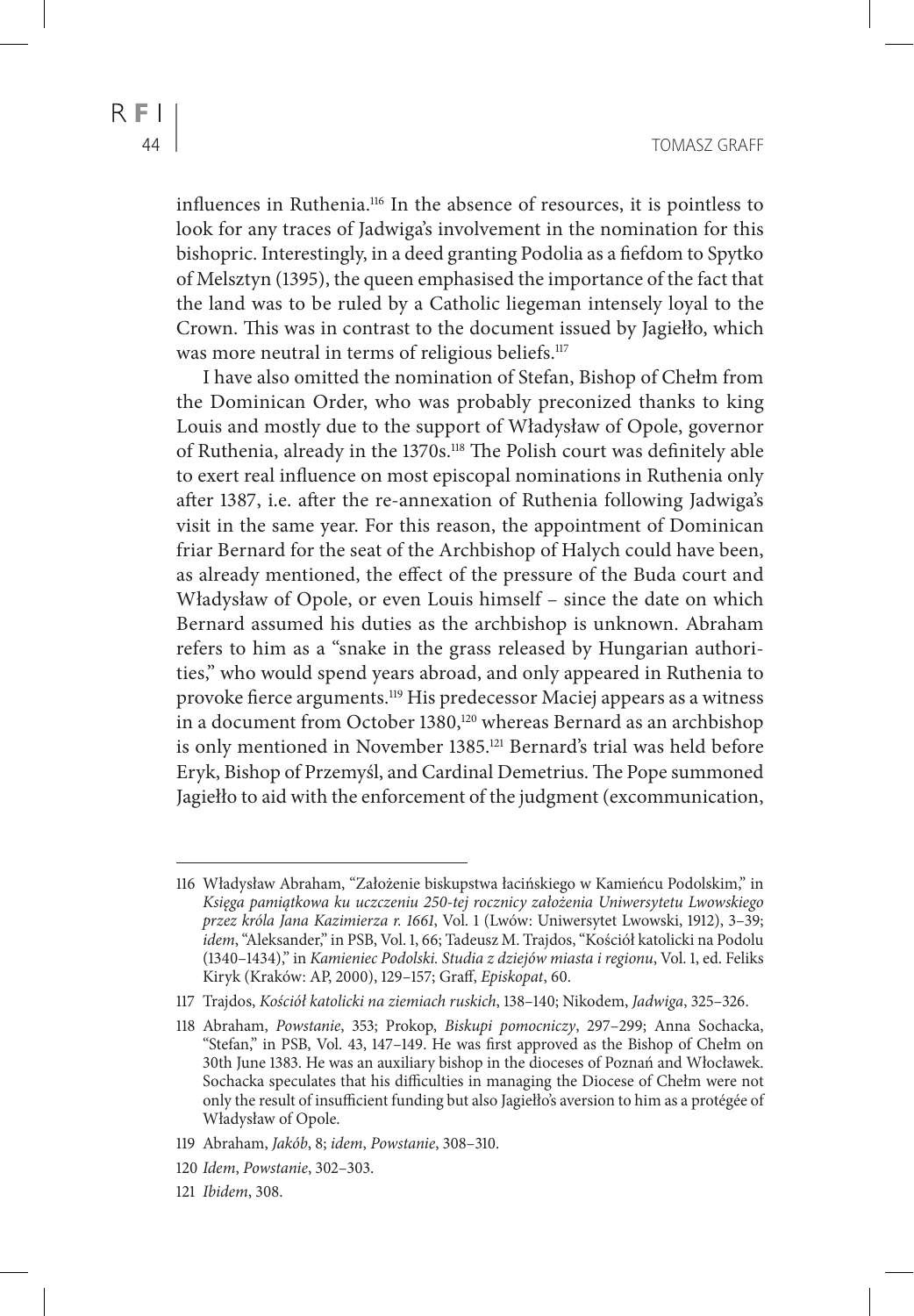influences in Ruthenia.116 In the absence of resources, it is pointless to look for any traces of Jadwiga's involvement in the nomination for this bishopric. Interestingly, in a deed granting Podolia as a fiefdom to Spytko of Melsztyn (1395), the queen emphasised the importance of the fact that the land was to be ruled by a Catholic liegeman intensely loyal to the Crown. This was in contrast to the document issued by Jagiełło, which was more neutral in terms of religious beliefs.<sup>117</sup>

I have also omitted the nomination of Stefan, Bishop of Chełm from the Dominican Order, who was probably preconized thanks to king Louis and mostly due to the support of Władysław of Opole, governor of Ruthenia, already in the 1370s.118 The Polish court was definitely able to exert real influence on most episcopal nominations in Ruthenia only after 1387, i.e. after the re-annexation of Ruthenia following Jadwiga's visit in the same year. For this reason, the appointment of Dominican friar Bernard for the seat of the Archbishop of Halych could have been, as already mentioned, the effect of the pressure of the Buda court and Władysław of Opole, or even Louis himself – since the date on which Bernard assumed his duties as the archbishop is unknown. Abraham refers to him as a "snake in the grass released by Hungarian authorities," who would spend years abroad, and only appeared in Ruthenia to provoke fierce arguments.119 His predecessor Maciej appears as a witness in a document from October 1380,<sup>120</sup> whereas Bernard as an archbishop is only mentioned in November 1385.121 Bernard's trial was held before Eryk, Bishop of Przemyśl, and Cardinal Demetrius. The Pope summoned Jagiełło to aid with the enforcement of the judgment (excommunication,

121 *Ibidem*, 308.

<sup>116</sup> Władysław Abraham, "Założenie biskupstwa łacińskiego w Kamieńcu Podolskim," in *Księga pamiątkowa ku uczczeniu 250-tej rocznicy założenia Uniwersytetu Lwowskiego przez króla Jana Kazimierza r. 1661*, Vol. 1 (Lwów: Uniwersytet Lwowski, 1912), 3–39; *idem*, "Aleksander," in PSB, Vol. 1, 66; Tadeusz M. Trajdos, "Kościół katolicki na Podolu (1340–1434)," in *Kamieniec Podolski. Studia z dziejów miasta i regionu*, Vol. 1, ed. Feliks Kiryk (Kraków: AP, 2000), 129–157; Graff, *Episkopat*, 60.

<sup>117</sup> Trajdos, *Kościół katolicki na ziemiach ruskich*, 138–140; Nikodem, *Jadwiga*, 325–326.

<sup>118</sup> Abraham, *Powstanie*, 353; Prokop, *Biskupi pomocniczy*, 297–299; Anna Sochacka, "Stefan," in PSB, Vol. 43, 147–149. He was first approved as the Bishop of Chełm on 30th June 1383. He was an auxiliary bishop in the dioceses of Poznań and Włocławek. Sochacka speculates that his difficulties in managing the Diocese of Chełm were not only the result of insufficient funding but also Jagiełło's aversion to him as a protégée of Władysław of Opole.

<sup>119</sup> Abraham, *Jakób*, 8; *idem*, *Powstanie*, 308–310.

<sup>120</sup> *Idem*, *Powstanie*, 302–303.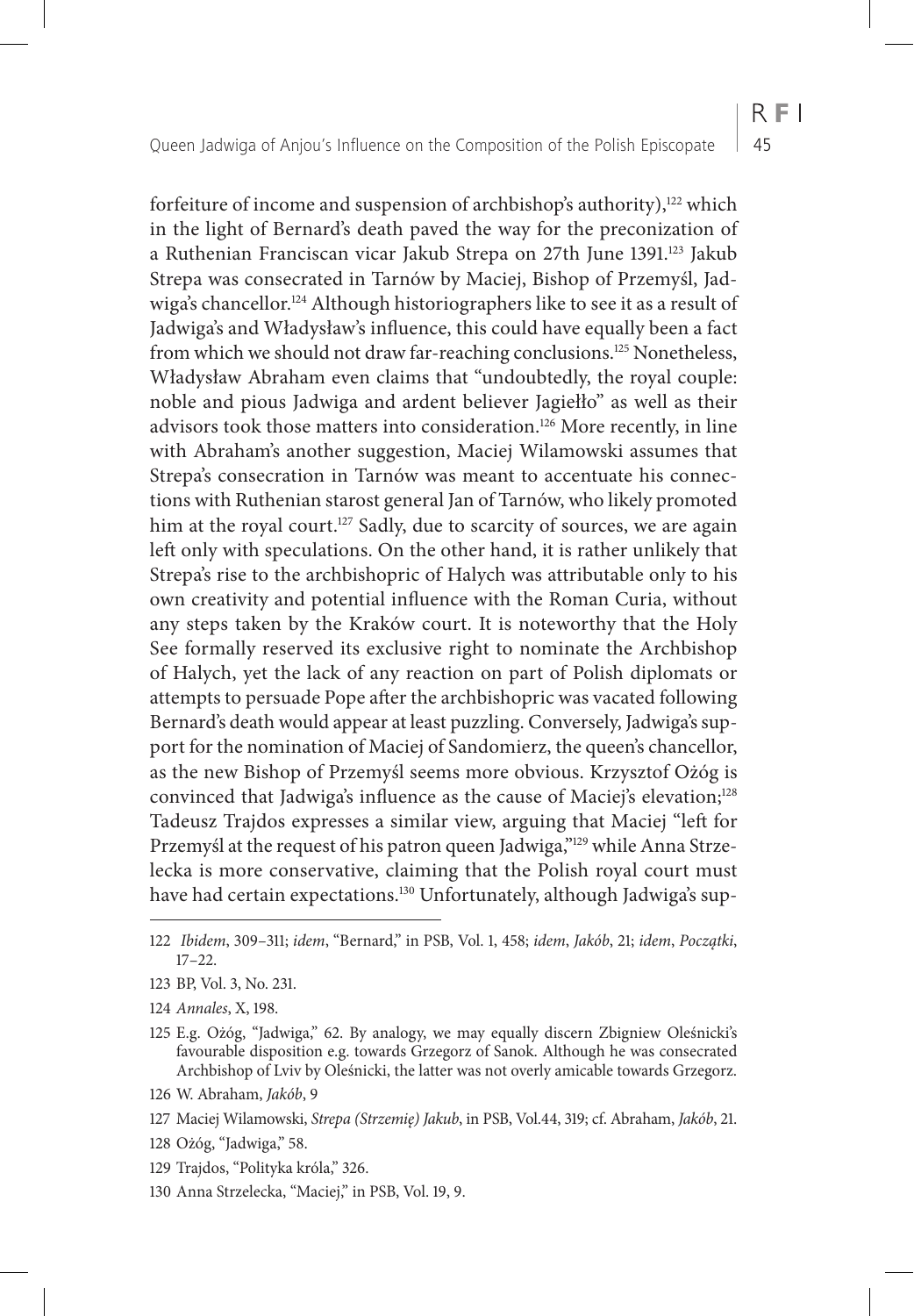forfeiture of income and suspension of archbishop's authority),<sup>122</sup> which in the light of Bernard's death paved the way for the preconization of a Ruthenian Franciscan vicar Jakub Strepa on 27th June 1391.<sup>123</sup> Jakub Strepa was consecrated in Tarnów by Maciej, Bishop of Przemyśl, Jadwiga's chancellor.<sup>124</sup> Although historiographers like to see it as a result of Jadwiga's and Władysław's influence, this could have equally been a fact from which we should not draw far-reaching conclusions.<sup>125</sup> Nonetheless, Władysław Abraham even claims that "undoubtedly, the royal couple: noble and pious Jadwiga and ardent believer Jagiełło" as well as their advisors took those matters into consideration.126 More recently, in line with Abraham's another suggestion, Maciej Wilamowski assumes that Strepa's consecration in Tarnów was meant to accentuate his connections with Ruthenian starost general Jan of Tarnów, who likely promoted him at the royal court.<sup>127</sup> Sadly, due to scarcity of sources, we are again left only with speculations. On the other hand, it is rather unlikely that Strepa's rise to the archbishopric of Halych was attributable only to his own creativity and potential influence with the Roman Curia, without any steps taken by the Kraków court. It is noteworthy that the Holy See formally reserved its exclusive right to nominate the Archbishop of Halych, yet the lack of any reaction on part of Polish diplomats or attempts to persuade Pope after the archbishopric was vacated following Bernard's death would appear at least puzzling. Conversely, Jadwiga's support for the nomination of Maciej of Sandomierz, the queen's chancellor, as the new Bishop of Przemyśl seems more obvious. Krzysztof Ożóg is convinced that Jadwiga's influence as the cause of Maciej's elevation;<sup>128</sup> Tadeusz Trajdos expresses a similar view, arguing that Maciej "left for Przemyśl at the request of his patron queen Jadwiga,"<sup>129</sup> while Anna Strzelecka is more conservative, claiming that the Polish royal court must have had certain expectations.<sup>130</sup> Unfortunately, although Jadwiga's sup-

- 124 *Annales*, X, 198.
- 125 E.g. Ożóg, "Jadwiga," 62. By analogy, we may equally discern Zbigniew Oleśnicki's favourable disposition e.g. towards Grzegorz of Sanok. Although he was consecrated Archbishop of Lviv by Oleśnicki, the latter was not overly amicable towards Grzegorz.
- 126 W. Abraham, *Jakób*, 9
- 127 Maciej Wilamowski, *Strepa (Strzemię) Jakub*, in PSB, Vol.44, 319; cf. Abraham, *Jakób*, 21.
- 128 Ożóg, "Jadwiga," 58.
- 129 Trajdos, "Polityka króla," 326.
- 130 Anna Strzelecka, "Maciej," in PSB, Vol. 19, 9.

<sup>122</sup> *Ibidem*, 309–311; *idem*, "Bernard," in PSB, Vol. 1, 458; *idem*, *Jakób*, 21; *idem*, *Początki*, 17–22.

<sup>123</sup> BP, Vol. 3, No. 231.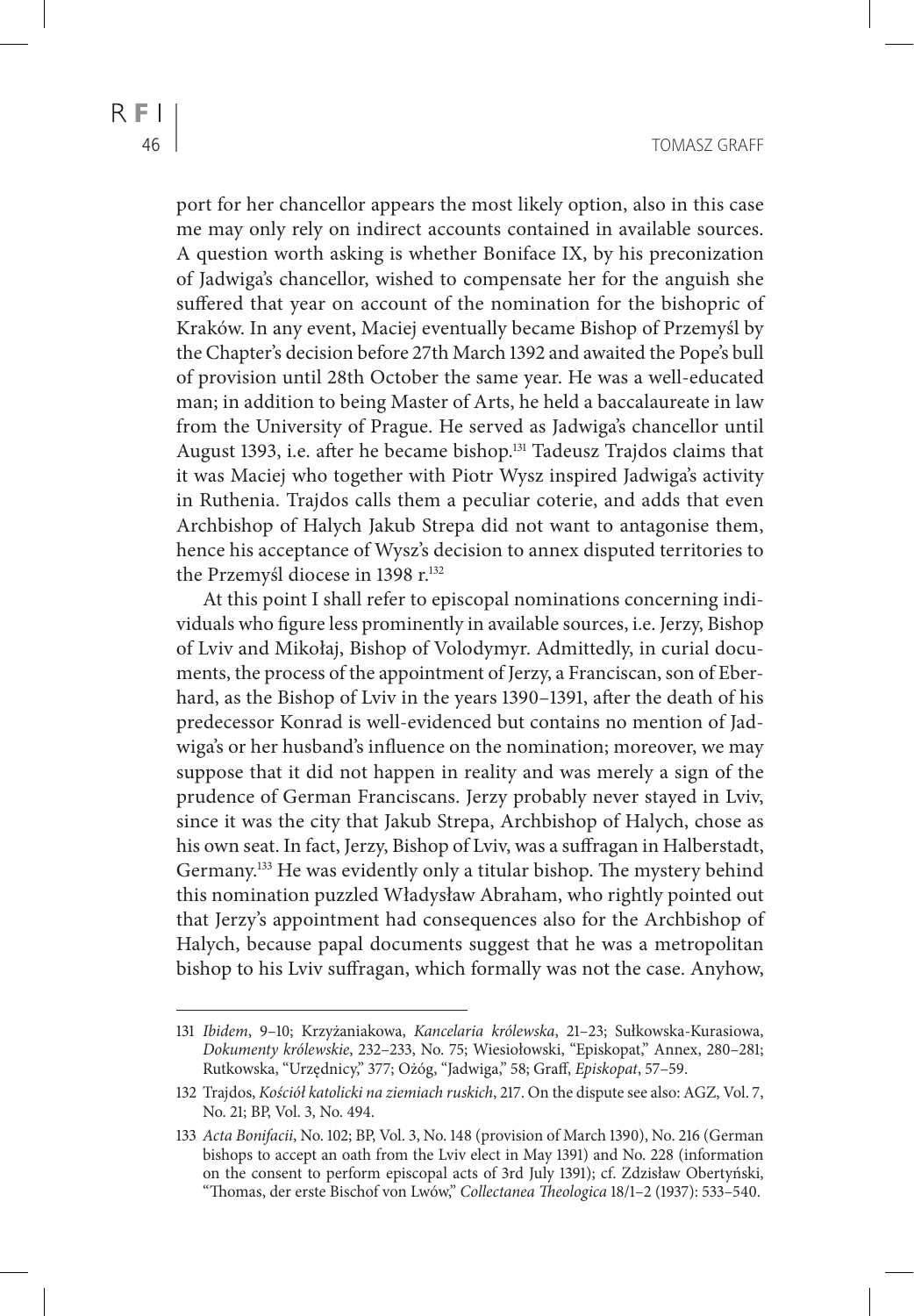port for her chancellor appears the most likely option, also in this case me may only rely on indirect accounts contained in available sources. A question worth asking is whether Boniface IX, by his preconization of Jadwiga's chancellor, wished to compensate her for the anguish she suffered that year on account of the nomination for the bishopric of Kraków. In any event, Maciej eventually became Bishop of Przemyśl by the Chapter's decision before 27th March 1392 and awaited the Pope's bull of provision until 28th October the same year. He was a well-educated man; in addition to being Master of Arts, he held a baccalaureate in law from the University of Prague. He served as Jadwiga's chancellor until August 1393, i.e. after he became bishop.131 Tadeusz Trajdos claims that it was Maciej who together with Piotr Wysz inspired Jadwiga's activity in Ruthenia. Trajdos calls them a peculiar coterie, and adds that even Archbishop of Halych Jakub Strepa did not want to antagonise them, hence his acceptance of Wysz's decision to annex disputed territories to the Przemyśl diocese in 1398 r.<sup>132</sup>

At this point I shall refer to episcopal nominations concerning individuals who figure less prominently in available sources, i.e. Jerzy, Bishop of Lviv and Mikołaj, Bishop of Volodymyr. Admittedly, in curial documents, the process of the appointment of Jerzy, a Franciscan, son of Eberhard, as the Bishop of Lviv in the years 1390–1391, after the death of his predecessor Konrad is well-evidenced but contains no mention of Jadwiga's or her husband's influence on the nomination; moreover, we may suppose that it did not happen in reality and was merely a sign of the prudence of German Franciscans. Jerzy probably never stayed in Lviv, since it was the city that Jakub Strepa, Archbishop of Halych, chose as his own seat. In fact, Jerzy, Bishop of Lviv, was a suffragan in Halberstadt, Germany.133 He was evidently only a titular bishop. The mystery behind this nomination puzzled Władysław Abraham, who rightly pointed out that Jerzy's appointment had consequences also for the Archbishop of Halych, because papal documents suggest that he was a metropolitan bishop to his Lviv suffragan, which formally was not the case. Anyhow,

<sup>131</sup> *Ibidem*, 9–10; Krzyżaniakowa, *Kancelaria królewska*, 21–23; Sułkowska-Kurasiowa, *Dokumenty królewskie*, 232–233, No. 75; Wiesiołowski, "Episkopat," Annex, 280–281; Rutkowska, "Urzędnicy," 377; Ożóg, "Jadwiga," 58; Graff, *Episkopat*, 57–59.

<sup>132</sup> Trajdos, *Kościół katolicki na ziemiach ruskich*, 217. On the dispute see also: AGZ, Vol. 7, No. 21; BP, Vol. 3, No. 494.

<sup>133</sup> *Acta Bonifacii*, No. 102; BP, Vol. 3, No. 148 (provision of March 1390), No. 216 (German bishops to accept an oath from the Lviv elect in May 1391) and No. 228 (information on the consent to perform episcopal acts of 3rd July 1391); cf. Zdzisław Obertyński, "Thomas, der erste Bischof von Lwów," *Collectanea Theologica* 18/1–2 (1937): 533–540.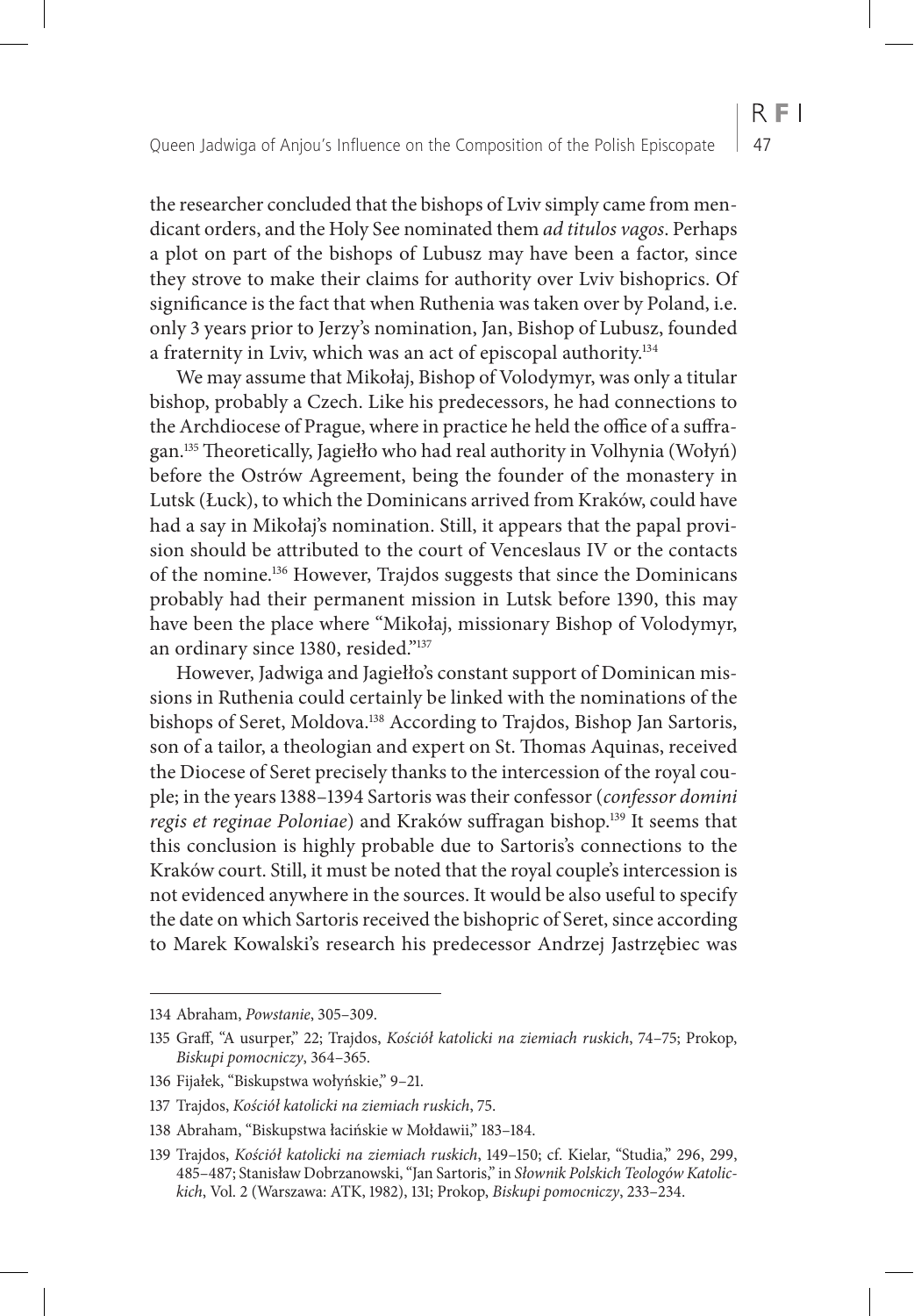the researcher concluded that the bishops of Lviv simply came from mendicant orders, and the Holy See nominated them *ad titulos vagos*. Perhaps a plot on part of the bishops of Lubusz may have been a factor, since they strove to make their claims for authority over Lviv bishoprics. Of significance is the fact that when Ruthenia was taken over by Poland, i.e. only 3 years prior to Jerzy's nomination, Jan, Bishop of Lubusz, founded

a fraternity in Lviv, which was an act of episcopal authority.134 We may assume that Mikołaj, Bishop of Volodymyr, was only a titular bishop, probably a Czech. Like his predecessors, he had connections to the Archdiocese of Prague, where in practice he held the office of a suffragan.135 Theoretically, Jagiełło who had real authority in Volhynia (Wołyń) before the Ostrów Agreement, being the founder of the monastery in Lutsk (Łuck), to which the Dominicans arrived from Kraków, could have had a say in Mikołaj's nomination. Still, it appears that the papal provision should be attributed to the court of Venceslaus IV or the contacts of the nomine.136 However, Trajdos suggests that since the Dominicans probably had their permanent mission in Lutsk before 1390, this may have been the place where "Mikołaj, missionary Bishop of Volodymyr, an ordinary since 1380, resided."137

However, Jadwiga and Jagiełło's constant support of Dominican missions in Ruthenia could certainly be linked with the nominations of the bishops of Seret, Moldova.138 According to Trajdos, Bishop Jan Sartoris, son of a tailor, a theologian and expert on St. Thomas Aquinas, received the Diocese of Seret precisely thanks to the intercession of the royal couple; in the years 1388–1394 Sartoris was their confessor (*confessor domini regis et reginae Poloniae*) and Kraków suffragan bishop.<sup>139</sup> It seems that this conclusion is highly probable due to Sartoris's connections to the Kraków court. Still, it must be noted that the royal couple's intercession is not evidenced anywhere in the sources. It would be also useful to specify the date on which Sartoris received the bishopric of Seret, since according to Marek Kowalski's research his predecessor Andrzej Jastrzębiec was

<sup>134</sup> Abraham, *Powstanie*, 305–309.

<sup>135</sup> Graff, "A usurper," 22; Trajdos, *Kościół katolicki na ziemiach ruskich*, 74–75; Prokop, *Biskupi pomocniczy*, 364–365.

<sup>136</sup> Fijałek, "Biskupstwa wołyńskie," 9–21.

<sup>137</sup> Trajdos, *Kościół katolicki na ziemiach ruskich*, 75.

<sup>138</sup> Abraham, "Biskupstwa łacińskie w Mołdawii," 183–184.

<sup>139</sup> Trajdos, *Kościół katolicki na ziemiach ruskich*, 149–150; cf. Kielar, "Studia," 296, 299, 485–487; Stanisław Dobrzanowski, "Jan Sartoris," in *Słownik Polskich Teologów Katolickich*, Vol. 2 (Warszawa: ATK, 1982), 131; Prokop, *Biskupi pomocniczy*, 233–234.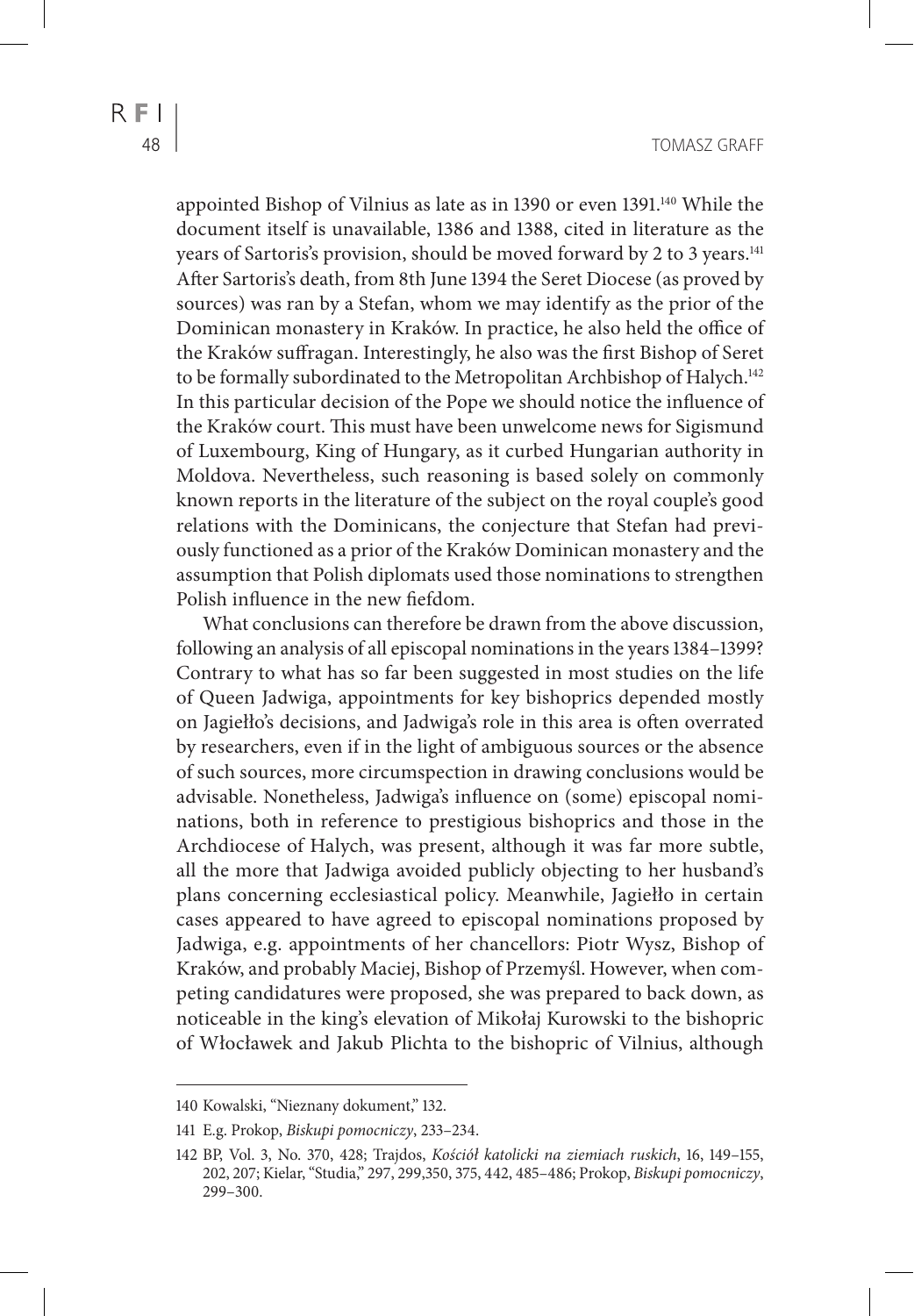appointed Bishop of Vilnius as late as in 1390 or even 1391.140 While the

document itself is unavailable, 1386 and 1388, cited in literature as the years of Sartoris's provision, should be moved forward by 2 to 3 years.<sup>141</sup> After Sartoris's death, from 8th June 1394 the Seret Diocese (as proved by sources) was ran by a Stefan, whom we may identify as the prior of the Dominican monastery in Kraków. In practice, he also held the office of the Kraków suffragan. Interestingly, he also was the first Bishop of Seret to be formally subordinated to the Metropolitan Archbishop of Halych.<sup>142</sup> In this particular decision of the Pope we should notice the influence of the Kraków court. This must have been unwelcome news for Sigismund of Luxembourg, King of Hungary, as it curbed Hungarian authority in Moldova. Nevertheless, such reasoning is based solely on commonly known reports in the literature of the subject on the royal couple's good relations with the Dominicans, the conjecture that Stefan had previously functioned as a prior of the Kraków Dominican monastery and the assumption that Polish diplomats used those nominations to strengthen Polish influence in the new fiefdom.

What conclusions can therefore be drawn from the above discussion, following an analysis of all episcopal nominations in the years 1384–1399? Contrary to what has so far been suggested in most studies on the life of Queen Jadwiga, appointments for key bishoprics depended mostly on Jagiełło's decisions, and Jadwiga's role in this area is often overrated by researchers, even if in the light of ambiguous sources or the absence of such sources, more circumspection in drawing conclusions would be advisable. Nonetheless, Jadwiga's influence on (some) episcopal nominations, both in reference to prestigious bishoprics and those in the Archdiocese of Halych, was present, although it was far more subtle, all the more that Jadwiga avoided publicly objecting to her husband's plans concerning ecclesiastical policy. Meanwhile, Jagiełło in certain cases appeared to have agreed to episcopal nominations proposed by Jadwiga, e.g. appointments of her chancellors: Piotr Wysz, Bishop of Kraków, and probably Maciej, Bishop of Przemyśl. However, when competing candidatures were proposed, she was prepared to back down, as noticeable in the king's elevation of Mikołaj Kurowski to the bishopric of Włocławek and Jakub Plichta to the bishopric of Vilnius, although

<sup>140</sup> Kowalski, "Nieznany dokument," 132.

<sup>141</sup> E.g. Prokop, *Biskupi pomocniczy*, 233–234.

<sup>142</sup> BP, Vol. 3, No. 370, 428; Trajdos, *Kościół katolicki na ziemiach ruskich*, 16, 149–155, 202, 207; Kielar, "Studia," 297, 299,350, 375, 442, 485–486; Prokop, *Biskupi pomocniczy*, 299–300.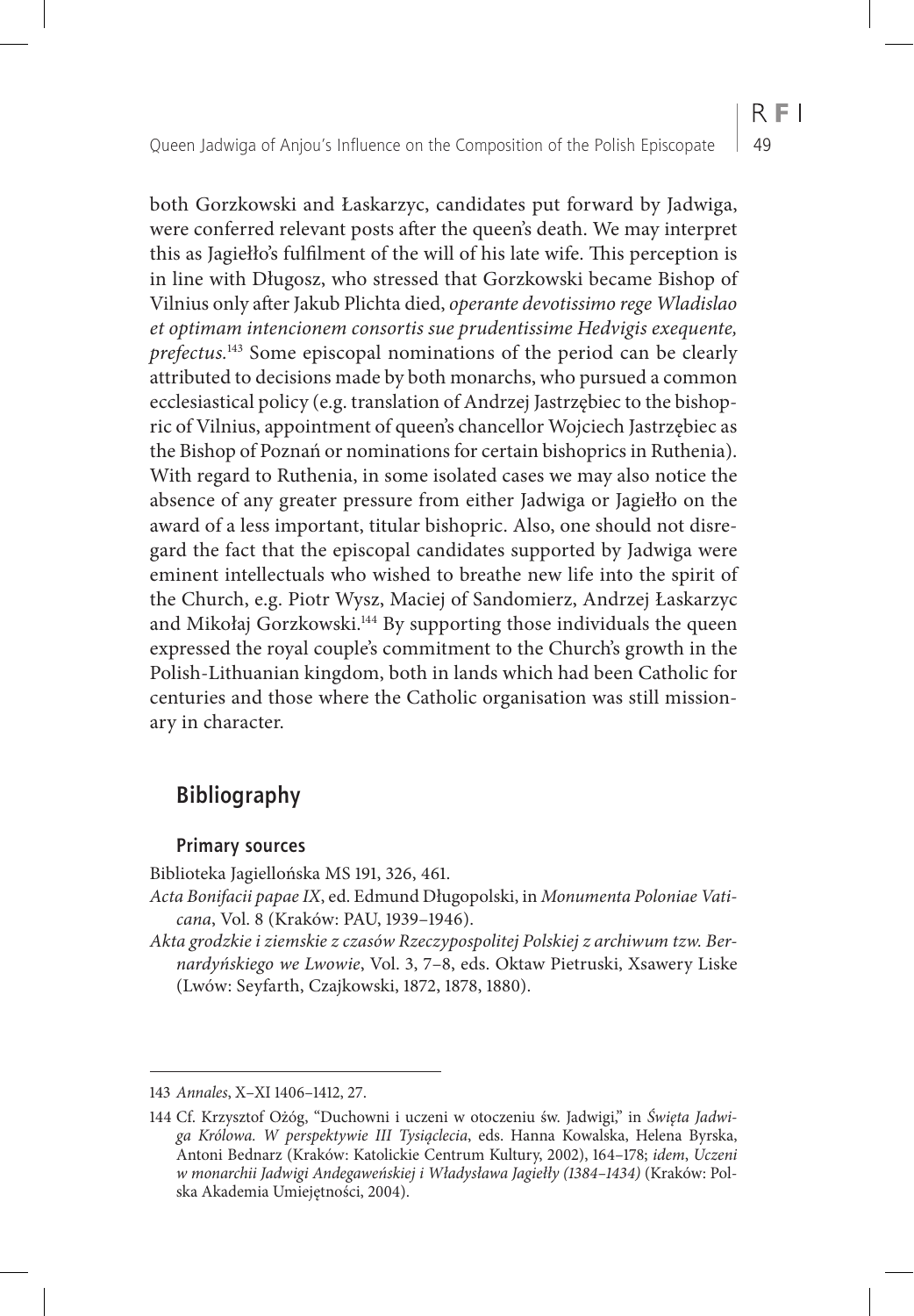both Gorzkowski and Łaskarzyc, candidates put forward by Jadwiga, were conferred relevant posts after the queen's death. We may interpret this as Jagiełło's fulfilment of the will of his late wife. This perception is in line with Długosz, who stressed that Gorzkowski became Bishop of Vilnius only after Jakub Plichta died, *operante devotissimo rege Wladislao et optimam intencionem consortis sue prudentissime Hedvigis exequente, prefectus.*143 Some episcopal nominations of the period can be clearly attributed to decisions made by both monarchs, who pursued a common ecclesiastical policy (e.g. translation of Andrzej Jastrzębiec to the bishopric of Vilnius, appointment of queen's chancellor Wojciech Jastrzębiec as the Bishop of Poznań or nominations for certain bishoprics in Ruthenia). With regard to Ruthenia, in some isolated cases we may also notice the absence of any greater pressure from either Jadwiga or Jagiełło on the award of a less important, titular bishopric. Also, one should not disregard the fact that the episcopal candidates supported by Jadwiga were eminent intellectuals who wished to breathe new life into the spirit of the Church, e.g. Piotr Wysz, Maciej of Sandomierz, Andrzej Łaskarzyc and Mikołaj Gorzkowski.<sup>144</sup> By supporting those individuals the queen expressed the royal couple's commitment to the Church's growth in the Polish-Lithuanian kingdom, both in lands which had been Catholic for centuries and those where the Catholic organisation was still missionary in character.

# **Bibliography**

### **Primary sources**

Biblioteka Jagiellońska MS 191, 326, 461.

*Acta Bonifacii papae IX*, ed. Edmund Długopolski, in *Monumenta Poloniae Vaticana*, Vol. 8 (Kraków: PAU, 1939–1946).

*Akta grodzkie i ziemskie z czasów Rzeczypospolitej Polskiej z archiwum tzw. Bernardyńskiego we Lwowie*, Vol. 3, 7–8, eds. Oktaw Pietruski, Xsawery Liske (Lwów: Seyfarth, Czajkowski, 1872, 1878, 1880).

<sup>143</sup> *Annales*, X–XI 1406–1412, 27.

<sup>144</sup> Cf. Krzysztof Ożóg, "Duchowni i uczeni w otoczeniu św. Jadwigi," in *Święta Jadwiga Królowa. W perspektywie III Tysiąclecia*, eds. Hanna Kowalska, Helena Byrska, Antoni Bednarz (Kraków: Katolickie Centrum Kultury, 2002), 164–178; *idem*, *Uczeni w monarchii Jadwigi Andegaweńskiej i Władysława Jagiełły (1384–1434)* (Kraków: Polska Akademia Umiejętności, 2004).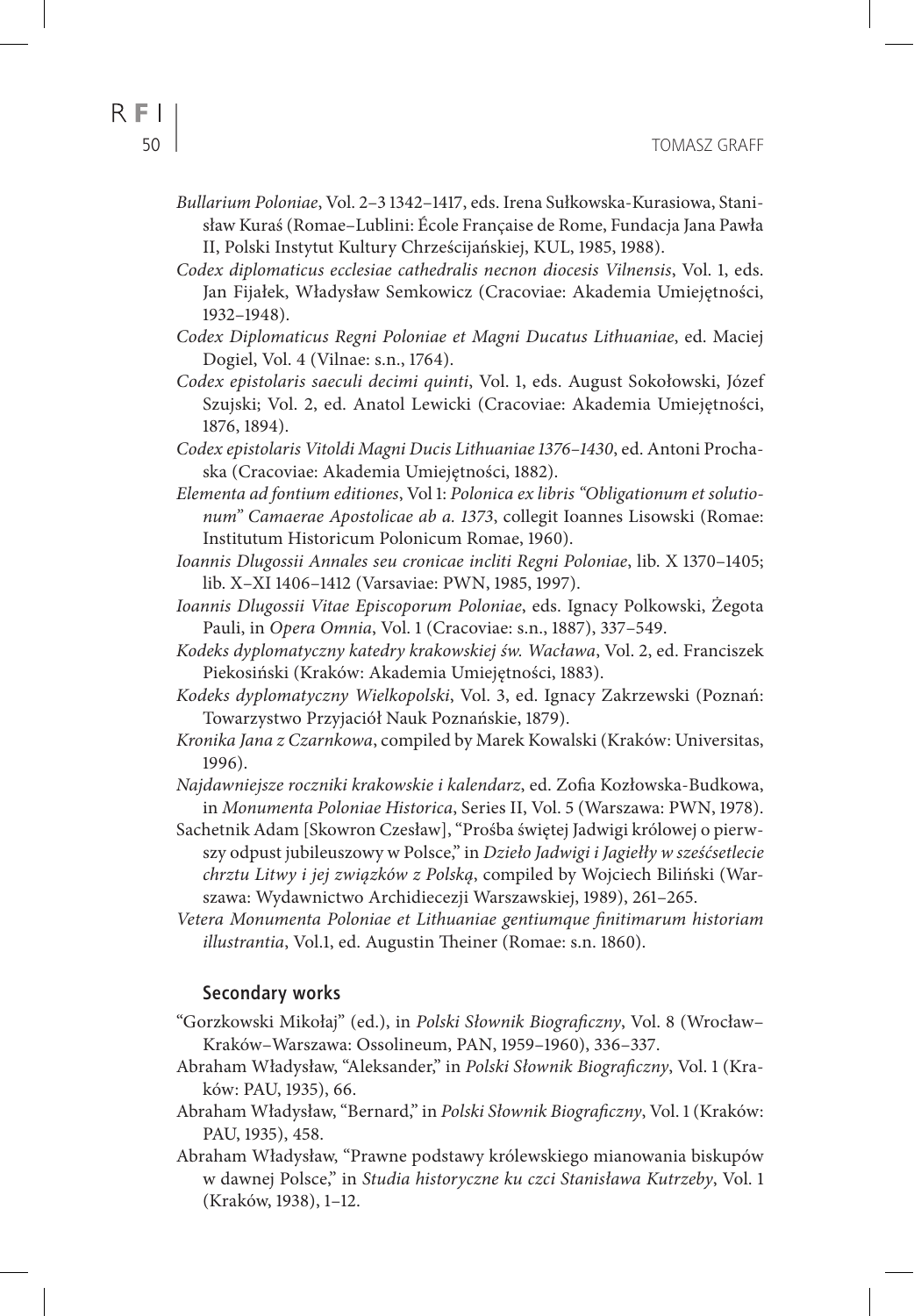- *Bullarium Poloniae*, Vol. 2–3 1342–1417, eds. Irena Sułkowska-Kurasiowa, Stanisław Kuraś (Romae–Lublini: École Française de Rome, Fundacja Jana Pawła II, Polski Instytut Kultury Chrześcijańskiej, KUL, 1985, 1988).
- *Codex diplomaticus ecclesiae cathedralis necnon diocesis Vilnensis*, Vol. 1, eds. Jan Fijałek, Władysław Semkowicz (Cracoviae: Akademia Umiejętności, 1932–1948).
- *Codex Diplomaticus Regni Poloniae et Magni Ducatus Lithuaniae*, ed. Maciej Dogiel, Vol. 4 (Vilnae: s.n., 1764).
- *Codex epistolaris saeculi decimi quinti*, Vol. 1, eds. August Sokołowski, Józef Szujski; Vol. 2, ed. Anatol Lewicki (Cracoviae: Akademia Umiejętności, 1876, 1894).
- *Codex epistolaris Vitoldi Magni Ducis Lithuaniae 1376–1430*, ed. Antoni Prochaska (Cracoviae: Akademia Umiejętności, 1882).
- *Elementa ad fontium editiones*, Vol 1: *Polonica ex libris "Obligationum et solutionum" Camaerae Apostolicae ab a. 1373*, collegit Ioannes Lisowski (Romae: Institutum Historicum Polonicum Romae, 1960).
- *Ioannis Dlugossii Annales seu cronicae incliti Regni Poloniae*, lib. X 1370–1405; lib. X–XI 1406–1412 (Varsaviae: PWN, 1985, 1997).
- *Ioannis Dlugossii Vitae Episcoporum Poloniae*, eds. Ignacy Polkowski, Żegota Pauli, in *Opera Omnia*, Vol. 1 (Cracoviae: s.n., 1887), 337–549.
- *Kodeks dyplomatyczny katedry krakowskiej św. Wacława*, Vol. 2, ed. Franciszek Piekosiński (Kraków: Akademia Umiejętności, 1883).
- *Kodeks dyplomatyczny Wielkopolski*, Vol. 3, ed. Ignacy Zakrzewski (Poznań: Towarzystwo Przyjaciół Nauk Poznańskie, 1879).
- *Kronika Jana z Czarnkowa*, compiled by Marek Kowalski (Kraków: Universitas, 1996).
- *Najdawniejsze roczniki krakowskie i kalendarz*, ed. Zofia Kozłowska-Budkowa, in *Monumenta Poloniae Historica*, Series II, Vol. 5 (Warszawa: PWN, 1978).
- Sachetnik Adam [Skowron Czesław], "Prośba świętej Jadwigi królowej o pierwszy odpust jubileuszowy w Polsce," in *Dzieło Jadwigi i Jagiełły w sześćsetlecie chrztu Litwy i jej związków z Polską*, compiled by Wojciech Biliński (Warszawa: Wydawnictwo Archidiecezji Warszawskiej, 1989), 261–265.
- *Vetera Monumenta Poloniae et Lithuaniae gentiumque finitimarum historiam illustrantia*, Vol.1, ed. Augustin Theiner (Romae: s.n. 1860).

#### **Secondary works**

- "Gorzkowski Mikołaj" (ed.), in *Polski Słownik Biograficzny*, Vol. 8 (Wrocław– Kraków–Warszawa: Ossolineum, PAN, 1959–1960), 336–337.
- Abraham Władysław, "Aleksander," in *Polski Słownik Biograficzny*, Vol. 1 (Kraków: PAU, 1935), 66.
- Abraham Władysław, "Bernard," in *Polski Słownik Biograficzny*, Vol. 1 (Kraków: PAU, 1935), 458.
- Abraham Władysław, "Prawne podstawy królewskiego mianowania biskupów w dawnej Polsce," in *Studia historyczne ku czci Stanisława Kutrzeby*, Vol. 1 (Kraków, 1938), 1–12.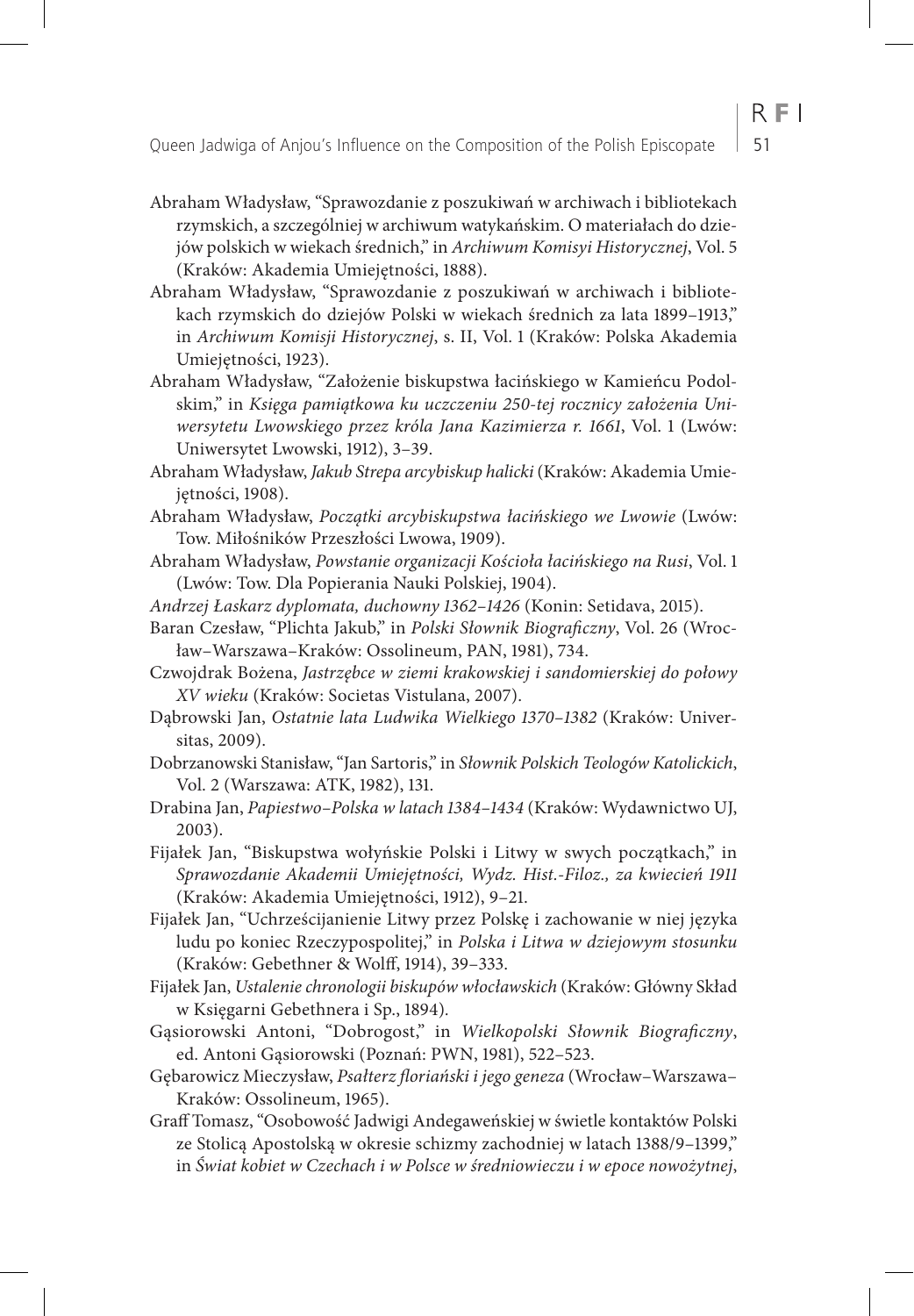- Abraham Władysław, "Sprawozdanie z poszukiwań w archiwach i bibliotekach rzymskich, a szczególniej w archiwum watykańskim. O materiałach do dziejów polskich w wiekach średnich," in *Archiwum Komisyi Historycznej*, Vol. 5 (Kraków: Akademia Umiejętności, 1888).
- Abraham Władysław, "Sprawozdanie z poszukiwań w archiwach i bibliotekach rzymskich do dziejów Polski w wiekach średnich za lata 1899–1913," in *Archiwum Komisji Historycznej*, s. II, Vol. 1 (Kraków: Polska Akademia Umiejętności, 1923).
- Abraham Władysław, "Założenie biskupstwa łacińskiego w Kamieńcu Podolskim," in *Księga pamiątkowa ku uczczeniu 250-tej rocznicy założenia Uniwersytetu Lwowskiego przez króla Jana Kazimierza r. 1661*, Vol. 1 (Lwów: Uniwersytet Lwowski, 1912), 3–39.
- Abraham Władysław, *Jakub Strepa arcybiskup halicki* (Kraków: Akademia Umiejętności, 1908).
- Abraham Władysław, *Początki arcybiskupstwa łacińskiego we Lwowie* (Lwów: Tow. Miłośników Przeszłości Lwowa, 1909).
- Abraham Władysław, *Powstanie organizacji Kościoła łacińskiego na Rusi*, Vol. 1 (Lwów: Tow. Dla Popierania Nauki Polskiej, 1904).
- *Andrzej Łaskarz dyplomata, duchowny 1362–1426* (Konin: Setidava, 2015).
- Baran Czesław, "Plichta Jakub," in *Polski Słownik Biograficzny*, Vol. 26 (Wrocław–Warszawa–Kraków: Ossolineum, PAN, 1981), 734.
- Czwojdrak Bożena, *Jastrzębce w ziemi krakowskiej i sandomierskiej do połowy XV wieku* (Kraków: Societas Vistulana, 2007).
- Dąbrowski Jan, *Ostatnie lata Ludwika Wielkiego 1370–1382* (Kraków: Universitas, 2009).
- Dobrzanowski Stanisław, "Jan Sartoris," in *Słownik Polskich Teologów Katolickich*, Vol. 2 (Warszawa: ATK, 1982), 131.
- Drabina Jan, *Papiestwo–Polska w latach 1384–1434* (Kraków: Wydawnictwo UJ, 2003).
- Fijałek Jan, "Biskupstwa wołyńskie Polski i Litwy w swych początkach," in *Sprawozdanie Akademii Umiejętności, Wydz. Hist.-Filoz., za kwiecień 1911* (Kraków: Akademia Umiejętności, 1912), 9–21.
- Fijałek Jan, "Uchrześcijanienie Litwy przez Polskę i zachowanie w niej języka ludu po koniec Rzeczypospolitej," in *Polska i Litwa w dziejowym stosunku*  (Kraków: Gebethner & Wolff, 1914), 39–333.
- Fijałek Jan, *Ustalenie chronologii biskupów włocławskich* (Kraków: Główny Skład w Księgarni Gebethnera i Sp., 1894)*.*
- Gąsiorowski Antoni, "Dobrogost," in *Wielkopolski Słownik Biograficzny*, ed. Antoni Gąsiorowski (Poznań: PWN, 1981), 522–523.
- Gębarowicz Mieczysław, *Psałterz floriański i jego geneza* (Wrocław–Warszawa– Kraków: Ossolineum, 1965).
- Graff Tomasz, "Osobowość Jadwigi Andegaweńskiej w świetle kontaktów Polski ze Stolicą Apostolską w okresie schizmy zachodniej w latach 1388/9–1399," in *Świat kobiet w Czechach i w Polsce w średniowieczu i w epoce nowożytnej*,

 $R$   $F$   $I$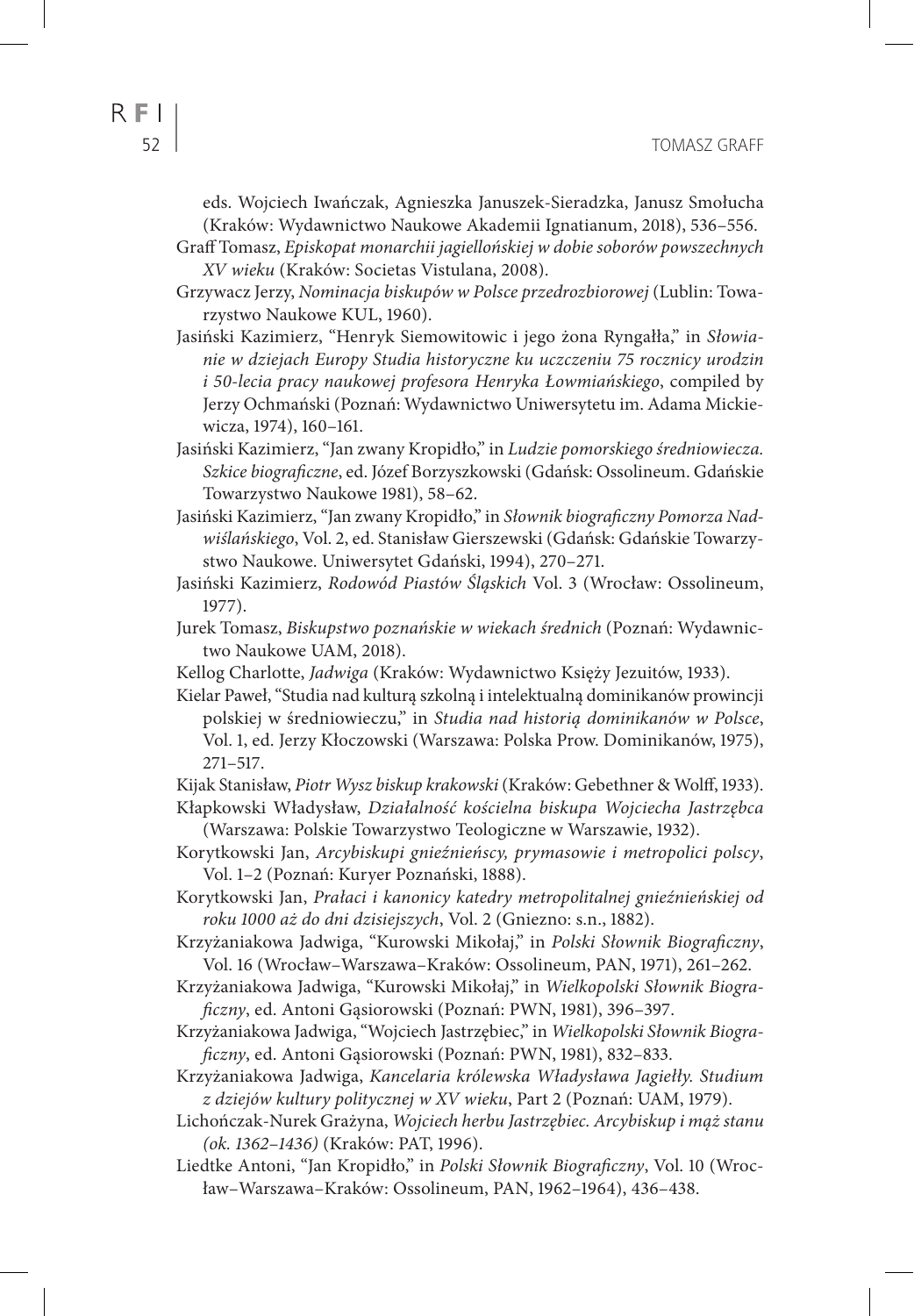eds. Wojciech Iwańczak, Agnieszka Januszek-Sieradzka, Janusz Smołucha (Kraków: Wydawnictwo Naukowe Akademii Ignatianum, 2018), 536–556.

Graff Tomasz, *Episkopat monarchii jagiellońskiej w dobie soborów powszechnych XV wieku* (Kraków: Societas Vistulana, 2008).

Grzywacz Jerzy, *Nominacja biskupów w Polsce przedrozbiorowej* (Lublin: Towarzystwo Naukowe KUL, 1960).

Jasiński Kazimierz, "Henryk Siemowitowic i jego żona Ryngałła," in *Słowianie w dziejach Europy Studia historyczne ku uczczeniu 75 rocznicy urodzin i 50-lecia pracy naukowej profesora Henryka Łowmiańskiego*, compiled by Jerzy Ochmański (Poznań: Wydawnictwo Uniwersytetu im. Adama Mickiewicza, 1974), 160–161.

Jasiński Kazimierz, "Jan zwany Kropidło," in *Ludzie pomorskiego średniowiecza. Szkice biograficzne*, ed. Józef Borzyszkowski (Gdańsk: Ossolineum. Gdańskie Towarzystwo Naukowe 1981), 58–62.

Jasiński Kazimierz, "Jan zwany Kropidło," in *Słownik biograficzny Pomorza Nadwiślańskiego*, Vol. 2, ed. Stanisław Gierszewski (Gdańsk: Gdańskie Towarzystwo Naukowe. Uniwersytet Gdański, 1994), 270–271.

Jasiński Kazimierz, *Rodowód Piastów Śląskich* Vol. 3 (Wrocław: Ossolineum, 1977).

Jurek Tomasz, *Biskupstwo poznańskie w wiekach średnich* (Poznań: Wydawnictwo Naukowe UAM, 2018).

Kellog Charlotte, *Jadwiga* (Kraków: Wydawnictwo Księży Jezuitów, 1933).

Kielar Paweł, "Studia nad kulturą szkolną i intelektualną dominikanów prowincji polskiej w średniowieczu," in *Studia nad historią dominikanów w Polsce*, Vol. 1, ed. Jerzy Kłoczowski (Warszawa: Polska Prow. Dominikanów, 1975), 271–517.

Kijak Stanisław, *Piotr Wysz biskup krakowski* (Kraków: Gebethner & Wolff, 1933).

Kłapkowski Władysław, *Działalność kościelna biskupa Wojciecha Jastrzębca*  (Warszawa: Polskie Towarzystwo Teologiczne w Warszawie, 1932).

Korytkowski Jan, *Arcybiskupi gnieźnieńscy, prymasowie i metropolici polscy*, Vol. 1–2 (Poznań: Kuryer Poznański, 1888).

Korytkowski Jan, *Prałaci i kanonicy katedry metropolitalnej gnieźnieńskiej od roku 1000 aż do dni dzisiejszych*, Vol. 2 (Gniezno: s.n., 1882).

Krzyżaniakowa Jadwiga, "Kurowski Mikołaj," in *Polski Słownik Biograficzny*, Vol. 16 (Wrocław–Warszawa–Kraków: Ossolineum, PAN, 1971), 261–262.

Krzyżaniakowa Jadwiga, "Kurowski Mikołaj," in *Wielkopolski Słownik Biograficzny*, ed. Antoni Gąsiorowski (Poznań: PWN, 1981), 396–397.

Krzyżaniakowa Jadwiga, "Wojciech Jastrzębiec," in *Wielkopolski Słownik Biograficzny*, ed. Antoni Gąsiorowski (Poznań: PWN, 1981), 832–833.

Krzyżaniakowa Jadwiga, *Kancelaria królewska Władysława Jagiełły. Studium z dziejów kultury politycznej w XV wieku*, Part 2 (Poznań: UAM, 1979).

Lichończak-Nurek Grażyna, *Wojciech herbu Jastrzębiec. Arcybiskup i mąż stanu (ok. 1362*–*1436)* (Kraków: PAT, 1996).

Liedtke Antoni, "Jan Kropidło," in *Polski Słownik Biograficzny*, Vol. 10 (Wrocław–Warszawa–Kraków: Ossolineum, PAN, 1962–1964), 436–438.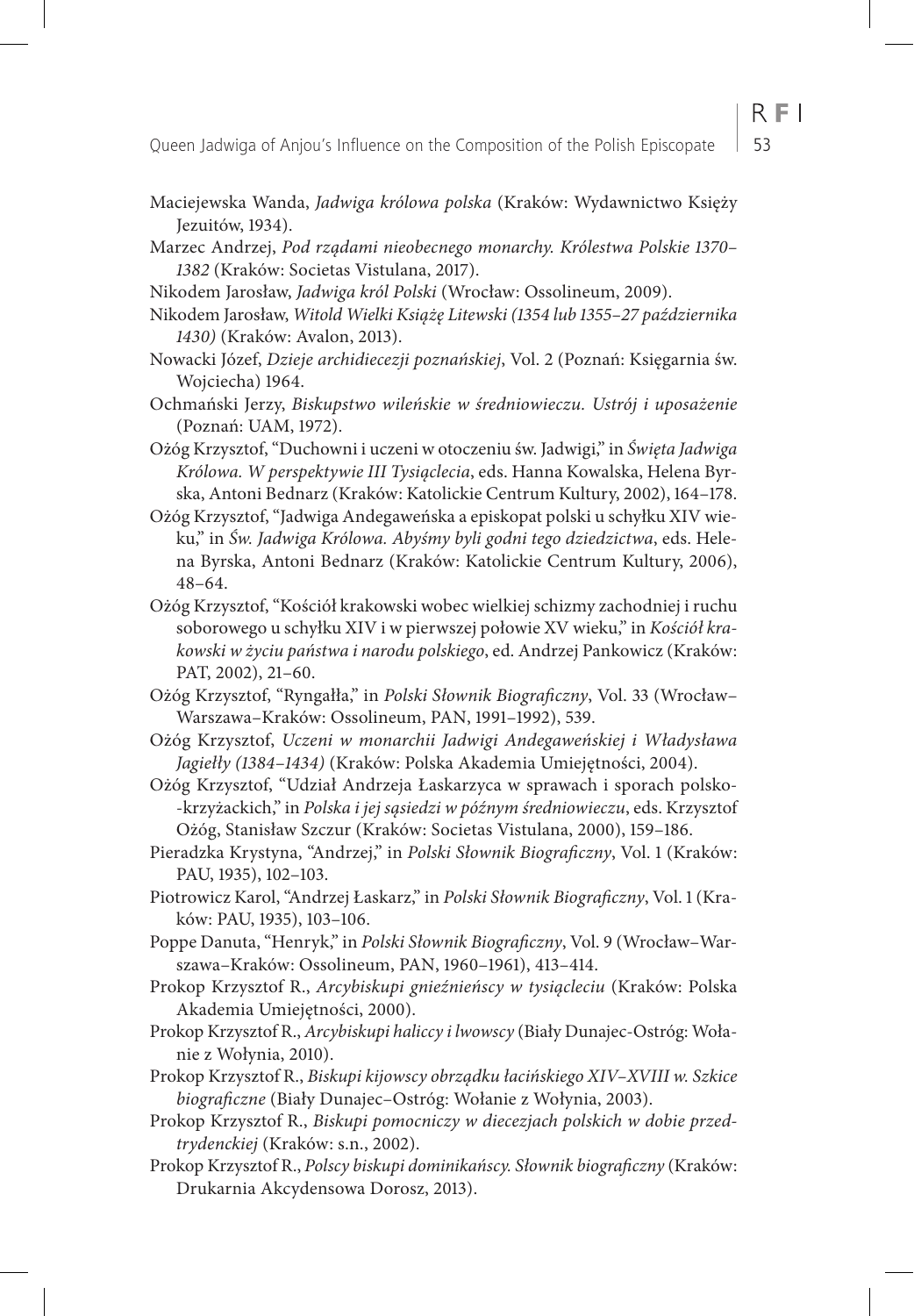- Maciejewska Wanda, *Jadwiga królowa polska* (Kraków: Wydawnictwo Księży Jezuitów, 1934).
- Marzec Andrzej, *Pod rządami nieobecnego monarchy. Królestwa Polskie 1370– 1382* (Kraków: Societas Vistulana, 2017).
- Nikodem Jarosław, *Jadwiga król Polski* (Wrocław: Ossolineum, 2009).
- Nikodem Jarosław, *Witold Wielki Książę Litewski (1354 lub 1355–27 października 1430)* (Kraków: Avalon, 2013).
- Nowacki Józef, *Dzieje archidiecezji poznańskiej*, Vol. 2 (Poznań: Księgarnia św. Wojciecha) 1964.
- Ochmański Jerzy, *Biskupstwo wileńskie w średniowieczu. Ustrój i uposażenie* (Poznań: UAM, 1972).
- Ożóg Krzysztof, "Duchowni i uczeni w otoczeniu św. Jadwigi," in *Święta Jadwiga Królowa. W perspektywie III Tysiąclecia*, eds. Hanna Kowalska, Helena Byrska, Antoni Bednarz (Kraków: Katolickie Centrum Kultury, 2002), 164–178.
- Ożóg Krzysztof, "Jadwiga Andegaweńska a episkopat polski u schyłku XIV wieku," in *Św. Jadwiga Królowa. Abyśmy byli godni tego dziedzictwa*, eds. Helena Byrska, Antoni Bednarz (Kraków: Katolickie Centrum Kultury, 2006), 48–64.
- Ożóg Krzysztof, "Kościół krakowski wobec wielkiej schizmy zachodniej i ruchu soborowego u schyłku XIV i w pierwszej połowie XV wieku," in *Kościół krakowski w życiu państwa i narodu polskiego*, ed. Andrzej Pankowicz (Kraków: PAT, 2002), 21–60.
- Ożóg Krzysztof, "Ryngałła," in *Polski Słownik Biograficzny*, Vol. 33 (Wrocław– Warszawa–Kraków: Ossolineum, PAN, 1991–1992), 539.
- Ożóg Krzysztof, *Uczeni w monarchii Jadwigi Andegaweńskiej i Władysława Jagiełły (1384*–*1434)* (Kraków: Polska Akademia Umiejętności, 2004).
- Ożóg Krzysztof, "Udział Andrzeja Łaskarzyca w sprawach i sporach polsko- -krzyżackich," in *Polska i jej sąsiedzi w późnym średniowieczu*, eds. Krzysztof Ożóg, Stanisław Szczur (Kraków: Societas Vistulana, 2000), 159–186.
- Pieradzka Krystyna, "Andrzej," in *Polski Słownik Biograficzny*, Vol. 1 (Kraków: PAU, 1935), 102–103.
- Piotrowicz Karol, "Andrzej Łaskarz," in *Polski Słownik Biograficzny*, Vol. 1 (Kraków: PAU, 1935), 103–106.
- Poppe Danuta, "Henryk," in *Polski Słownik Biograficzny*, Vol. 9 (Wrocław–Warszawa–Kraków: Ossolineum, PAN, 1960–1961), 413–414.
- Prokop Krzysztof R., *Arcybiskupi gnieźnieńscy w tysiącleciu* (Kraków: Polska Akademia Umiejętności, 2000).
- Prokop Krzysztof R., *Arcybiskupi haliccy i lwowscy* (Biały Dunajec-Ostróg: Wołanie z Wołynia, 2010).
- Prokop Krzysztof R., *Biskupi kijowscy obrządku łacińskiego XIV–XVIII w. Szkice biograficzne* (Biały Dunajec–Ostróg: Wołanie z Wołynia, 2003).
- Prokop Krzysztof R., *Biskupi pomocniczy w diecezjach polskich w dobie przedtrydenckiej* (Kraków: s.n., 2002).
- Prokop Krzysztof R., *Polscy biskupi dominikańscy. Słownik biograficzny* (Kraków: Drukarnia Akcydensowa Dorosz, 2013).

 $R F1$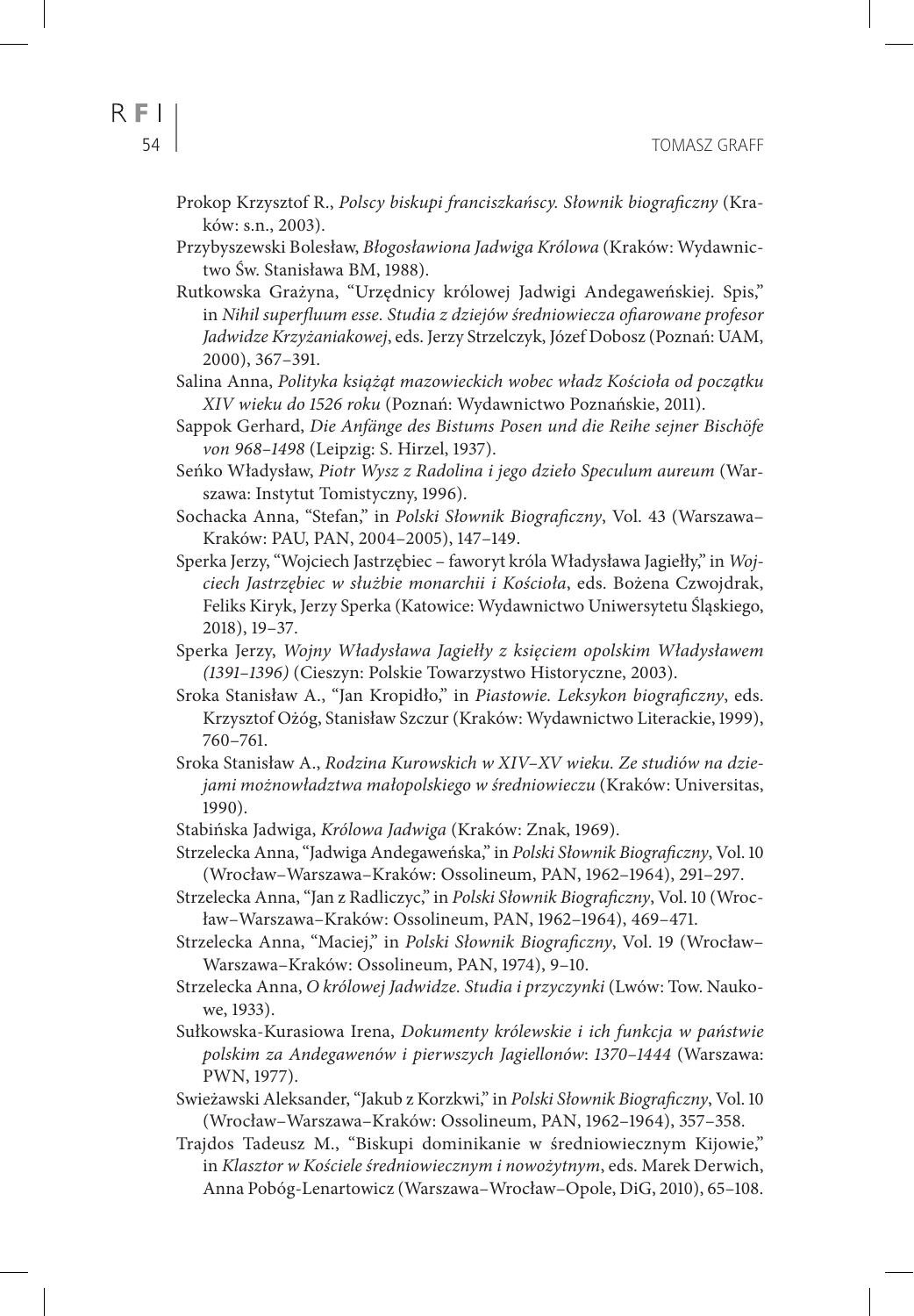- Prokop Krzysztof R., *Polscy biskupi franciszkańscy. Słownik biograficzny* (Kraków: s.n., 2003).
- Przybyszewski Bolesław, *Błogosławiona Jadwiga Królowa* (Kraków: Wydawnictwo Św. Stanisława BM, 1988).
- Rutkowska Grażyna, "Urzędnicy królowej Jadwigi Andegaweńskiej. Spis," in *Nihil superfluum esse. Studia z dziejów średniowiecza ofiarowane profesor Jadwidze Krzyżaniakowej*, eds. Jerzy Strzelczyk, Józef Dobosz (Poznań: UAM, 2000), 367–391.
- Salina Anna, *Polityka książąt mazowieckich wobec władz Kościoła od początku XIV wieku do 1526 roku* (Poznań: Wydawnictwo Poznańskie, 2011).
- Sappok Gerhard, *Die Anfänge des Bistums Posen und die Reihe sejner Bischöfe von 968–1498* (Leipzig: S. Hirzel, 1937).
- Seńko Władysław, *Piotr Wysz z Radolina i jego dzieło Speculum aureum* (Warszawa: Instytut Tomistyczny, 1996).
- Sochacka Anna, "Stefan," in *Polski Słownik Biograficzny*, Vol. 43 (Warszawa– Kraków: PAU, PAN, 2004–2005), 147–149.
- Sperka Jerzy, "Wojciech Jastrzębiec faworyt króla Władysława Jagiełły," in *Wojciech Jastrzębiec w służbie monarchii i Kościoła*, eds. Bożena Czwojdrak, Feliks Kiryk, Jerzy Sperka (Katowice: Wydawnictwo Uniwersytetu Śląskiego, 2018), 19–37.
- Sperka Jerzy, *Wojny Władysława Jagiełły z księciem opolskim Władysławem (1391–1396)* (Cieszyn: Polskie Towarzystwo Historyczne, 2003).
- Sroka Stanisław A., "Jan Kropidło," in *Piastowie. Leksykon biograficzny*, eds. Krzysztof Ożóg, Stanisław Szczur (Kraków: Wydawnictwo Literackie, 1999), 760–761.
- Sroka Stanisław A., *Rodzina Kurowskich w XIV–XV wieku. Ze studiów na dziejami możnowładztwa małopolskiego w średniowieczu* (Kraków: Universitas, 1990).
- Stabińska Jadwiga, *Królowa Jadwiga* (Kraków: Znak, 1969).
- Strzelecka Anna, "Jadwiga Andegaweńska," in *Polski Słownik Biograficzny*, Vol. 10 (Wrocław–Warszawa–Kraków: Ossolineum, PAN, 1962–1964), 291–297.
- Strzelecka Anna, "Jan z Radliczyc," in *Polski Słownik Biograficzny*, Vol. 10 (Wrocław–Warszawa–Kraków: Ossolineum, PAN, 1962–1964), 469–471.
- Strzelecka Anna, "Maciej," in *Polski Słownik Biograficzny*, Vol. 19 (Wrocław– Warszawa–Kraków: Ossolineum, PAN, 1974), 9–10.
- Strzelecka Anna, *O królowej Jadwidze. Studia i przyczynki* (Lwów: Tow. Naukowe, 1933).
- Sułkowska-Kurasiowa Irena, *Dokumenty królewskie i ich funkcja w państwie polskim za Andegawenów i pierwszych Jagiellonów*: *1370–1444* (Warszawa: PWN, 1977).
- Swieżawski Aleksander, "Jakub z Korzkwi," in *Polski Słownik Biograficzny*, Vol. 10 (Wrocław–Warszawa–Kraków: Ossolineum, PAN, 1962–1964), 357–358.
- Trajdos Tadeusz M., "Biskupi dominikanie w średniowiecznym Kijowie," in *Klasztor w Kościele średniowiecznym i nowożytnym*, eds. Marek Derwich, Anna Pobóg-Lenartowicz (Warszawa–Wrocław–Opole, DiG, 2010), 65–108.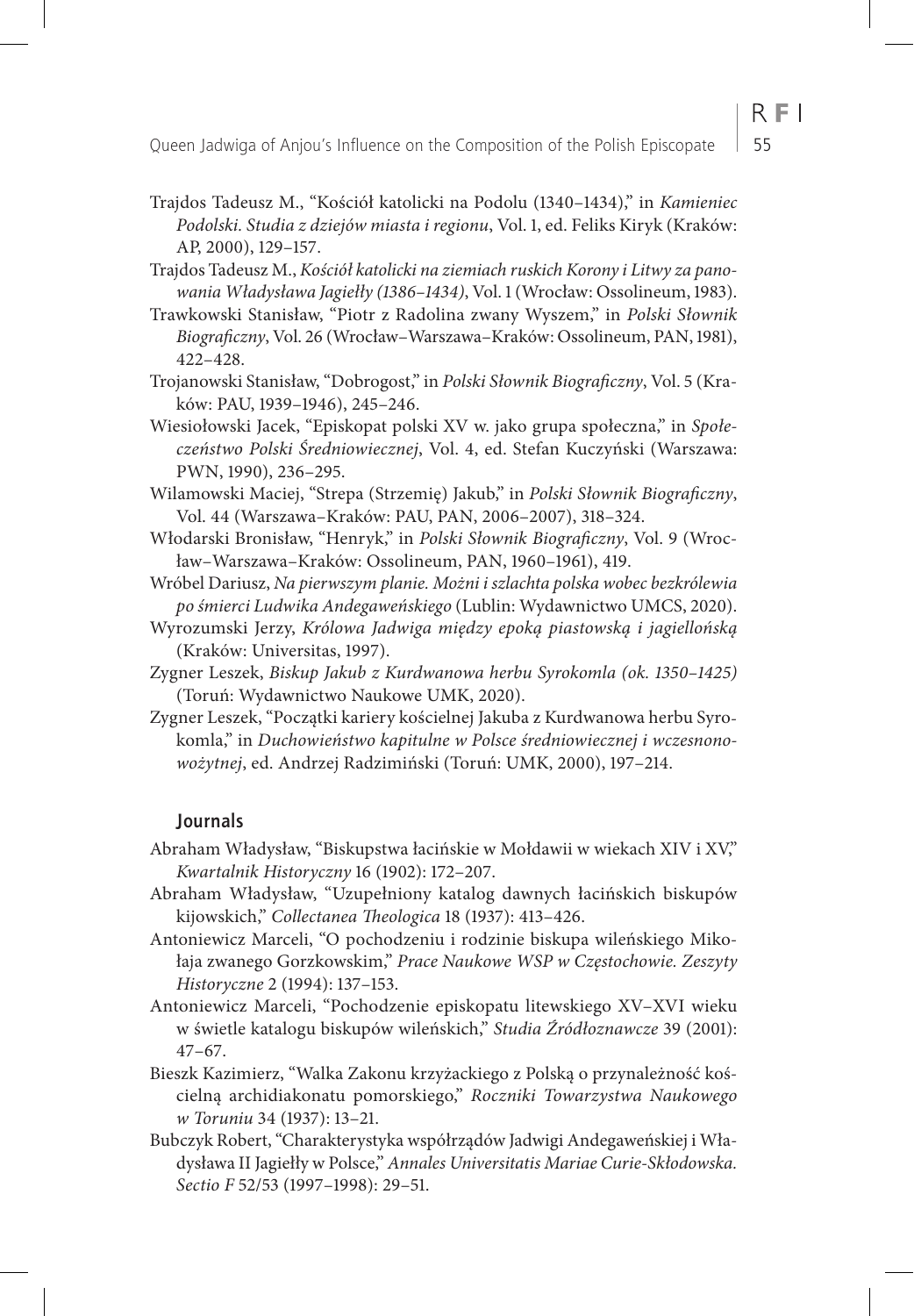- Trajdos Tadeusz M., "Kościół katolicki na Podolu (1340–1434)," in *Kamieniec Podolski. Studia z dziejów miasta i regionu*, Vol. 1, ed. Feliks Kiryk (Kraków: AP, 2000), 129–157.
- Trajdos Tadeusz M., *Kościół katolicki na ziemiach ruskich Korony i Litwy za panowania Władysława Jagiełły (1386–1434)*, Vol. 1 (Wrocław: Ossolineum, 1983).
- Trawkowski Stanisław, "Piotr z Radolina zwany Wyszem," in *Polski Słownik Biograficzny*, Vol. 26 (Wrocław–Warszawa–Kraków: Ossolineum, PAN, 1981), 422–428.
- Trojanowski Stanisław, "Dobrogost," in *Polski Słownik Biograficzny*, Vol. 5 (Kraków: PAU, 1939–1946), 245–246.
- Wiesiołowski Jacek, "Episkopat polski XV w. jako grupa społeczna," in *Społeczeństwo Polski Średniowiecznej*, Vol. 4, ed. Stefan Kuczyński (Warszawa: PWN, 1990), 236–295.
- Wilamowski Maciej, "Strepa (Strzemię) Jakub," in *Polski Słownik Biograficzny*, Vol. 44 (Warszawa–Kraków: PAU, PAN, 2006–2007), 318–324.
- Włodarski Bronisław, "Henryk," in *Polski Słownik Biograficzny*, Vol. 9 (Wrocław–Warszawa–Kraków: Ossolineum, PAN, 1960–1961), 419.
- Wróbel Dariusz, *Na pierwszym planie. Możni i szlachta polska wobec bezkrólewia po śmierci Ludwika Andegaweńskiego* (Lublin: Wydawnictwo UMCS, 2020).
- Wyrozumski Jerzy, *Królowa Jadwiga między epoką piastowską i jagiellońską* (Kraków: Universitas, 1997).
- Zygner Leszek, *Biskup Jakub z Kurdwanowa herbu Syrokomla (ok. 1350–1425)* (Toruń: Wydawnictwo Naukowe UMK, 2020).
- Zygner Leszek, "Początki kariery kościelnej Jakuba z Kurdwanowa herbu Syrokomla," in *Duchowieństwo kapitulne w Polsce średniowiecznej i wczesnonowożytnej*, ed. Andrzej Radzimiński (Toruń: UMK, 2000), 197–214.

#### **Journals**

- Abraham Władysław, "Biskupstwa łacińskie w Mołdawii w wiekach XIV i XV," *Kwartalnik Historyczny* 16 (1902): 172–207.
- Abraham Władysław, "Uzupełniony katalog dawnych łacińskich biskupów kijowskich," *Collectanea Theologica* 18 (1937): 413–426.
- Antoniewicz Marceli, "O pochodzeniu i rodzinie biskupa wileńskiego Mikołaja zwanego Gorzkowskim," *Prace Naukowe WSP w Częstochowie. Zeszyty Historyczne* 2 (1994): 137–153.
- Antoniewicz Marceli, "Pochodzenie episkopatu litewskiego XV–XVI wieku w świetle katalogu biskupów wileńskich," *Studia Źródłoznawcze* 39 (2001): 47–67.
- Bieszk Kazimierz, "Walka Zakonu krzyżackiego z Polską o przynależność kościelną archidiakonatu pomorskiego," *Roczniki Towarzystwa Naukowego w Toruniu* 34 (1937): 13–21.
- Bubczyk Robert, "Charakterystyka współrządów Jadwigi Andegaweńskiej i Władysława II Jagiełły w Polsce," *Annales Universitatis Mariae Curie-Skłodowska. Sectio F* 52/53 (1997–1998): 29–51.